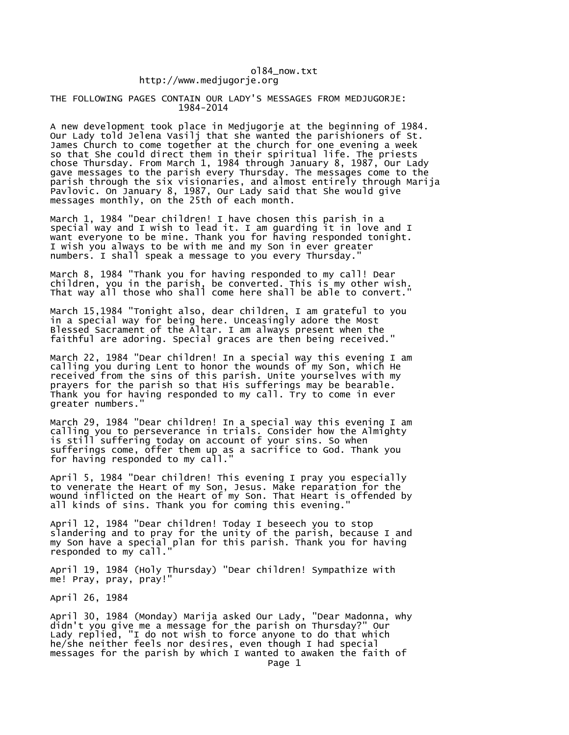# ol84\_now.txt http://www.medjugorje.org

THE FOLLOWING PAGES CONTAIN OUR LADY'S MESSAGES FROM MEDJUGORJE: 1984-2014

A new development took place in Medjugorje at the beginning of 1984. Our Lady told Jelena Vasilj that she wanted the parishioners of St. James Church to come together at the church for one evening a week so that She could direct them in their spiritual life. The priests chose Thursday. From March 1, 1984 through January 8, 1987, Our Lady gave messages to the parish every Thursday. The messages come to the parish through the six visionaries, and almost entirely through Marija Pavlovic. On January 8, 1987, Our Lady said that She would give messages monthly, on the 25th of each month.

March 1, 1984 "Dear children! I have chosen this parish in a special way and I wish to lead it. I am guarding it in love and I want everyone to be mine. Thank you for having responded tonight. I wish you always to be with me and my Son in ever greater numbers. I shall speak a message to you every Thursday.

March 8, 1984 "Thank you for having responded to my call! Dear children, you in the parish, be converted. This is my other wish. That way all those who shall come here shall be able to convert."

March 15,1984 "Tonight also, dear children, I am grateful to you in a special way for being here. Unceasingly adore the Most Blessed Sacrament of the Altar. I am always present when the faithful are adoring. Special graces are then being received."

March 22, 1984 "Dear children! In a special way this evening I am calling you during Lent to honor the wounds of my Son, which He received from the sins of this parish. Unite yourselves with my prayers for the parish so that His sufferings may be bearable. Thank you for having responded to my call. Try to come in ever greater numbers."

March 29, 1984 "Dear children! In a special way this evening I am calling you to perseverance in trials. Consider how the Almighty is still suffering today on account of your sins. So when sufferings come, offer them up as a sacrifice to God. Thank you for having responded to my call."

April 5, 1984 "Dear children! This evening I pray you especially to venerate the Heart of my Son, Jesus. Make reparation for the wound inflicted on the Heart of my Son. That Heart is offended by all kinds of sins. Thank you for coming this evening."

April 12, 1984 "Dear children! Today I beseech you to stop slandering and to pray for the unity of the parish, because I and my Son have a special plan for this parish. Thank you for having responded to my call."

April 19, 1984 (Holy Thursday) "Dear children! Sympathize with me! Pray, pray, pray!"

April 26, 1984

April 30, 1984 (Monday) Marija asked Our Lady, "Dear Madonna, why didn't you give me a message for the parish on Thursday?" Our Lady replied, "I do not wish to force anyone to do that which he/she neither feels nor desires, even though I had special messages for the parish by which I wanted to awaken the faith of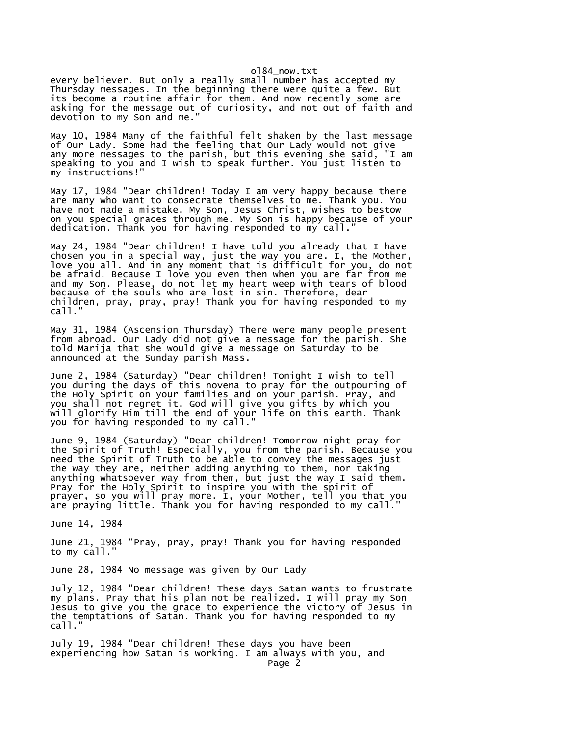every believer. But only a really small number has accepted my Thursday messages. In the beginning there were quite a few. But its become a routine affair for them. And now recently some are asking for the message out of curiosity, and not out of faith and devotion to my Son and me.

May 10, 1984 Many of the faithful felt shaken by the last message of Our Lady. Some had the feeling that Our Lady would not give any more messages to the parish, but this evening she said, "I am speaking to you and I wish to speak further. You just listen to my instructions!"

May 17, 1984 "Dear children! Today I am very happy because there are many who want to consecrate themselves to me. Thank you. You have not made a mistake. My Son, Jesus Christ, wishes to bestow on you special graces through me. My Son is happy because of your dedication. Thank you for having responded to my call."

May 24, 1984 "Dear children! I have told you already that I have chosen you in a special way, just the way you are. I, the Mother, love you all. And in any moment that is difficult for you, do not be afraid! Because I love you even then when you are far from me and my Son. Please, do not let my heart weep with tears of blood because of the souls who are lost in sin. Therefore, dear children, pray, pray, pray! Thank you for having responded to my call."

May 31, 1984 (Ascension Thursday) There were many people present from abroad. Our Lady did not give a message for the parish. She told Marija that she would give a message on Saturday to be announced at the Sunday parish Mass.

June 2, 1984 (Saturday) "Dear children! Tonight I wish to tell you during the days of this novena to pray for the outpouring of the Holy Spirit on your families and on your parish. Pray, and you shall not regret it. God will give you gifts by which you will glorify Him till the end of your life on this earth. Thank you for having responded to my call."

June 9, 1984 (Saturday) "Dear children! Tomorrow night pray for the Spirit of Truth! Especially, you from the parish. Because you need the Spirit of Truth to be able to convey the messages just the way they are, neither adding anything to them, nor taking anything whatsoever way from them, but just the way I said them. Pray for the Holy Spirit to inspire you with the spirit of prayer, so you will pray more. I, your Mother, tell you that you are praying little. Thank you for having responded to my call."

June 14, 1984

June 21, 1984 "Pray, pray, pray! Thank you for having responded to my call."

June 28, 1984 No message was given by Our Lady

July 12, 1984 "Dear children! These days Satan wants to frustrate my plans. Pray that his plan not be realized. I will pray my Son Jesus to give you the grace to experience the victory of Jesus in the temptations of Satan. Thank you for having responded to my call."

July 19, 1984 "Dear children! These days you have been experiencing how Satan is working. I am always with you, and Page 2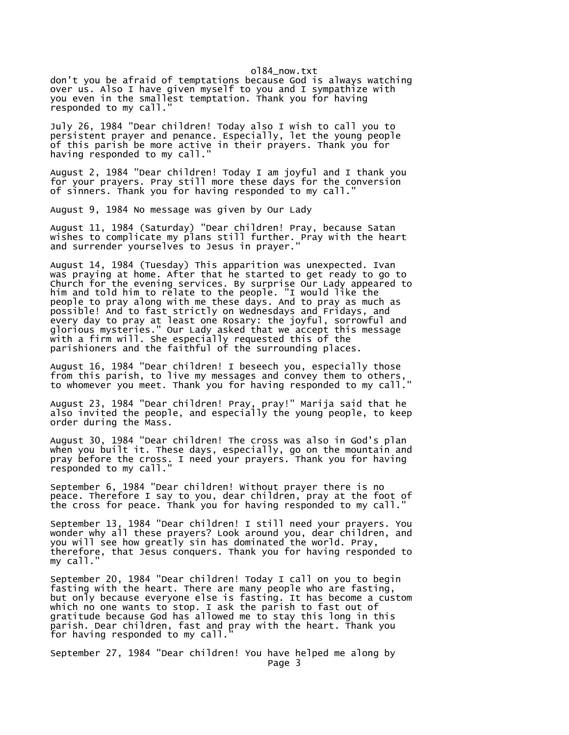ol84\_now.txt don't you be afraid of temptations because God is always watching over us. Also I have given myself to you and I sympathize with you even in the smallest temptation. Thank you for having responded to my call."

July 26, 1984 "Dear children! Today also I wish to call you to persistent prayer and penance. Especially, let the young people of this parish be more active in their prayers. Thank you for having responded to my call."

August 2, 1984 "Dear children! Today I am joyful and I thank you for your prayers. Pray still more these days for the conversion of sinners. Thank you for having responded to my call."

August 9, 1984 No message was given by Our Lady

August 11, 1984 (Saturday) "Dear children! Pray, because Satan wishes to complicate my plans still further. Pray with the heart and surrender yourselves to Jesus in prayer."

August 14, 1984 (Tuesday) This apparition was unexpected. Ivan was praying at home. After that he started to get ready to go to Church for the evening services. By surprise Our Lady appeared to him and told him to relate to the people. "I would like the people to pray along with me these days. And to pray as much as possible! And to fast strictly on Wednesdays and Fridays, and every day to pray at least one Rosary: the joyful, sorrowful and glorious mysteries." Our Lady asked that we accept this message with a firm will. She especially requested this of the parishioners and the faithful of the surrounding places.

August 16, 1984 "Dear children! I beseech you, especially those from this parish, to live my messages and convey them to others, to whomever you meet. Thank you for having responded to my call."

August 23, 1984 "Dear children! Pray, pray!" Marija said that he also invited the people, and especially the young people, to keep order during the Mass.

August 30, 1984 "Dear children! The cross was also in God's plan when you built it. These days, especially, go on the mountain and pray before the cross. I need your prayers. Thank you for having responded to my call."

September 6, 1984 "Dear children! Without prayer there is no peace. Therefore I say to you, dear children, pray at the foot of the cross for peace. Thank you for having responded to my call."

September 13, 1984 "Dear children! I still need your prayers. You wonder why all these prayers? Look around you, dear children, and you will see how greatly sin has dominated the world. Pray, therefore, that Jesus conquers. Thank you for having responded to my call.

September 20, 1984 "Dear children! Today I call on you to begin fasting with the heart. There are many people who are fasting, but only because everyone else is fasting. It has become a custom which no one wants to stop. I ask the parish to fast out of gratitude because God has allowed me to stay this long in this parish. Dear children, fast and pray with the heart. Thank you for having responded to my call."

September 27, 1984 "Dear children! You have helped me along by Page 3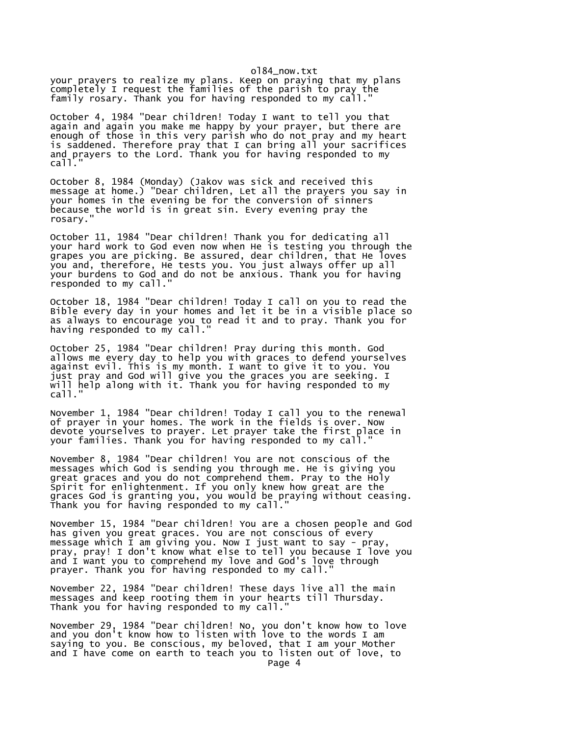your prayers to realize my plans. Keep on praying that my plans completely I request the families of the parish to pray the family rosary. Thank you for having responded to my call.

October 4, 1984 "Dear children! Today I want to tell you that again and again you make me happy by your prayer, but there are enough of those in this very parish who do not pray and my heart is saddened. Therefore pray that I can bring all your sacrifices and prayers to the Lord. Thank you for having responded to my call.

October 8, 1984 (Monday) (Jakov was sick and received this message at home.) "Dear children, Let all the prayers you say in your homes in the evening be for the conversion of sinners because the world is in great sin. Every evening pray the rosary."

October 11, 1984 "Dear children! Thank you for dedicating all your hard work to God even now when He is testing you through the grapes you are picking. Be assured, dear children, that He loves you and, therefore, He tests you. You just always offer up all your burdens to God and do not be anxious. Thank you for having responded to my call."

October 18, 1984 "Dear children! Today I call on you to read the Bible every day in your homes and let it be in a visible place so as always to encourage you to read it and to pray. Thank you for having responded to my call.

October 25, 1984 "Dear children! Pray during this month. God allows me every day to help you with graces to defend yourselves against evil. This is my month. I want to give it to you. You just pray and God will give you the graces you are seeking. I will help along with it. Thank you for having responded to my call."

November 1, 1984 "Dear children! Today I call you to the renewal of prayer in your homes. The work in the fields is over. Now devote yourselves to prayer. Let prayer take the first place in your families. Thank you for having responded to my call."

November 8, 1984 "Dear children! You are not conscious of the messages which God is sending you through me. He is giving you great graces and you do not comprehend them. Pray to the Holy Spirit for enlightenment. If you only knew how great are the graces God is granting you, you would be praying without ceasing. Thank you for having responded to my call."

November 15, 1984 "Dear children! You are a chosen people and God has given you great graces. You are not conscious of every message which I am giving you. Now I just want to say - pray, pray, pray! I don't know what else to tell you because I love you and I want you to comprehend my love and God's love through prayer. Thank you for having responded to my call."

November 22, 1984 "Dear children! These days live all the main messages and keep rooting them in your hearts till Thursday. Thank you for having responded to my call."

November 29, 1984 "Dear children! No, you don't know how to love and you don't know how to listen with love to the words I am saying to you. Be conscious, my beloved, that I am your Mother and I have come on earth to teach you to listen out of love, to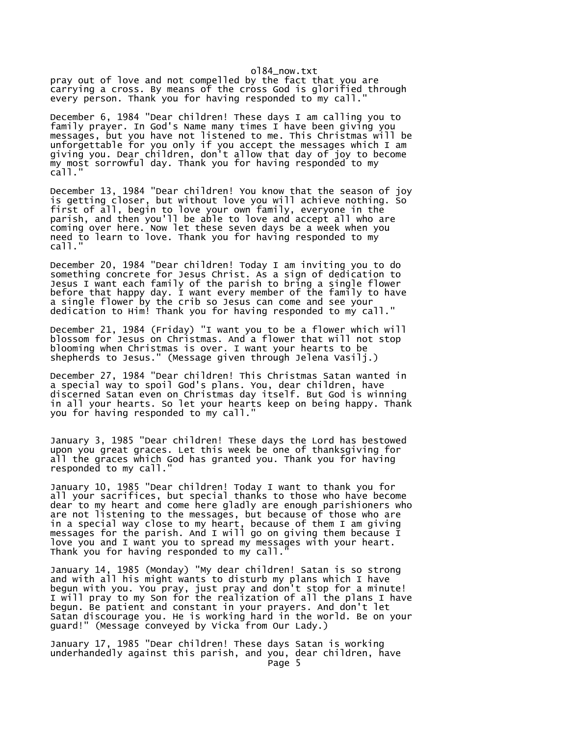pray out of love and not compelled by the fact that you are carrying a cross. By means of the cross God is glorified through every person. Thank you for having responded to my call.

December 6, 1984 "Dear children! These days I am calling you to family prayer. In God's Name many times I have been giving you messages, but you have not listened to me. This Christmas will be unforgettable for you only if you accept the messages which I am giving you. Dear children, don't allow that day of joy to become my most sorrowful day. Thank you for having responded to my call."

December 13, 1984 "Dear children! You know that the season of joy is getting closer, but without love you will achieve nothing. So first of all, begin to love your own family, everyone in the parish, and then you'll be able to love and accept all who are coming over here. Now let these seven days be a week when you need to learn to love. Thank you for having responded to my call."

December 20, 1984 "Dear children! Today I am inviting you to do something concrete for Jesus Christ. As a sign of dedication to Jesus I want each family of the parish to bring a single flower before that happy day. I want every member of the family to have a single flower by the crib so Jesus can come and see your dedication to Him! Thank you for having responded to my call."

December 21, 1984 (Friday) "I want you to be a flower which will blossom for Jesus on Christmas. And a flower that will not stop blooming when Christmas is over. I want your hearts to be shepherds to Jesus." (Message given through Jelena Vasilj.)

December 27, 1984 "Dear children! This Christmas Satan wanted in a special way to spoil God's plans. You, dear children, have discerned Satan even on Christmas day itself. But God is winning in all your hearts. So let your hearts keep on being happy. Thank you for having responded to my call."

January 3, 1985 "Dear children! These days the Lord has bestowed upon you great graces. Let this week be one of thanksgiving for all the graces which God has granted you. Thank you for having responded to my call."

January 10, 1985 "Dear children! Today I want to thank you for all your sacrifices, but special thanks to those who have become dear to my heart and come here gladly are enough parishioners who are not listening to the messages, but because of those who are in a special way close to my heart, because of them I am giving messages for the parish. And I will go on giving them because I love you and I want you to spread my messages with your heart. Thank you for having responded to my call.

January 14, 1985 (Monday) "My dear children! Satan is so strong and with all his might wants to disturb my plans which I have begun with you. You pray, just pray and don't stop for a minute! I will pray to my Son for the realization of all the plans I have begun. Be patient and constant in your prayers. And don't let Satan discourage you. He is working hard in the world. Be on your guard!" (Message conveyed by Vicka from Our Lady.)

January 17, 1985 "Dear children! These days Satan is working underhandedly against this parish, and you, dear children, have Page 5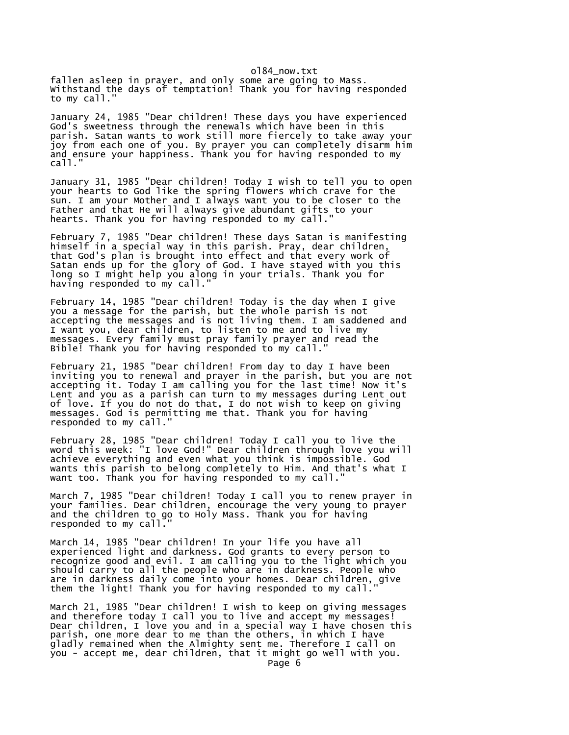ol84\_now.txt fallen asleep in prayer, and only some are going to Mass. Withstand the days of temptation! Thank you for having responded to my call.

January 24, 1985 "Dear children! These days you have experienced God's sweetness through the renewals which have been in this parish. Satan wants to work still more fiercely to take away your joy from each one of you. By prayer you can completely disarm him and ensure your happiness. Thank you for having responded to my call."

January 31, 1985 "Dear children! Today I wish to tell you to open your hearts to God like the spring flowers which crave for the sun. I am your Mother and I always want you to be closer to the Father and that He will always give abundant gifts to your hearts. Thank you for having responded to my call."

February 7, 1985 "Dear children! These days Satan is manifesting himself in a special way in this parish. Pray, dear children, that God's plan is brought into effect and that every work of Satan ends up for the glory of God. I have stayed with you this long so I might help you along in your trials. Thank you for having responded to my call.

February 14, 1985 "Dear children! Today is the day when I give you a message for the parish, but the whole parish is not accepting the messages and is not living them. I am saddened and I want you, dear children, to listen to me and to live my messages. Every family must pray family prayer and read the Bible! Thank you for having responded to my call."

February 21, 1985 "Dear children! From day to day I have been inviting you to renewal and prayer in the parish, but you are not accepting it. Today I am calling you for the last time! Now it's Lent and you as a parish can turn to my messages during Lent out of love. If you do not do that, I do not wish to keep on giving messages. God is permitting me that. Thank you for having responded to my call."

February 28, 1985 "Dear children! Today I call you to live the word this week: "I love God!" Dear children through love you will achieve everything and even what you think is impossible. God wants this parish to belong completely to Him. And that's what I want too. Thank you for having responded to my call.

March 7, 1985 "Dear children! Today I call you to renew prayer in your families. Dear children, encourage the very young to prayer and the children to go to Holy Mass. Thank you for having responded to my call."

March 14, 1985 "Dear children! In your life you have all experienced light and darkness. God grants to every person to recognize good and evil. I am calling you to the light which you should carry to all the people who are in darkness. People who are in darkness daily come into your homes. Dear children, give them the light! Thank you for having responded to my call.

March 21, 1985 "Dear children! I wish to keep on giving messages and therefore today I call you to live and accept my messages! Dear children, I love you and in a special way I have chosen this parish, one more dear to me than the others, in which I have gladly remained when the Almighty sent me. Therefore I call on you - accept me, dear children, that it might go well with you.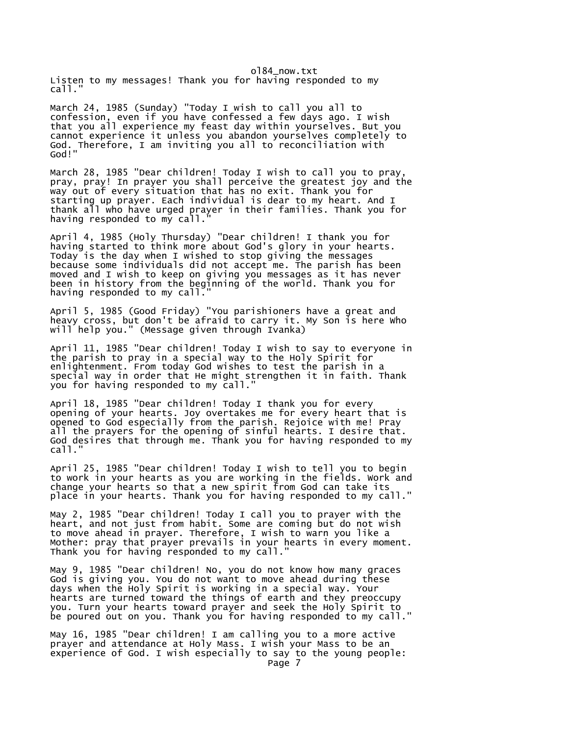ol84\_now.txt Listen to my messages! Thank you for having responded to my call."

March 24, 1985 (Sunday) "Today I wish to call you all to confession, even if you have confessed a few days ago. I wish that you all experience my feast day within yourselves. But you cannot experience it unless you abandon yourselves completely to God. Therefore, I am inviting you all to reconciliation with God!"

March 28, 1985 "Dear children! Today I wish to call you to pray, pray, pray! In prayer you shall perceive the greatest joy and the way out of every situation that has no exit. Thank you for starting up prayer. Each individual is dear to my heart. And I thank all who have urged prayer in their families. Thank you for having responded to my call.

April 4, 1985 (Holy Thursday) "Dear children! I thank you for having started to think more about God's glory in your hearts. Today is the day when I wished to stop giving the messages because some individuals did not accept me. The parish has been moved and I wish to keep on giving you messages as it has never been in history from the beginning of the world. Thank you for having responded to my call."

April 5, 1985 (Good Friday) "You parishioners have a great and heavy cross, but don't be afraid to carry it. My Son is here Who will help you." (Message given through Ivanka)

April 11, 1985 "Dear children! Today I wish to say to everyone in the parish to pray in a special way to the Holy Spirit for enlightenment. From today God wishes to test the parish in a special way in order that He might strengthen it in faith. Thank you for having responded to my call."

April 18, 1985 "Dear children! Today I thank you for every opening of your hearts. Joy overtakes me for every heart that is opened to God especially from the parish. Rejoice with me! Pray all the prayers for the opening of sinful hearts. I desire that. God desires that through me. Thank you for having responded to my call."

April 25, 1985 "Dear children! Today I wish to tell you to begin to work in your hearts as you are working in the fields. Work and change your hearts so that a new spirit from God can take its place in your hearts. Thank you for having responded to my call."

May 2, 1985 "Dear children! Today I call you to prayer with the heart, and not just from habit. Some are coming but do not wish to move ahead in prayer. Therefore, I wish to warn you like a Mother: pray that prayer prevails in your hearts in every moment. Thank you for having responded to my call."

May 9, 1985 "Dear children! No, you do not know how many graces God is giving you. You do not want to move ahead during these days when the Holy Spirit is working in a special way. Your hearts are turned toward the things of earth and they preoccupy you. Turn your hearts toward prayer and seek the Holy Spirit to be poured out on you. Thank you for having responded to my call."

May 16, 1985 "Dear children! I am calling you to a more active prayer and attendance at Holy Mass. I wish your Mass to be an experience of God. I wish especially to say to the young people: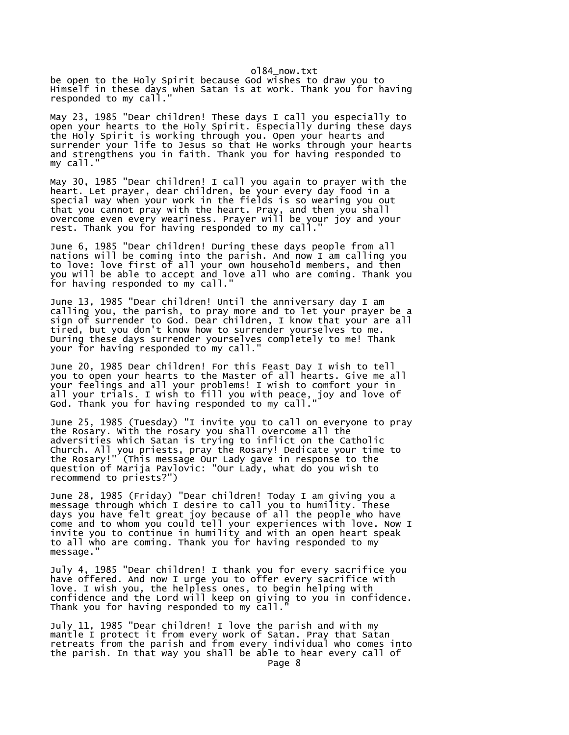ol84\_now.txt be open to the Holy Spirit because God wishes to draw you to Himself in these days when Satan is at work. Thank you for having responded to my call."

May 23, 1985 "Dear children! These days I call you especially to open your hearts to the Holy Spirit. Especially during these days the Holy Spirit is working through you. Open your hearts and surrender your life to Jesus so that He works through your hearts and strengthens you in faith. Thank you for having responded to my call.

May 30, 1985 "Dear children! I call you again to prayer with the heart. Let prayer, dear children, be your every day food in a special way when your work in the fields is so wearing you out that you cannot pray with the heart. Pray, and then you shall overcome even every weariness. Prayer will be your joy and your rest. Thank you for having responded to my call."

June 6, 1985 "Dear children! During these days people from all nations will be coming into the parish. And now I am calling you to love: love first of all your own household members, and then you will be able to accept and love all who are coming. Thank you for having responded to my call."

June 13, 1985 "Dear children! Until the anniversary day I am calling you, the parish, to pray more and to let your prayer be a sign of surrender to God. Dear children, I know that your are all tired, but you don't know how to surrender yourselves to me. During these days surrender yourselves completely to me! Thank your for having responded to my call."

June 20, 1985 Dear children! For this Feast Day I wish to tell you to open your hearts to the Master of all hearts. Give me all your feelings and all your problems! I wish to comfort your in all your trials. I wish to fill you with peace, joy and love of God. Thank you for having responded to my call."

June 25, 1985 (Tuesday) "I invite you to call on everyone to pray the Rosary. With the rosary you shall overcome all the adversities which Satan is trying to inflict on the Catholic Church. All you priests, pray the Rosary! Dedicate your time to the Rosary!" (This message Our Lady gave in response to the question of Marija Pavlovic: "Our Lady, what do you wish to recommend to priests?")

June 28, 1985 (Friday) "Dear children! Today I am giving you a message through which I desire to call you to humility. These days you have felt great joy because of all the people who have come and to whom you could tell your experiences with love. Now I invite you to continue in humility and with an open heart speak to all who are coming. Thank you for having responded to my message."

July 4, 1985 "Dear children! I thank you for every sacrifice you have offered. And now I urge you to offer every sacrifice with love. I wish you, the helpless ones, to begin helping with confidence and the Lord will keep on giving to you in confidence. Thank you for having responded to my call."

July 11, 1985 "Dear children! I love the parish and with my mantle I protect it from every work of Satan. Pray that Satan retreats from the parish and from every individual who comes into the parish. In that way you shall be able to hear every call of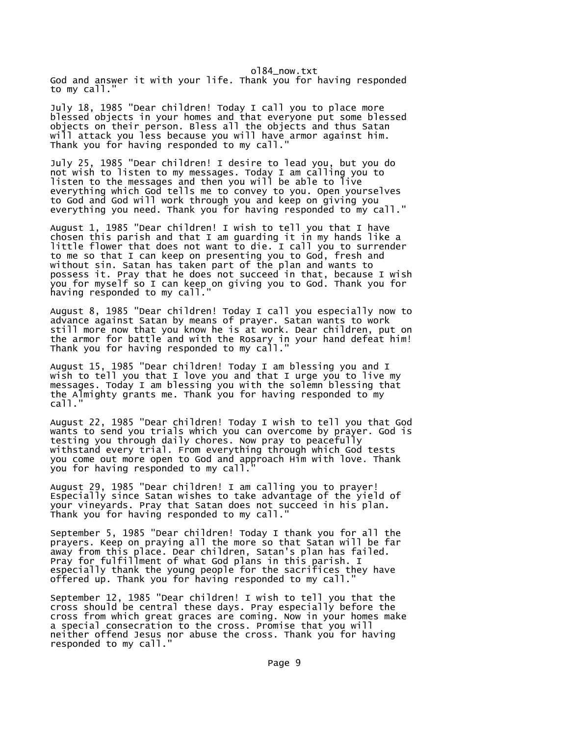ol84\_now.txt God and answer it with your life. Thank you for having responded to my call."

July 18, 1985 "Dear children! Today I call you to place more blessed objects in your homes and that everyone put some blessed objects on their person. Bless all the objects and thus Satan will attack you less because you will have armor against him. Thank you for having responded to my call."

July 25, 1985 "Dear children! I desire to lead you, but you do not wish to listen to my messages. Today I am calling you to listen to the messages and then you will be able to live everything which God tells me to convey to you. Open yourselves to God and God will work through you and keep on giving you everything you need. Thank you for having responded to my call."

August 1, 1985 "Dear children! I wish to tell you that I have chosen this parish and that I am guarding it in my hands like a little flower that does not want to die. I call you to surrender to me so that I can keep on presenting you to God, fresh and without sin. Satan has taken part of the plan and wants to possess it. Pray that he does not succeed in that, because I wish you for myself so I can keep on giving you to God. Thank you for having responded to my call."

August 8, 1985 "Dear children! Today I call you especially now to advance against Satan by means of prayer. Satan wants to work still more now that you know he is at work. Dear children, put on the armor for battle and with the Rosary in your hand defeat him! Thank you for having responded to my call.

August 15, 1985 "Dear children! Today I am blessing you and I wish to tell you that I love you and that I urge you to live my messages. Today I am blessing you with the solemn blessing that the Almighty grants me. Thank you for having responded to my call."

August 22, 1985 "Dear children! Today I wish to tell you that God wants to send you trials which you can overcome by prayer. God is testing you through daily chores. Now pray to peacefully withstand every trial. From everything through which God tests you come out more open to God and approach Him with love. Thank you for having responded to my call.

August 29, 1985 "Dear children! I am calling you to prayer! Especially since Satan wishes to take advantage of the yield of your vineyards. Pray that Satan does not succeed in his plan. Thank you for having responded to my call."

September 5, 1985 "Dear children! Today I thank you for all the prayers. Keep on praying all the more so that Satan will be far away from this place. Dear children, Satan's plan has failed. Pray for fulfillment of what God plans in this parish. I especially thank the young people for the sacrifices they have offered up. Thank you for having responded to my call."

September 12, 1985 "Dear children! I wish to tell you that the cross should be central these days. Pray especially before the cross from which great graces are coming. Now in your homes make a special consecration to the cross. Promise that you will neither offend Jesus nor abuse the cross. Thank you for having responded to my call."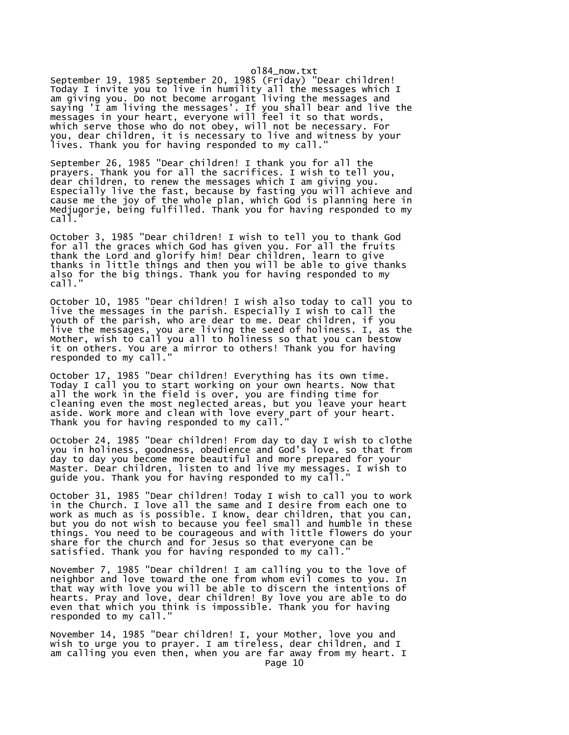September 19, 1985 September 20, 1985 (Friday) "Dear children! Today I invite you to live in humility all the messages which I am giving you. Do not become arrogant living the messages and saying 'I am living the messages'. If you shall bear and live the messages in your heart, everyone will feel it so that words, which serve those who do not obey, will not be necessary. For you, dear children, it is necessary to live and witness by your lives. Thank you for having responded to my call."

September 26, 1985 "Dear children! I thank you for all the prayers. Thank you for all the sacrifices. I wish to tell you, dear children, to renew the messages which I am giving you. Especially live the fast, because by fasting you will achieve and cause me the joy of the whole plan, which God is planning here in Medjugorje, being fulfilled. Thank you for having responded to my call."

October 3, 1985 "Dear children! I wish to tell you to thank God for all the graces which God has given you. For all the fruits thank the Lord and glorify him! Dear children, learn to give thanks in little things and then you will be able to give thanks also for the big things. Thank you for having responded to my call."

October 10, 1985 "Dear children! I wish also today to call you to live the messages in the parish. Especially I wish to call the youth of the parish, who are dear to me. Dear children, if you live the messages, you are living the seed of holiness. I, as the Mother, wish to call you all to holiness so that you can bestow it on others. You are a mirror to others! Thank you for having responded to my call."

October 17, 1985 "Dear children! Everything has its own time. Today I call you to start working on your own hearts. Now that all the work in the field is over, you are finding time for cleaning even the most neglected areas, but you leave your heart aside. Work more and clean with love every part of your heart. Thank you for having responded to my call.

October 24, 1985 "Dear children! From day to day I wish to clothe you in holiness, goodness, obedience and God's love, so that from day to day you become more beautiful and more prepared for your Master. Dear children, listen to and live my messages. I wish to guide you. Thank you for having responded to my call."

October 31, 1985 "Dear children! Today I wish to call you to work in the Church. I love all the same and I desire from each one to work as much as is possible. I know, dear children, that you can, but you do not wish to because you feel small and humble in these things. You need to be courageous and with little flowers do your share for the church and for Jesus so that everyone can be satisfied. Thank you for having responded to my call.

November 7, 1985 "Dear children! I am calling you to the love of neighbor and love toward the one from whom evil comes to you. In that way with love you will be able to discern the intentions of hearts. Pray and love, dear children! By love you are able to do even that which you think is impossible. Thank you for having responded to my call."

November 14, 1985 "Dear children! I, your Mother, love you and wish to urge you to prayer. I am tireless, dear children, and I am calling you even then, when you are far away from my heart. I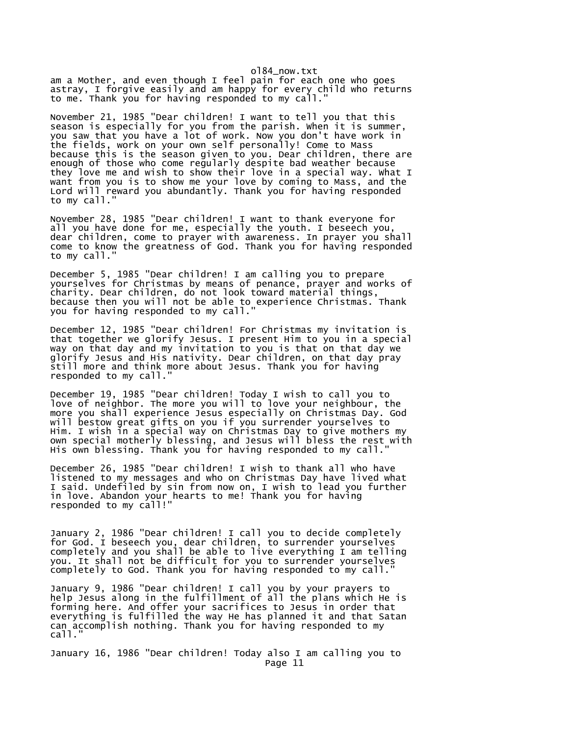ol84\_now.txt am a Mother, and even though I feel pain for each one who goes astray, I forgive easily and am happy for every child who returns to me. Thank you for having responded to my call."

November 21, 1985 "Dear children! I want to tell you that this season is especially for you from the parish. When it is summer, you saw that you have a lot of work. Now you don't have work in the fields, work on your own self personally! Come to Mass because this is the season given to you. Dear children, there are enough of those who come regularly despite bad weather because they love me and wish to show their love in a special way. What I want from you is to show me your love by coming to Mass, and the Lord will reward you abundantly. Thank you for having responded to my call."

November 28, 1985 "Dear children! I want to thank everyone for all you have done for me, especially the youth. I beseech you, dear children, come to prayer with awareness. In prayer you shall come to know the greatness of God. Thank you for having responded to my call."

December 5, 1985 "Dear children! I am calling you to prepare yourselves for Christmas by means of penance, prayer and works of charity. Dear children, do not look toward material things, because then you will not be able to experience Christmas. Thank you for having responded to my call."

December 12, 1985 "Dear children! For Christmas my invitation is that together we glorify Jesus. I present Him to you in a special way on that day and my invitation to you is that on that day we glorify Jesus and His nativity. Dear children, on that day pray still more and think more about Jesus. Thank you for having responded to my call."

December 19, 1985 "Dear children! Today I wish to call you to love of neighbor. The more you will to love your neighbour, the more you shall experience Jesus especially on Christmas Day. God will bestow great gifts on you if you surrender yourselves to Him. I wish in a special way on Christmas Day to give mothers my own special motherly blessing, and Jesus will bless the rest with His own blessing. Thank you for having responded to my call."

December 26, 1985 "Dear children! I wish to thank all who have listened to my messages and who on Christmas Day have lived what I said. Undefiled by sin from now on, I wish to lead you further in love. Abandon your hearts to me! Thank you for having responded to my call!"

January 2, 1986 "Dear children! I call you to decide completely for God. I beseech you, dear children, to surrender yourselves completely and you shall be able to live everything I am telling you. It shall not be difficult for you to surrender yourselves completely to God. Thank you for having responded to my call."

January 9, 1986 "Dear children! I call you by your prayers to help Jesus along in the fulfillment of all the plans which He is forming here. And offer your sacrifices to Jesus in order that everything is fulfilled the way He has planned it and that Satan can accomplish nothing. Thank you for having responded to my call."

January 16, 1986 "Dear children! Today also I am calling you to Page 11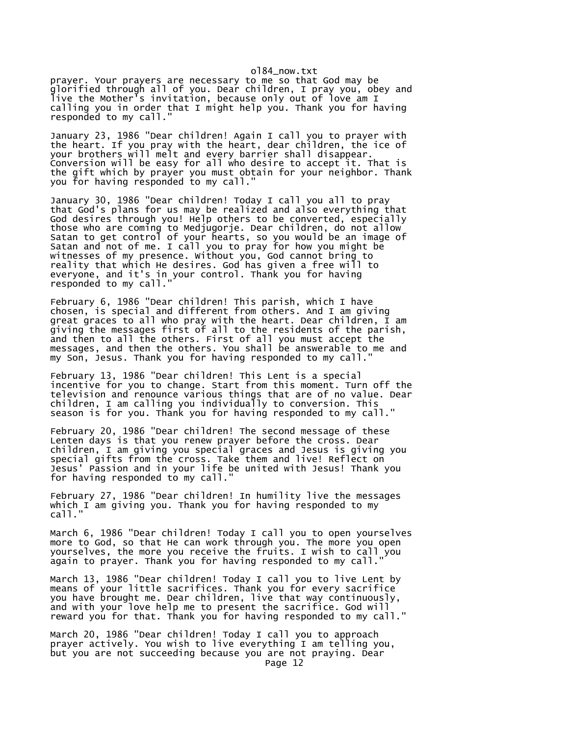prayer. Your prayers are necessary to me so that God may be glorified through all of you. Dear children, I pray you, obey and live the Mother's invitation, because only out of love am I calling you in order that I might help you. Thank you for having responded to my call."

January 23, 1986 "Dear children! Again I call you to prayer with the heart. If you pray with the heart, dear children, the ice of your brothers will melt and every barrier shall disappear. Conversion will be easy for all who desire to accept it. That is the gift which by prayer you must obtain for your neighbor. Thank you for having responded to my call."

January 30, 1986 "Dear children! Today I call you all to pray that God's plans for us may be realized and also everything that God desires through you! Help others to be converted, especially those who are coming to Medjugorje. Dear children, do not allow Satan to get control of your hearts, so you would be an image of Satan and not of me. I call you to pray for how you might be witnesses of my presence. Without you, God cannot bring to reality that which He desires. God has given a free will to everyone, and it's in your control. Thank you for having responded to my call."

February 6, 1986 "Dear children! This parish, which I have chosen, is special and different from others. And I am giving great graces to all who pray with the heart. Dear children, I am giving the messages first of all to the residents of the parish, and then to all the others. First of all you must accept the messages, and then the others. You shall be answerable to me and my Son, Jesus. Thank you for having responded to my call."

February 13, 1986 "Dear children! This Lent is a special incentive for you to change. Start from this moment. Turn off the television and renounce various things that are of no value. Dear children, I am calling you individually to conversion. This season is for you. Thank you for having responded to my call."

February 20, 1986 "Dear children! The second message of these Lenten days is that you renew prayer before the cross. Dear children, I am giving you special graces and Jesus is giving you special gifts from the cross. Take them and live! Reflect on Jesus' Passion and in your life be united with Jesus! Thank you for having responded to my call."

February 27, 1986 "Dear children! In humility live the messages which I am giving you. Thank you for having responded to my call."

March 6, 1986 "Dear children! Today I call you to open yourselves more to God, so that He can work through you. The more you open yourselves, the more you receive the fruits. I wish to call you again to prayer. Thank you for having responded to my call.'

March 13, 1986 "Dear children! Today I call you to live Lent by means of your little sacrifices. Thank you for every sacrifice you have brought me. Dear children, live that way continuously, and with your love help me to present the sacrifice. God will reward you for that. Thank you for having responded to my call."

March 20, 1986 "Dear children! Today I call you to approach prayer actively. You wish to live everything I am telling you, but you are not succeeding because you are not praying. Dear Page 12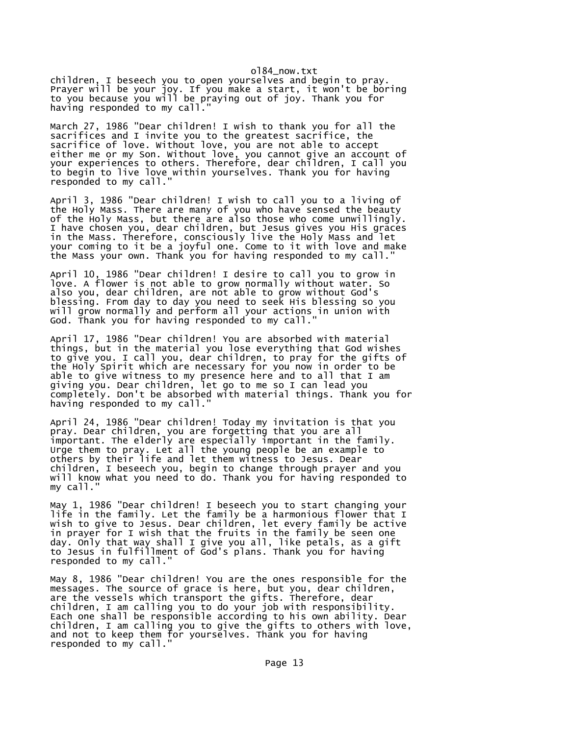ol84\_now.txt children, I beseech you to open yourselves and begin to pray. Prayer will be your joy. If you make a start, it won't be boring to you because you will be praying out of joy. Thank you for having responded to my call."

March 27, 1986 "Dear children! I wish to thank you for all the sacrifices and I invite you to the greatest sacrifice, the sacrifice of love. Without love, you are not able to accept either me or my Son. Without love, you cannot give an account of your experiences to others. Therefore, dear children, I call you to begin to live love within yourselves. Thank you for having responded to my call.

April 3, 1986 "Dear children! I wish to call you to a living of the Holy Mass. There are many of you who have sensed the beauty of the Holy Mass, but there are also those who come unwillingly. I have chosen you, dear children, but Jesus gives you His graces in the Mass. Therefore, consciously live the Holy Mass and let your coming to it be a joyful one. Come to it with love and make the Mass your own. Thank you for having responded to my call.

April 10, 1986 "Dear children! I desire to call you to grow in love. A flower is not able to grow normally without water. So also you, dear children, are not able to grow without God's blessing. From day to day you need to seek His blessing so you will grow normally and perform all your actions in union with God. Thank you for having responded to my call."

April 17, 1986 "Dear children! You are absorbed with material things, but in the material you lose everything that God wishes to give you. I call you, dear children, to pray for the gifts of the Holy Spirit which are necessary for you now in order to be able to give witness to my presence here and to all that I am giving you. Dear children, let go to me so I can lead you completely. Don't be absorbed with material things. Thank you for having responded to my call."

April 24, 1986 "Dear children! Today my invitation is that you pray. Dear children, you are forgetting that you are all important. The elderly are especially important in the family. Urge them to pray. Let all the young people be an example to others by their life and let them witness to Jesus. Dear children, I beseech you, begin to change through prayer and you will know what you need to do. Thank you for having responded to my call."

May 1, 1986 "Dear children! I beseech you to start changing your life in the family. Let the family be a harmonious flower that I wish to give to Jesus. Dear children, let every family be active in prayer for I wish that the fruits in the family be seen one day. Only that way shall I give you all, like petals, as a gift to Jesus in fulfillment of God's plans. Thank you for having responded to my call."

May 8, 1986 "Dear children! You are the ones responsible for the messages. The source of grace is here, but you, dear children, are the vessels which transport the gifts. Therefore, dear children, I am calling you to do your job with responsibility. Each one shall be responsible according to his own ability. Dear children, I am calling you to give the gifts to others with love, and not to keep them for yourselves. Thank you for having responded to my call."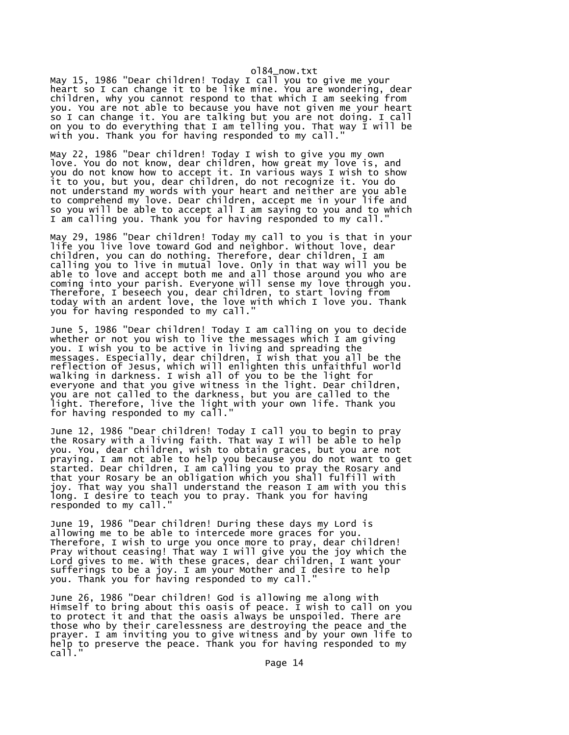May 15, 1986 "Dear children! Today I call you to give me your heart so I can change it to be like mine. You are wondering, dear children, why you cannot respond to that which I am seeking from you. You are not able to because you have not given me your heart so I can change it. You are talking but you are not doing. I call on you to do everything that I am telling you. That way I will be with you. Thank you for having responded to my call."

May 22, 1986 "Dear children! Today I wish to give you my own love. You do not know, dear children, how great my love is, and you do not know how to accept it. In various ways I wish to show it to you, but you, dear children, do not recognize it. You do not understand my words with your heart and neither are you able to comprehend my love. Dear children, accept me in your life and so you will be able to accept all I am saying to you and to which I am calling you. Thank you for having responded to my call."

May 29, 1986 "Dear children! Today my call to you is that in your life you live love toward God and neighbor. Without love, dear children, you can do nothing. Therefore, dear children, I am calling you to live in mutual love. Only in that way will you be able to love and accept both me and all those around you who are coming into your parish. Everyone will sense my love through you. Therefore, I beseech you, dear children, to start loving from today with an ardent love, the love with which I love you. Thank you for having responded to my call."

June 5, 1986 "Dear children! Today I am calling on you to decide whether or not you wish to live the messages which I am giving you. I wish you to be active in living and spreading the messages. Especially, dear children, I wish that you all be the reflection of Jesus, which will enlighten this unfaithful world walking in darkness. I wish all of you to be the light for everyone and that you give witness in the light. Dear children, you are not called to the darkness, but you are called to the light. Therefore, live the light with your own life. Thank you for having responded to my call."

June 12, 1986 "Dear children! Today I call you to begin to pray the Rosary with a living faith. That way I will be able to help you. You, dear children, wish to obtain graces, but you are not praying. I am not able to help you because you do not want to get started. Dear children, I am calling you to pray the Rosary and that your Rosary be an obligation which you shall fulfill with joy. That way you shall understand the reason I am with you this long. I desire to teach you to pray. Thank you for having responded to my call."

June 19, 1986 "Dear children! During these days my Lord is allowing me to be able to intercede more graces for you. Therefore, I wish to urge you once more to pray, dear children! Pray without ceasing! That way I will give you the joy which the Lord gives to me. With these graces, dear children, I want your sufferings to be a joy. I am your Mother and I desire to help you. Thank you for having responded to my call.

June 26, 1986 "Dear children! God is allowing me along with Himself to bring about this oasis of peace. I wish to call on you to protect it and that the oasis always be unspoiled. There are those who by their carelessness are destroying the peace and the prayer. I am inviting you to give witness and by your own life to help to preserve the peace. Thank you for having responded to my call."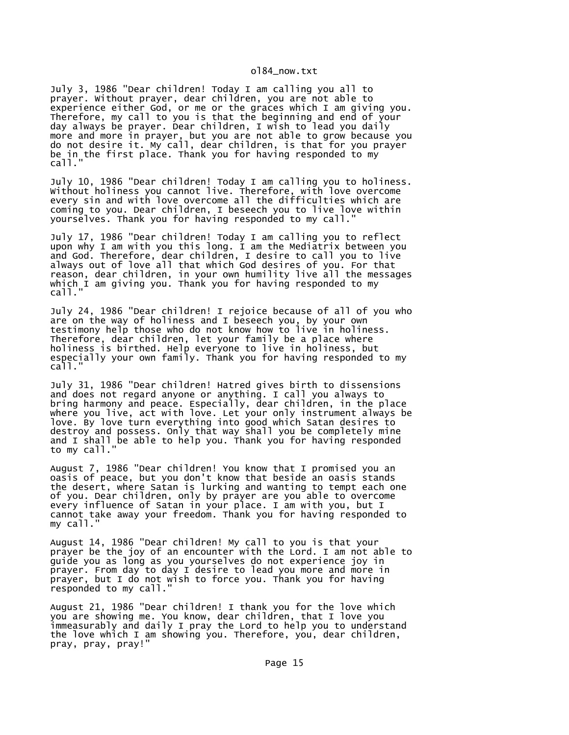July 3, 1986 "Dear children! Today I am calling you all to prayer. Without prayer, dear children, you are not able to experience either God, or me or the graces which I am giving you. Therefore, my call to you is that the beginning and end of your day always be prayer. Dear children, I wish to lead you daily more and more in prayer, but you are not able to grow because you do not desire it. My call, dear children, is that for you prayer be in the first place. Thank you for having responded to my call."

July 10, 1986 "Dear children! Today I am calling you to holiness. Without holiness you cannot live. Therefore, with love overcome every sin and with love overcome all the difficulties which are coming to you. Dear children, I beseech you to live love within yourselves. Thank you for having responded to my call."

July 17, 1986 "Dear children! Today I am calling you to reflect upon why I am with you this long. I am the Mediatrix between you and God. Therefore, dear children, I desire to call you to live always out of love all that which God desires of you. For that reason, dear children, in your own humility live all the messages which I am giving you. Thank you for having responded to my call."

July 24, 1986 "Dear children! I rejoice because of all of you who are on the way of holiness and I beseech you, by your own testimony help those who do not know how to live in holiness. Therefore, dear children, let your family be a place where holiness is birthed. Help everyone to live in holiness, but especially your own family. Thank you for having responded to my call."

July 31, 1986 "Dear children! Hatred gives birth to dissensions and does not regard anyone or anything. I call you always to bring harmony and peace. Especially, dear children, in the place where you live, act with love. Let your only instrument always be love. By love turn everything into good which Satan desires to destroy and possess. Only that way shall you be completely mine and I shall be able to help you. Thank you for having responded to my call."

August 7, 1986 "Dear children! You know that I promised you an oasis of peace, but you don't know that beside an oasis stands the desert, where Satan is lurking and wanting to tempt each one of you. Dear children, only by prayer are you able to overcome every influence of Satan in your place. I am with you, but I cannot take away your freedom. Thank you for having responded to my  $cal1$ .

August 14, 1986 "Dear children! My call to you is that your prayer be the joy of an encounter with the Lord. I am not able to guide you as long as you yourselves do not experience joy in prayer. From day to day I desire to lead you more and more in prayer, but I do not wish to force you. Thank you for having responded to my call."

August 21, 1986 "Dear children! I thank you for the love which you are showing me. You know, dear children, that I love you immeasurably and daily I pray the Lord to help you to understand the love which I am showing you. Therefore, you, dear children, pray, pray, pray!"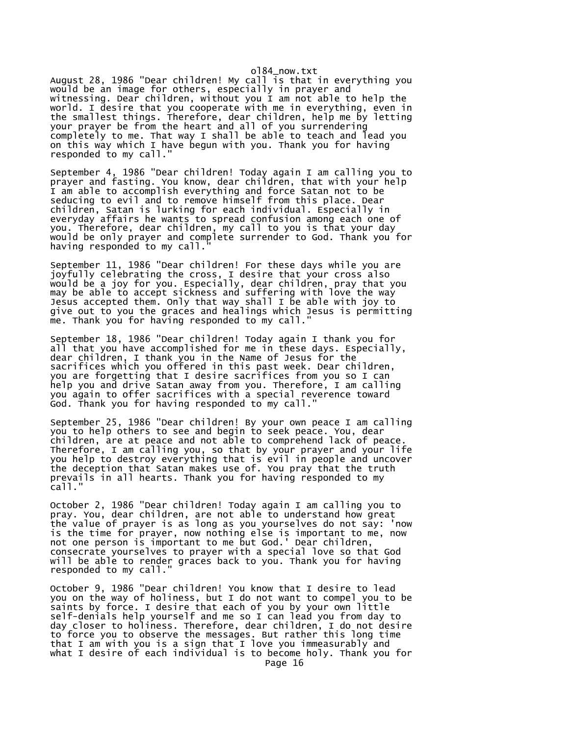August 28, 1986 "Dear children! My call is that in everything you would be an image for others, especially in prayer and witnessing. Dear children, without you I am not able to help the world. I desire that you cooperate with me in everything, even in the smallest things. Therefore, dear children, help me by letting your prayer be from the heart and all of you surrendering completely to me. That way I shall be able to teach and lead you on this way which I have begun with you. Thank you for having responded to my call."

September 4, 1986 "Dear children! Today again I am calling you to prayer and fasting. You know, dear children, that with your help I am able to accomplish everything and force Satan not to be seducing to evil and to remove himself from this place. Dear children, Satan is lurking for each individual. Especially in everyday affairs he wants to spread confusion among each one of you. Therefore, dear children, my call to you is that your day would be only prayer and complete surrender to God. Thank you for having responded to my call.

September 11, 1986 "Dear children! For these days while you are joyfully celebrating the cross, I desire that your cross also would be a joy for you. Especially, dear children, pray that you may be able to accept sickness and suffering with love the way Jesus accepted them. Only that way shall I be able with joy to give out to you the graces and healings which Jesus is permitting me. Thank you for having responded to my call.'

September 18, 1986 "Dear children! Today again I thank you for all that you have accomplished for me in these days. Especially, dear children, I thank you in the Name of Jesus for the sacrifices which you offered in this past week. Dear children, you are forgetting that I desire sacrifices from you so I can help you and drive Satan away from you. Therefore, I am calling you again to offer sacrifices with a special reverence toward God. Thank you for having responded to my call."

September 25, 1986 "Dear children! By your own peace I am calling you to help others to see and begin to seek peace. You, dear children, are at peace and not able to comprehend lack of peace. Therefore, I am calling you, so that by your prayer and your life you help to destroy everything that is evil in people and uncover the deception that Satan makes use of. You pray that the truth prevails in all hearts. Thank you for having responded to my  $cal1$ .

October 2, 1986 "Dear children! Today again I am calling you to pray. You, dear children, are not able to understand how great the value of prayer is as long as you yourselves do not say: 'now is the time for prayer, now nothing else is important to me, now not one person is important to me but God.' Dear children, consecrate yourselves to prayer with a special love so that God will be able to render graces back to you. Thank you for having responded to my call."

October 9, 1986 "Dear children! You know that I desire to lead you on the way of holiness, but I do not want to compel you to be saints by force. I desire that each of you by your own little self-denials help yourself and me so I can lead you from day to day closer to holiness. Therefore, dear children, I do not desire to force you to observe the messages. But rather this long time that I am with you is a sign that I love you immeasurably and what I desire of each individual is to become holy. Thank you for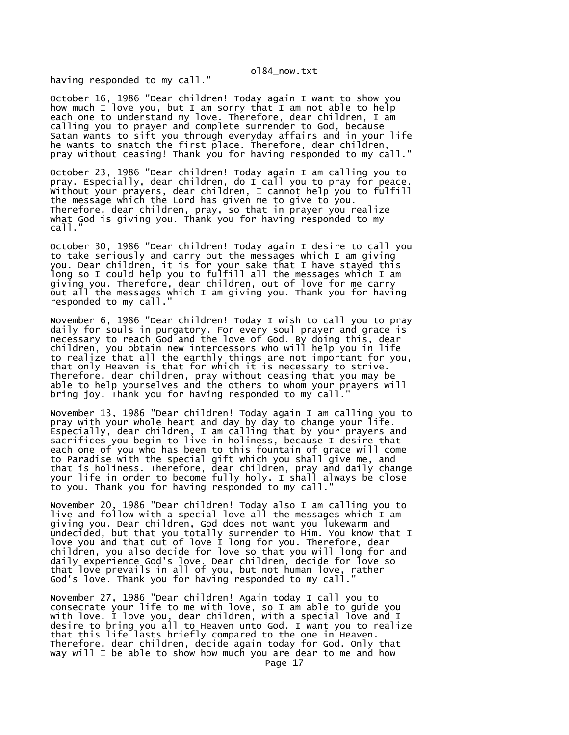having responded to my call."

October 16, 1986 "Dear children! Today again I want to show you how much I love you, but I am sorry that I am not able to help each one to understand my love. Therefore, dear children, I am calling you to prayer and complete surrender to God, because Satan wants to sift you through everyday affairs and in your life he wants to snatch the first place. Therefore, dear children, pray without ceasing! Thank you for having responded to my call."

October 23, 1986 "Dear children! Today again I am calling you to pray. Especially, dear children, do I call you to pray for peace. Without your prayers, dear children, I cannot help you to fulfill the message which the Lord has given me to give to you. Therefore, dear children, pray, so that in prayer you realize what God is giving you. Thank you for having responded to my call."

October 30, 1986 "Dear children! Today again I desire to call you to take seriously and carry out the messages which I am giving you. Dear children, it is for your sake that I have stayed this long so I could help you to fulfill all the messages which I am giving you. Therefore, dear children, out of love for me carry out all the messages which I am giving you. Thank you for having responded to my call."

November 6, 1986 "Dear children! Today I wish to call you to pray daily for souls in purgatory. For every soul prayer and grace is necessary to reach God and the love of God. By doing this, dear children, you obtain new intercessors who will help you in life to realize that all the earthly things are not important for you, that only Heaven is that for which it is necessary to strive. Therefore, dear children, pray without ceasing that you may be able to help yourselves and the others to whom your prayers will bring joy. Thank you for having responded to my call.

November 13, 1986 "Dear children! Today again I am calling you to pray with your whole heart and day by day to change your life. Especially, dear children, I am calling that by your prayers and sacrifices you begin to live in holiness, because I desire that each one of you who has been to this fountain of grace will come to Paradise with the special gift which you shall give me, and that is holiness. Therefore, dear children, pray and daily change your life in order to become fully holy. I shall always be close to you. Thank you for having responded to my call."

November 20, 1986 "Dear children! Today also I am calling you to live and follow with a special love all the messages which I am giving you. Dear children, God does not want you lukewarm and undecided, but that you totally surrender to Him. You know that I love you and that out of love I long for you. Therefore, dear children, you also decide for love so that you will long for and daily experience God's love. Dear children, decide for love so that love prevails in all of you, but not human love, rather God's love. Thank you for having responded to my call."

November 27, 1986 "Dear children! Again today I call you to consecrate your life to me with love, so I am able to guide you with love. I love you, dear children, with a special love and I desire to bring you all to Heaven unto God. I want you to realize that this life lasts briefly compared to the one in Heaven. Therefore, dear children, decide again today for God. Only that way will I be able to show how much you are dear to me and how Page 17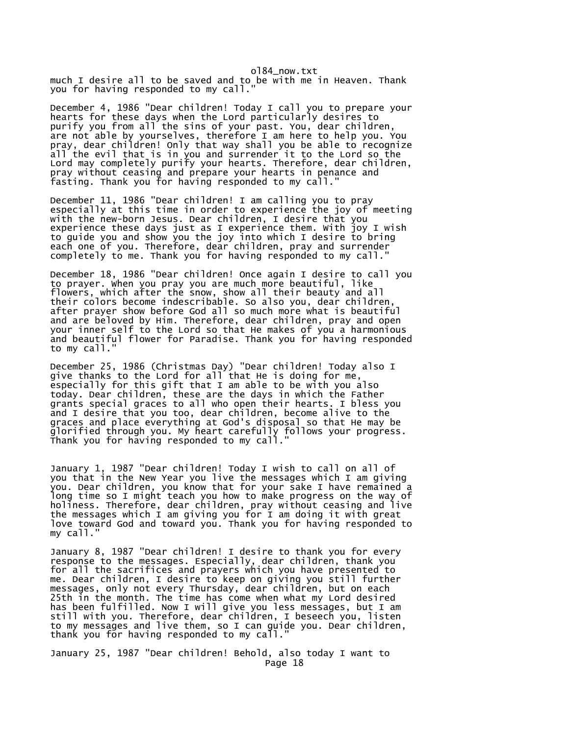ol84\_now.txt much I desire all to be saved and to be with me in Heaven. Thank you for having responded to my call."

December 4, 1986 "Dear children! Today I call you to prepare your hearts for these days when the Lord particularly desires to purify you from all the sins of your past. You, dear children, are not able by yourselves, therefore I am here to help you. You pray, dear children! Only that way shall you be able to recognize all the evil that is in you and surrender it to the Lord so the Lord may completely purify your hearts. Therefore, dear children, pray without ceasing and prepare your hearts in penance and fasting. Thank you for having responded to my call."

December 11, 1986 "Dear children! I am calling you to pray especially at this time in order to experience the joy of meeting with the new-born Jesus. Dear children, I desire that you experience these days just as I experience them. With joy I wish to guide you and show you the joy into which I desire to bring each one of you. Therefore, dear children, pray and surrender completely to me. Thank you for having responded to my call."

December 18, 1986 "Dear children! Once again I desire to call you to prayer. When you pray you are much more beautiful, like flowers, which after the snow, show all their beauty and all their colors become indescribable. So also you, dear children, after prayer show before God all so much more what is beautiful and are beloved by Him. Therefore, dear children, pray and open your inner self to the Lord so that He makes of you a harmonious and beautiful flower for Paradise. Thank you for having responded to my call."

December 25, 1986 (Christmas Day) "Dear children! Today also I give thanks to the Lord for all that He is doing for me, especially for this gift that I am able to be with you also today. Dear children, these are the days in which the Father grants special graces to all who open their hearts. I bless you and I desire that you too, dear children, become alive to the graces and place everything at God's disposal so that He may be glorified through you. My heart carefully follows your progress. Thank you for having responded to my call."

January 1, 1987 "Dear children! Today I wish to call on all of you that in the New Year you live the messages which I am giving you. Dear children, you know that for your sake I have remained a long time so I might teach you how to make progress on the way of holiness. Therefore, dear children, pray without ceasing and live the messages which I am giving you for I am doing it with great love toward God and toward you. Thank you for having responded to my call."

January 8, 1987 "Dear children! I desire to thank you for every response to the messages. Especially, dear children, thank you for all the sacrifices and prayers which you have presented to me. Dear children, I desire to keep on giving you still further messages, only not every Thursday, dear children, but on each 25th in the month. The time has come when what my Lord desired has been fulfilled. Now I will give you less messages, but I am still with you. Therefore, dear children, I beseech you, listen to my messages and live them, so I can guide you. Dear children, thank you for having responded to my call."

January 25, 1987 "Dear children! Behold, also today I want to Page 18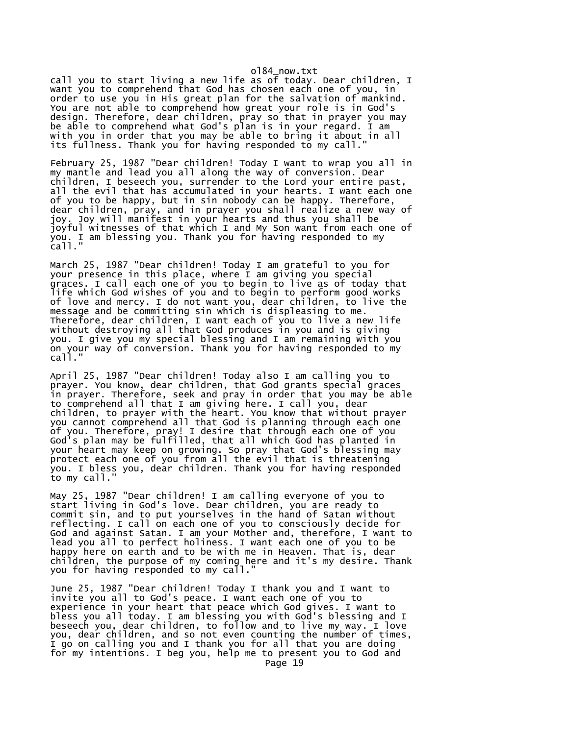call you to start living a new life as of today. Dear children, I want you to comprehend that God has chosen each one of you, in order to use you in His great plan for the salvation of mankind. You are not able to comprehend how great your role is in God's design. Therefore, dear children, pray so that in prayer you may be able to comprehend what God's plan is in your regard. I am with you in order that you may be able to bring it about in all its fullness. Thank you for having responded to my call."

February 25, 1987 "Dear children! Today I want to wrap you all in my mantle and lead you all along the way of conversion. Dear children, I beseech you, surrender to the Lord your entire past, all the evil that has accumulated in your hearts. I want each one of you to be happy, but in sin nobody can be happy. Therefore, dear children, pray, and in prayer you shall realize a new way of joy. Joy will manifest in your hearts and thus you shall be joyful witnesses of that which I and My Son want from each one of you. I am blessing you. Thank you for having responded to my call."

March 25, 1987 "Dear children! Today I am grateful to you for your presence in this place, where I am giving you special graces. I call each one of you to begin to live as of today that life which God wishes of you and to begin to perform good works of love and mercy. I do not want you, dear children, to live the message and be committing sin which is displeasing to me. Therefore, dear children, I want each of you to live a new life without destroying all that God produces in you and is giving you. I give you my special blessing and I am remaining with you on your way of conversion. Thank you for having responded to my call."

April 25, 1987 "Dear children! Today also I am calling you to prayer. You know, dear children, that God grants special graces in prayer. Therefore, seek and pray in order that you may be able to comprehend all that I am giving here. I call you, dear children, to prayer with the heart. You know that without prayer you cannot comprehend all that God is planning through each one of you. Therefore, pray! I desire that through each one of you God's plan may be fulfilled, that all which God has planted in your heart may keep on growing. So pray that God's blessing may protect each one of you from all the evil that is threatening you. I bless you, dear children. Thank you for having responded to my call.

May 25, 1987 "Dear children! I am calling everyone of you to start living in God's love. Dear children, you are ready to commit sin, and to put yourselves in the hand of Satan without reflecting. I call on each one of you to consciously decide for God and against Satan. I am your Mother and, therefore, I want to lead you all to perfect holiness. I want each one of you to be happy here on earth and to be with me in Heaven. That is, dear children, the purpose of my coming here and it's my desire. Thank you for having responded to my call."

June 25, 1987 "Dear children! Today I thank you and I want to invite you all to God's peace. I want each one of you to experience in your heart that peace which God gives. I want to bless you all today. I am blessing you with God's blessing and I beseech you, dear children, to follow and to live my way. I love you, dear children, and so not even counting the number of times, I go on calling you and I thank you for all that you are doing for my intentions. I beg you, help me to present you to God and Page 19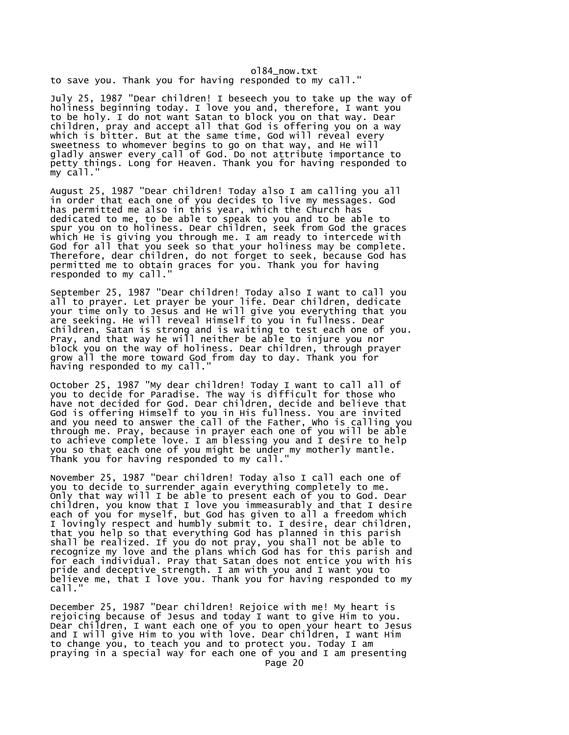ol84\_now.txt to save you. Thank you for having responded to my call."

July 25, 1987 "Dear children! I beseech you to take up the way of holiness beginning today. I love you and, therefore, I want you to be holy. I do not want Satan to block you on that way. Dear children, pray and accept all that God is offering you on a way which is bitter. But at the same time, God will reveal every sweetness to whomever begins to go on that way, and He will gladly answer every call of God. Do not attribute importance to petty things. Long for Heaven. Thank you for having responded to my call."

August 25, 1987 "Dear children! Today also I am calling you all in order that each one of you decides to live my messages. God has permitted me also in this year, which the Church has dedicated to me, to be able to speak to you and to be able to spur you on to holiness. Dear children, seek from God the graces which He is giving you through me. I am ready to intercede with God for all that you seek so that your holiness may be complete. Therefore, dear children, do not forget to seek, because God has permitted me to obtain graces for you. Thank you for having responded to my call."

September 25, 1987 "Dear children! Today also I want to call you all to prayer. Let prayer be your life. Dear children, dedicate your time only to Jesus and He will give you everything that you are seeking. He will reveal Himself to you in fullness. Dear children, Satan is strong and is waiting to test each one of you. Pray, and that way he will neither be able to injure you nor block you on the way of holiness. Dear children, through prayer grow all the more toward God from day to day. Thank you for having responded to my call."

October 25, 1987 "My dear children! Today I want to call all of you to decide for Paradise. The way is difficult for those who have not decided for God. Dear children, decide and believe that God is offering Himself to you in His fullness. You are invited and you need to answer the call of the Father, Who is calling you through me. Pray, because in prayer each one of you will be able to achieve complete love. I am blessing you and I desire to help you so that each one of you might be under my motherly mantle. Thank you for having responded to my call."

November 25, 1987 "Dear children! Today also I call each one of you to decide to surrender again everything completely to me. Only that way will I be able to present each of you to God. Dear children, you know that I love you immeasurably and that I desire each of you for myself, but God has given to all a freedom which I lovingly respect and humbly submit to. I desire, dear children, that you help so that everything God has planned in this parish shall be realized. If you do not pray, you shall not be able to recognize my love and the plans which God has for this parish and for each individual. Pray that Satan does not entice you with his pride and deceptive strength. I am with you and I want you to believe me, that I love you. Thank you for having responded to my call.

December 25, 1987 "Dear children! Rejoice with me! My heart is rejoicing because of Jesus and today I want to give Him to you. Dear children, I want each one of you to open your heart to Jesus and I will give Him to you with love. Dear children, I want Him to change you, to teach you and to protect you. Today I am praying in a special way for each one of you and I am presenting Page 20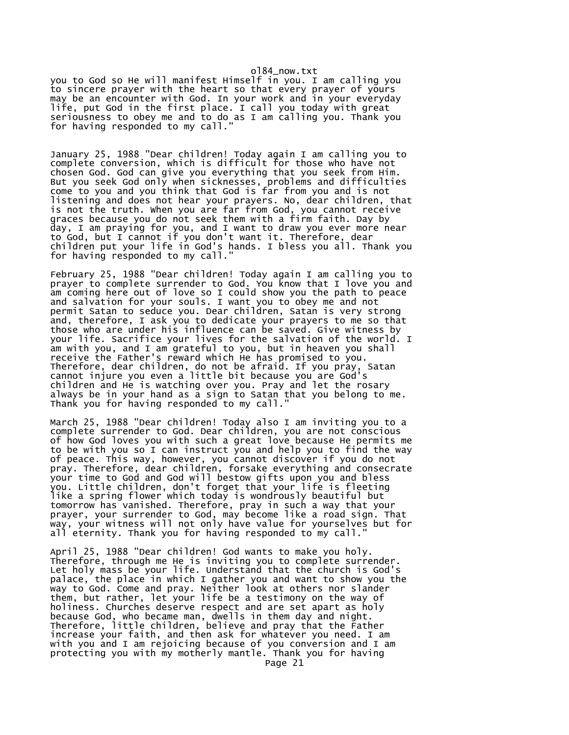you to God so He will manifest Himself in you. I am calling you to sincere prayer with the heart so that every prayer of yours may be an encounter with God. In your work and in your everyday life, put God in the first place. I call you today with great seriousness to obey me and to do as I am calling you. Thank you for having responded to my call."

January 25, 1988 "Dear children! Today again I am calling you to complete conversion, which is difficult for those who have not chosen God. God can give you everything that you seek from Him. But you seek God only when sicknesses, problems and difficulties come to you and you think that God is far from you and is not listening and does not hear your prayers. No, dear children, that is not the truth. When you are far from God, you cannot receive graces because you do not seek them with a firm faith. Day by day, I am praying for you, and I want to draw you ever more near to God, but I cannot if you don't want it. Therefore, dear children put your life in God's hands. I bless you all. Thank you for having responded to my call."

February 25, 1988 "Dear children! Today again I am calling you to prayer to complete surrender to God. You know that I love you and am coming here out of love so I could show you the path to peace and salvation for your souls. I want you to obey me and not permit Satan to seduce you. Dear children, Satan is very strong and, therefore, I ask you to dedicate your prayers to me so that those who are under his influence can be saved. Give witness by your life. Sacrifice your lives for the salvation of the world. I am with you, and I am grateful to you, but in heaven you shall receive the Father's reward which He has promised to you. Therefore, dear children, do not be afraid. If you pray, Satan cannot injure you even a little bit because you are God's children and He is watching over you. Pray and let the rosary always be in your hand as a sign to Satan that you belong to me. Thank you for having responded to my call."

March 25, 1988 "Dear children! Today also I am inviting you to a complete surrender to God. Dear children, you are not conscious of how God loves you with such a great love because He permits me to be with you so I can instruct you and help you to find the way of peace. This way, however, you cannot discover if you do not pray. Therefore, dear children, forsake everything and consecrate your time to God and God will bestow gifts upon you and bless you. Little children, don't forget that your life is fleeting like a spring flower which today is wondrously beautiful but tomorrow has vanished. Therefore, pray in such a way that your prayer, your surrender to God, may become like a road sign. That way, your witness will not only have value for yourselves but for all eternity. Thank you for having responded to my call."

April 25, 1988 "Dear children! God wants to make you holy. Therefore, through me He is inviting you to complete surrender. Let holy mass be your life. Understand that the church is God's palace, the place in which I gather you and want to show you the way to God. Come and pray. Neither look at others nor slander them, but rather, let your life be a testimony on the way of holiness. Churches deserve respect and are set apart as holy because God, who became man, dwells in them day and night. Therefore, little children, believe and pray that the Father increase your faith, and then ask for whatever you need. I am with you and I am rejoicing because of you conversion and I am protecting you with my motherly mantle. Thank you for having Page 21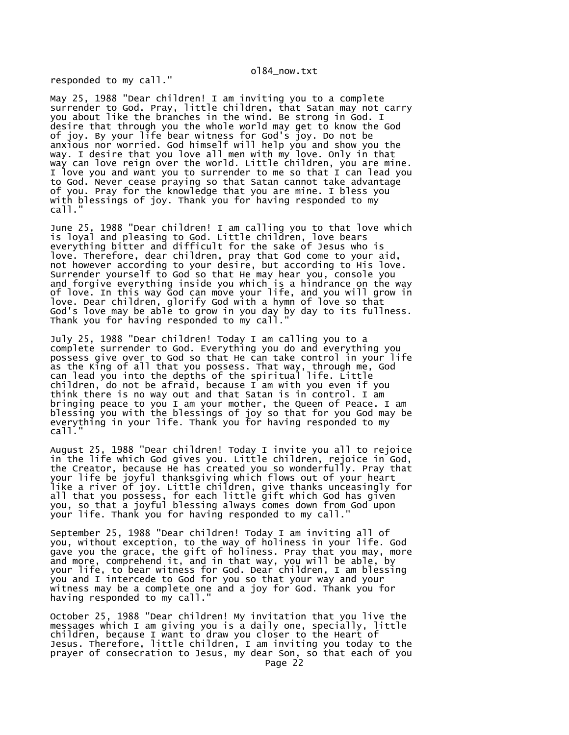responded to my call."

May 25, 1988 "Dear children! I am inviting you to a complete surrender to God. Pray, little children, that Satan may not carry you about like the branches in the wind. Be strong in God. I desire that through you the whole world may get to know the God of joy. By your life bear witness for God's joy. Do not be anxious nor worried. God himself will help you and show you the way. I desire that you love all men with my love. Only in that way can love reign over the world. Little children, you are mine. I love you and want you to surrender to me so that I can lead you to God. Never cease praying so that Satan cannot take advantage of you. Pray for the knowledge that you are mine. I bless you with blessings of joy. Thank you for having responded to my call."

June 25, 1988 "Dear children! I am calling you to that love which is loyal and pleasing to God. Little children, love bears everything bitter and difficult for the sake of Jesus who is love. Therefore, dear children, pray that God come to your aid, not however according to your desire, but according to His love. Surrender yourself to God so that He may hear you, console you and forgive everything inside you which is a hindrance on the way of love. In this way God can move your life, and you will grow in love. Dear children, glorify God with a hymn of love so that God's love may be able to grow in you day by day to its fullness. Thank you for having responded to my call."

July 25, 1988 "Dear children! Today I am calling you to a complete surrender to God. Everything you do and everything you possess give over to God so that He can take control in your life as the King of all that you possess. That way, through me, God can lead you into the depths of the spiritual life. Little children, do not be afraid, because I am with you even if you think there is no way out and that Satan is in control. I am bringing peace to you I am your mother, the Queen of Peace. I am blessing you with the blessings of joy so that for you God may be everything in your life. Thank you for having responded to my  $ca11.$ 

August 25, 1988 "Dear children! Today I invite you all to rejoice in the life which God gives you. Little children, rejoice in God, the Creator, because He has created you so wonderfully. Pray that your life be joyful thanksgiving which flows out of your heart like a river of joy. Little children, give thanks unceasingly for all that you possess, for each little gift which God has given you, so that a joyful blessing always comes down from God upon your life. Thank you for having responded to my call."

September 25, 1988 "Dear children! Today I am inviting all of you, without exception, to the way of holiness in your life. God gave you the grace, the gift of holiness. Pray that you may, more and more, comprehend it, and in that way, you will be able, by your life, to bear witness for God. Dear children, I am blessing you and I intercede to God for you so that your way and your witness may be a complete one and a joy for God. Thank you for having responded to my call."

October 25, 1988 "Dear children! My invitation that you live the messages which I am giving you is a daily one, specially, little children, because I want to draw you closer to the Heart of Jesus. Therefore, little children, I am inviting you today to the prayer of consecration to Jesus, my dear Son, so that each of you Page 22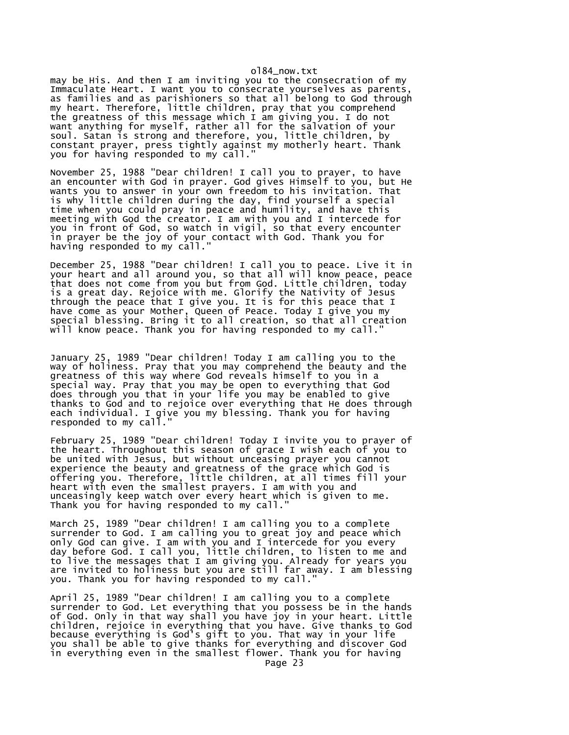may be His. And then I am inviting you to the consecration of my Immaculate Heart. I want you to consecrate yourselves as parents, as families and as parishioners so that all belong to God through my heart. Therefore, little children, pray that you comprehend the greatness of this message which I am giving you. I do not want anything for myself, rather all for the salvation of your soul. Satan is strong and therefore, you, little children, by constant prayer, press tightly against my motherly heart. Thank you for having responded to my call."

November 25, 1988 "Dear children! I call you to prayer, to have an encounter with God in prayer. God gives Himself to you, but He wants you to answer in your own freedom to his invitation. That is why little children during the day, find yourself a special time when you could pray in peace and humility, and have this meeting with God the creator. I am with you and I intercede for you in front of God, so watch in vigil, so that every encounter in prayer be the joy of your contact with God. Thank you for having responded to my call."

December 25, 1988 "Dear children! I call you to peace. Live it in your heart and all around you, so that all will know peace, peace that does not come from you but from God. Little children, today is a great day. Rejoice with me. Glorify the Nativity of Jesus through the peace that I give you. It is for this peace that I have come as your Mother, Queen of Peace. Today I give you my special blessing. Bring it to all creation, so that all creation will know peace. Thank you for having responded to my call."

January 25, 1989 "Dear children! Today I am calling you to the way of holiness. Pray that you may comprehend the beauty and the greatness of this way where God reveals himself to you in a special way. Pray that you may be open to everything that God does through you that in your life you may be enabled to give thanks to God and to rejoice over everything that He does through each individual. I give you my blessing. Thank you for having responded to my call."

February 25, 1989 "Dear children! Today I invite you to prayer of the heart. Throughout this season of grace I wish each of you to be united with Jesus, but without unceasing prayer you cannot experience the beauty and greatness of the grace which God is offering you. Therefore, little children, at all times fill your heart with even the smallest prayers. I am with you and unceasingly keep watch over every heart which is given to me. Thank you for having responded to my call."

March 25, 1989 "Dear children! I am calling you to a complete surrender to God. I am calling you to great joy and peace which only God can give. I am with you and I intercede for you every day before God. I call you, little children, to listen to me and to live the messages that I am giving you. Already for years you are invited to holiness but you are still far away. I am blessing you. Thank you for having responded to my call."

April 25, 1989 "Dear children! I am calling you to a complete surrender to God. Let everything that you possess be in the hands of God. Only in that way shall you have joy in your heart. Little children, rejoice in everything that you have. Give thanks to God because everything is God's gift to you. That way in your life you shall be able to give thanks for everything and discover God in everything even in the smallest flower. Thank you for having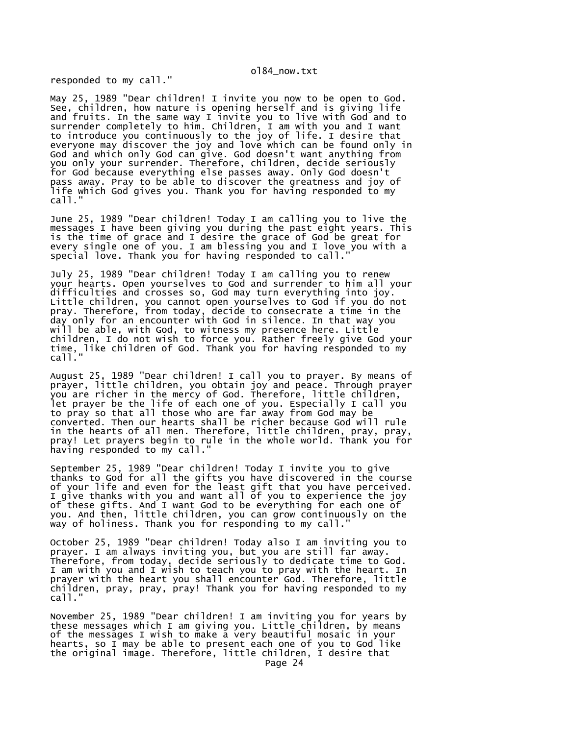responded to my call."

May 25, 1989 "Dear children! I invite you now to be open to God. See, children, how nature is opening herself and is giving life and fruits. In the same way I invite you to live with God and to surrender completely to him. Children, I am with you and I want to introduce you continuously to the joy of life. I desire that everyone may discover the joy and love which can be found only in God and which only God can give. God doesn't want anything from you only your surrender. Therefore, children, decide seriously for God because everything else passes away. Only God doesn't pass away. Pray to be able to discover the greatness and joy of life which God gives you. Thank you for having responded to my call."

June 25, 1989 "Dear children! Today I am calling you to live the messages I have been giving you during the past eight years. This is the time of grace and I desire the grace of God be great for every single one of you. I am blessing you and I love you with a special love. Thank you for having responded to call."

July 25, 1989 "Dear children! Today I am calling you to renew your hearts. Open yourselves to God and surrender to him all your difficulties and crosses so, God may turn everything into joy. Little children, you cannot open yourselves to God if you do not pray. Therefore, from today, decide to consecrate a time in the day only for an encounter with God in silence. In that way you will be able, with God, to witness my presence here. Little children, I do not wish to force you. Rather freely give God your time, like children of God. Thank you for having responded to my call."

August 25, 1989 "Dear children! I call you to prayer. By means of prayer, little children, you obtain joy and peace. Through prayer you are richer in the mercy of God. Therefore, little children, let prayer be the life of each one of you. Especially I call you to pray so that all those who are far away from God may be converted. Then our hearts shall be richer because God will rule in the hearts of all men. Therefore, little children, pray, pray, pray! Let prayers begin to rule in the whole world. Thank you for having responded to my call."

September 25, 1989 "Dear children! Today I invite you to give thanks to God for all the gifts you have discovered in the course of your life and even for the least gift that you have perceived. I give thanks with you and want all of you to experience the joy of these gifts. And I want God to be everything for each one of you. And then, little children, you can grow continuously on the way of holiness. Thank you for responding to my call."

October 25, 1989 "Dear children! Today also I am inviting you to prayer. I am always inviting you, but you are still far away. Therefore, from today, decide seriously to dedicate time to God. I am with you and I wish to teach you to pray with the heart. In prayer with the heart you shall encounter God. Therefore, little children, pray, pray, pray! Thank you for having responded to my call."

November 25, 1989 "Dear children! I am inviting you for years by these messages which I am giving you. Little children, by means of the messages I wish to make a very beautiful mosaic in your hearts, so I may be able to present each one of you to God like the original image. Therefore, little children, I desire that Page 24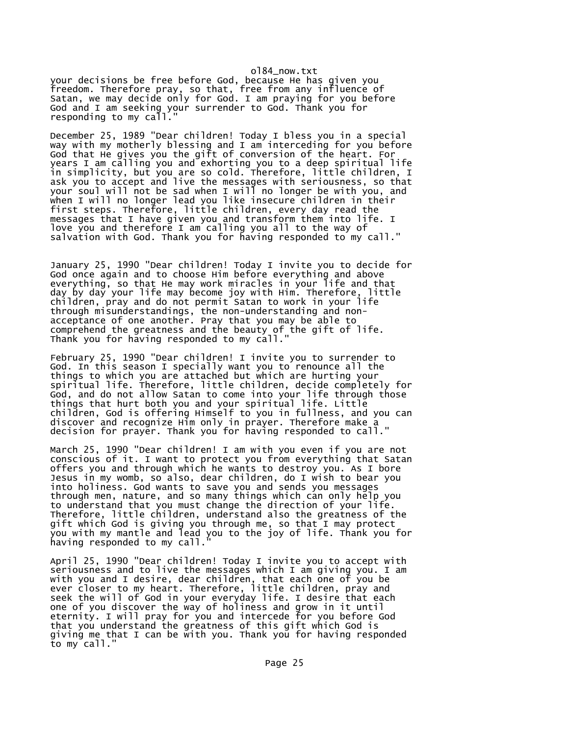ol84\_now.txt your decisions be free before God, because He has given you freedom. Therefore pray, so that, free from any influence of Satan, we may decide only for God. I am praying for you before God and I am seeking your surrender to God. Thank you for responding to my call."

December 25, 1989 "Dear children! Today I bless you in a special way with my motherly blessing and I am interceding for you before God that He gives you the gift of conversion of the heart. For years I am calling you and exhorting you to a deep spiritual life in simplicity, but you are so cold. Therefore, little children, I ask you to accept and live the messages with seriousness, so that your soul will not be sad when I will no longer be with you, and when I will no longer lead you like insecure children in their first steps. Therefore, little children, every day read the messages that I have given you and transform them into life. I love you and therefore I am calling you all to the way of salvation with God. Thank you for having responded to my call."

January 25, 1990 "Dear children! Today I invite you to decide for God once again and to choose Him before everything and above everything, so that He may work miracles in your life and that day by day your life may become joy with Him. Therefore, little children, pray and do not permit Satan to work in your life through misunderstandings, the non-understanding and nonacceptance of one another. Pray that you may be able to comprehend the greatness and the beauty of the gift of life. Thank you for having responded to my call."

February 25, 1990 "Dear children! I invite you to surrender to God. In this season I specially want you to renounce all the things to which you are attached but which are hurting your spiritual life. Therefore, little children, decide completely for God, and do not allow Satan to come into your life through those things that hurt both you and your spiritual life. Little children, God is offering Himself to you in fullness, and you can discover and recognize Him only in prayer. Therefore make a decision for prayer. Thank you for having responded to call."

March 25, 1990 "Dear children! I am with you even if you are not conscious of it. I want to protect you from everything that Satan offers you and through which he wants to destroy you. As I bore Jesus in my womb, so also, dear children, do I wish to bear you into holiness. God wants to save you and sends you messages through men, nature, and so many things which can only help you to understand that you must change the direction of your life. Therefore, little children, understand also the greatness of the gift which God is giving you through me, so that I may protect you with my mantle and lead you to the joy of life. Thank you for having responded to my call."

April 25, 1990 "Dear children! Today I invite you to accept with seriousness and to live the messages which I am giving you. I am with you and I desire, dear children, that each one of you be ever closer to my heart. Therefore, little children, pray and seek the will of God in your everyday life. I desire that each one of you discover the way of holiness and grow in it until eternity. I will pray for you and intercede for you before God that you understand the greatness of this gift which God is giving me that I can be with you. Thank you for having responded to my call."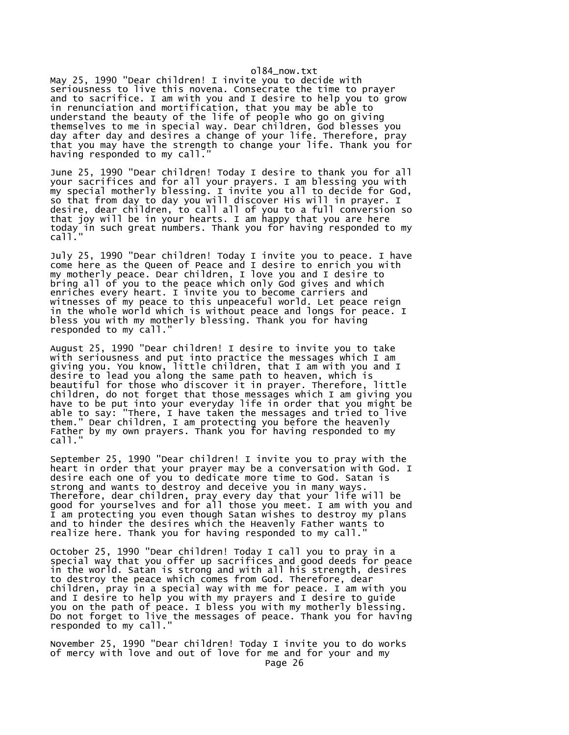May 25, 1990 "Dear children! I invite you to decide with seriousness to live this novena. Consecrate the time to prayer and to sacrifice. I am with you and I desire to help you to grow in renunciation and mortification, that you may be able to understand the beauty of the life of people who go on giving themselves to me in special way. Dear children, God blesses you day after day and desires a change of your life. Therefore, pray that you may have the strength to change your life. Thank you for having responded to my call.

June 25, 1990 "Dear children! Today I desire to thank you for all your sacrifices and for all your prayers. I am blessing you with my special motherly blessing. I invite you all to decide for God, so that from day to day you will discover His will in prayer. I desire, dear children, to call all of you to a full conversion so that joy will be in your hearts. I am happy that you are here today in such great numbers. Thank you for having responded to my call."

July 25, 1990 "Dear children! Today I invite you to peace. I have come here as the Queen of Peace and I desire to enrich you with my motherly peace. Dear children, I love you and I desire to bring all of you to the peace which only God gives and which enriches every heart. I invite you to become carriers and witnesses of my peace to this unpeaceful world. Let peace reign in the whole world which is without peace and longs for peace. I bless you with my motherly blessing. Thank you for having responded to my call."

August 25, 1990 "Dear children! I desire to invite you to take with seriousness and put into practice the messages which I am giving you. You know, little children, that I am with you and I desire to lead you along the same path to heaven, which is beautiful for those who discover it in prayer. Therefore, little children, do not forget that those messages which I am giving you have to be put into your everyday life in order that you might be able to say: "There, I have taken the messages and tried to live them." Dear children, I am protecting you before the heavenly Father by my own prayers. Thank you for having responded to my call."

September 25, 1990 "Dear children! I invite you to pray with the heart in order that your prayer may be a conversation with God. I desire each one of you to dedicate more time to God. Satan is strong and wants to destroy and deceive you in many ways. Therefore, dear children, pray every day that your life will be good for yourselves and for all those you meet. I am with you and I am protecting you even though Satan wishes to destroy my plans and to hinder the desires which the Heavenly Father wants to realize here. Thank you for having responded to my call."

October 25, 1990 "Dear children! Today I call you to pray in a special way that you offer up sacrifices and good deeds for peace in the world. Satan is strong and with all his strength, desires to destroy the peace which comes from God. Therefore, dear children, pray in a special way with me for peace. I am with you and I desire to help you with my prayers and I desire to guide you on the path of peace. I bless you with my motherly blessing. Do not forget to live the messages of peace. Thank you for having responded to my call."

November 25, 1990 "Dear children! Today I invite you to do works of mercy with love and out of love for me and for your and my Page 26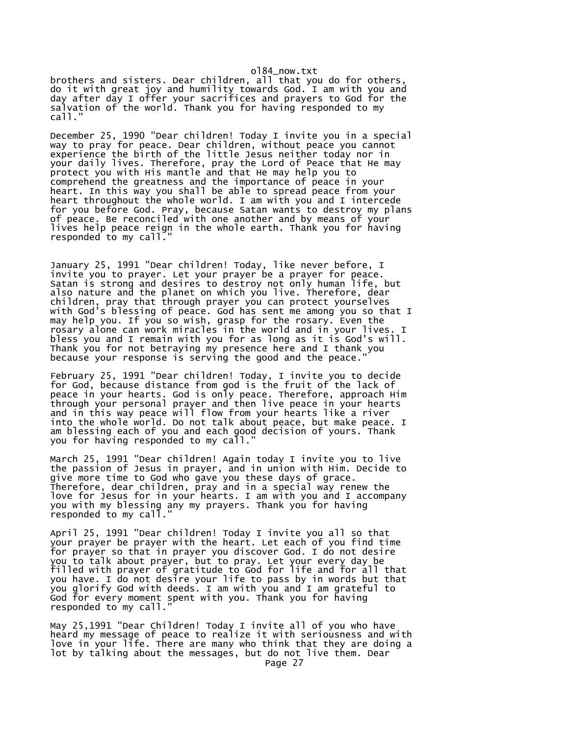brothers and sisters. Dear children, all that you do for others, do it with great joy and humility towards God. I am with you and day after day I offer your sacrifices and prayers to God for the salvation of the world. Thank you for having responded to my call."

December 25, 1990 "Dear children! Today I invite you in a special way to pray for peace. Dear children, without peace you cannot experience the birth of the little Jesus neither today nor in your daily lives. Therefore, pray the Lord of Peace that He may protect you with His mantle and that He may help you to comprehend the greatness and the importance of peace in your heart. In this way you shall be able to spread peace from your heart throughout the whole world. I am with you and I intercede for you before God. Pray, because Satan wants to destroy my plans of peace. Be reconciled with one another and by means of your lives help peace reign in the whole earth. Thank you for having responded to my call."

January 25, 1991 "Dear children! Today, like never before, I invite you to prayer. Let your prayer be a prayer for peace. Satan is strong and desires to destroy not only human life, but also nature and the planet on which you live. Therefore, dear children, pray that through prayer you can protect yourselves with God's blessing of peace. God has sent me among you so that I may help you. If you so wish, grasp for the rosary. Even the rosary alone can work miracles in the world and in your lives. I bless you and I remain with you for as long as it is God's will. Thank you for not betraying my presence here and I thank you because your response is serving the good and the peace.

February 25, 1991 "Dear children! Today, I invite you to decide for God, because distance from god is the fruit of the lack of peace in your hearts. God is only peace. Therefore, approach Him through your personal prayer and then live peace in your hearts and in this way peace will flow from your hearts like a river into the whole world. Do not talk about peace, but make peace. I am blessing each of you and each good decision of yours. Thank you for having responded to my call."

March 25, 1991 "Dear children! Again today I invite you to live the passion of Jesus in prayer, and in union with Him. Decide to give more time to God who gave you these days of grace. Therefore, dear children, pray and in a special way renew the love for Jesus for in your hearts. I am with you and I accompany you with my blessing any my prayers. Thank you for having responded to my call."

April 25, 1991 "Dear children! Today I invite you all so that your prayer be prayer with the heart. Let each of you find time for prayer so that in prayer you discover God. I do not desire you to talk about prayer, but to pray. Let your every day be filled with prayer of gratitude to God for life and for all that you have. I do not desire your life to pass by in words but that you glorify God with deeds. I am with you and I am grateful to God for every moment spent with you. Thank you for having responded to my call."

May 25,1991 "Dear Children! Today I invite all of you who have heard my message of peace to realize it with seriousness and with love in your life. There are many who think that they are doing a lot by talking about the messages, but do not live them. Dear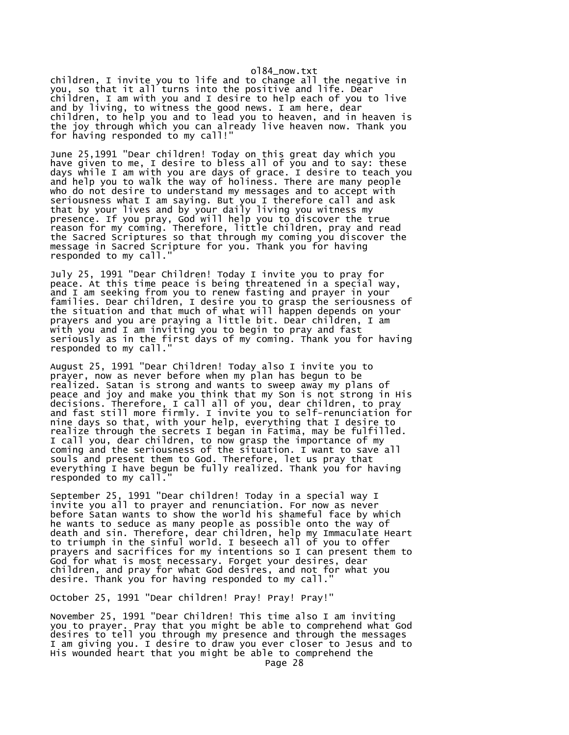children, I invite you to life and to change all the negative in you, so that it all turns into the positive and life. Dear children, I am with you and I desire to help each of you to live and by living, to witness the good news. I am here, dear children, to help you and to lead you to heaven, and in heaven is the joy through which you can already live heaven now. Thank you for having responded to my call!"

June 25,1991 "Dear children! Today on this great day which you have given to me, I desire to bless all of you and to say: these days while I am with you are days of grace. I desire to teach you and help you to walk the way of holiness. There are many people who do not desire to understand my messages and to accept with seriousness what I am saying. But you I therefore call and ask that by your lives and by your daily living you witness my presence. If you pray, God will help you to discover the true reason for my coming. Therefore, little children, pray and read the Sacred Scriptures so that through my coming you discover the message in Sacred Scripture for you. Thank you for having responded to my call.

July 25, 1991 "Dear Children! Today I invite you to pray for peace. At this time peace is being threatened in a special way, and I am seeking from you to renew fasting and prayer in your families. Dear children, I desire you to grasp the seriousness of the situation and that much of what will happen depends on your prayers and you are praying a little bit. Dear children, I am with you and I am inviting you to begin to pray and fast seriously as in the first days of my coming. Thank you for having responded to my call.

August 25, 1991 "Dear Children! Today also I invite you to prayer, now as never before when my plan has begun to be realized. Satan is strong and wants to sweep away my plans of peace and joy and make you think that my Son is not strong in His decisions. Therefore, I call all of you, dear children, to pray and fast still more firmly. I invite you to self-renunciation for nine days so that, with your help, everything that I desire to realize through the secrets I began in Fatima, may be fulfilled. I call you, dear children, to now grasp the importance of my coming and the seriousness of the situation. I want to save all souls and present them to God. Therefore, let us pray that everything I have begun be fully realized. Thank you for having responded to my call.

September 25, 1991 "Dear children! Today in a special way I invite you all to prayer and renunciation. For now as never before Satan wants to show the world his shameful face by which he wants to seduce as many people as possible onto the way of death and sin. Therefore, dear children, help my Immaculate Heart to triumph in the sinful world. I beseech all of you to offer prayers and sacrifices for my intentions so I can present them to God for what is most necessary. Forget your desires, dear children, and pray for what God desires, and not for what you desire. Thank you for having responded to my call."

October 25, 1991 "Dear children! Pray! Pray! Pray!"

November 25, 1991 "Dear Children! This time also I am inviting you to prayer. Pray that you might be able to comprehend what God desires to tell you through my presence and through the messages I am giving you. I desire to draw you ever closer to Jesus and to His wounded heart that you might be able to comprehend the Page 28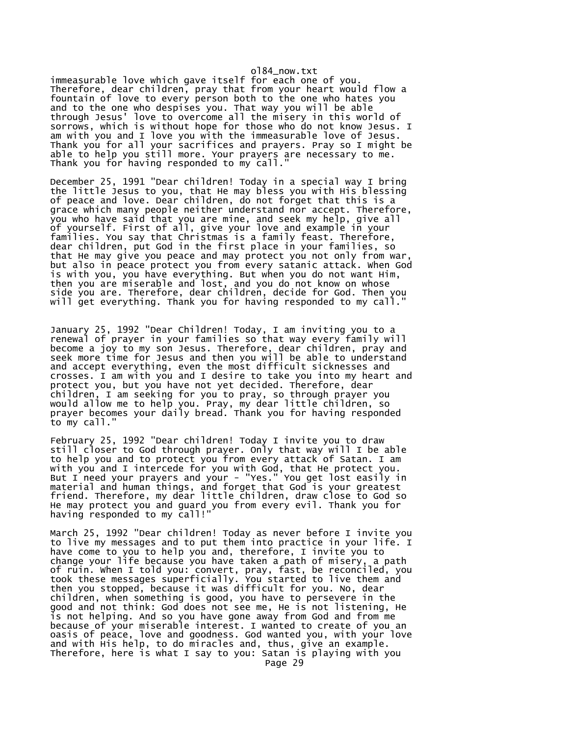immeasurable love which gave itself for each one of you. Therefore, dear children, pray that from your heart would flow a fountain of love to every person both to the one who hates you and to the one who despises you. That way you will be able through Jesus' love to overcome all the misery in this world of sorrows, which is without hope for those who do not know Jesus. I am with you and I love you with the immeasurable love of Jesus. Thank you for all your sacrifices and prayers. Pray so I might be able to help you still more. Your prayers are necessary to me. Thank you for having responded to my call."

December 25, 1991 "Dear children! Today in a special way I bring the little Jesus to you, that He may bless you with His blessing of peace and love. Dear children, do not forget that this is a grace which many people neither understand nor accept. Therefore, you who have said that you are mine, and seek my help, give all of yourself. First of all, give your love and example in your families. You say that Christmas is a family feast. Therefore, dear children, put God in the first place in your families, so that He may give you peace and may protect you not only from war, but also in peace protect you from every satanic attack. When God is with you, you have everything. But when you do not want Him, then you are miserable and lost, and you do not know on whose side you are. Therefore, dear children, decide for God. Then you will get everything. Thank you for having responded to my call."

January 25, 1992 "Dear Children! Today, I am inviting you to a renewal of prayer in your families so that way every family will become a joy to my son Jesus. Therefore, dear children, pray and seek more time for Jesus and then you will be able to understand and accept everything, even the most difficult sicknesses and crosses. I am with you and I desire to take you into my heart and protect you, but you have not yet decided. Therefore, dear children, I am seeking for you to pray, so through prayer you would allow me to help you. Pray, my dear little children, so prayer becomes your daily bread. Thank you for having responded to my call."

February 25, 1992 "Dear children! Today I invite you to draw still closer to God through prayer. Only that way will I be able to help you and to protect you from every attack of Satan. I am with you and I intercede for you with God, that He protect you. But I need your prayers and your - "Yes." You get lost easily in material and human things, and forget that God is your greatest friend. Therefore, my dear little children, draw close to God so He may protect you and guard you from every evil. Thank you for having responded to my call!

March 25, 1992 "Dear children! Today as never before I invite you to live my messages and to put them into practice in your life. I have come to you to help you and, therefore, I invite you to change your life because you have taken a path of misery, a path of ruin. When I told you: convert, pray, fast, be reconciled, you took these messages superficially. You started to live them and then you stopped, because it was difficult for you. No, dear children, when something is good, you have to persevere in the good and not think: God does not see me, He is not listening, He is not helping. And so you have gone away from God and from me because of your miserable interest. I wanted to create of you an oasis of peace, love and goodness. God wanted you, with your love and with His help, to do miracles and, thus, give an example. Therefore, here is what I say to you: Satan is playing with you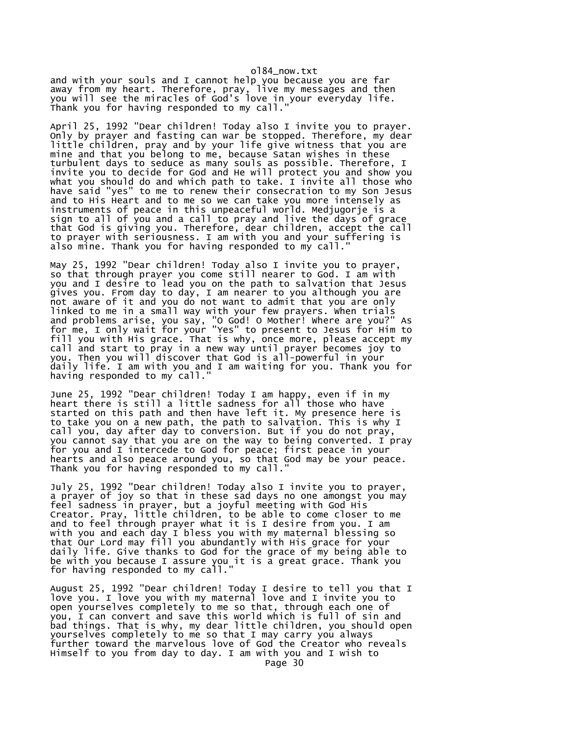ol84\_now.txt and with your souls and I cannot help you because you are far away from my heart. Therefore, pray, live my messages and then you will see the miracles of God's love in your everyday life. Thank you for having responded to my call."

April 25, 1992 "Dear children! Today also I invite you to prayer. Only by prayer and fasting can war be stopped. Therefore, my dear little children, pray and by your life give witness that you are mine and that you belong to me, because Satan wishes in these turbulent days to seduce as many souls as possible. Therefore, I invite you to decide for God and He will protect you and show you what you should do and which path to take. I invite all those who have said "yes" to me to renew their consecration to my Son Jesus and to His Heart and to me so we can take you more intensely as instruments of peace in this unpeaceful world. Medjugorje is a sign to all of you and a call to pray and live the days of grace that God is giving you. Therefore, dear children, accept the call to prayer with seriousness. I am with you and your suffering is also mine. Thank you for having responded to my call."

May 25, 1992 "Dear children! Today also I invite you to prayer, so that through prayer you come still nearer to God. I am with you and I desire to lead you on the path to salvation that Jesus gives you. From day to day, I am nearer to you although you are not aware of it and you do not want to admit that you are only linked to me in a small way with your few prayers. When trials and problems arise, you say, "O God! O Mother! Where are you?" As for me, I only wait for your "Yes" to present to Jesus for Him to fill you with His grace. That is why, once more, please accept my call and start to pray in a new way until prayer becomes joy to you. Then you will discover that God is all-powerful in your daily life. I am with you and I am waiting for you. Thank you for having responded to my call."

June 25, 1992 "Dear children! Today I am happy, even if in my heart there is still a little sadness for all those who have started on this path and then have left it. My presence here is to take you on a new path, the path to salvation. This is why I call you, day after day to conversion. But if you do not pray, you cannot say that you are on the way to being converted. I pray for you and I intercede to God for peace; first peace in your hearts and also peace around you, so that God may be your peace. Thank you for having responded to my call."

July 25, 1992 "Dear children! Today also I invite you to prayer, a prayer of joy so that in these sad days no one amongst you may feel sadness in prayer, but a joyful meeting with God His Creator. Pray, little children, to be able to come closer to me and to feel through prayer what it is I desire from you. I am with you and each day I bless you with my maternal blessing so that Our Lord may fill you abundantly with His grace for your daily life. Give thanks to God for the grace of my being able to be with you because I assure you it is a great grace. Thank you for having responded to my call."

August 25, 1992 "Dear children! Today I desire to tell you that I love you. I love you with my maternal love and I invite you to open yourselves completely to me so that, through each one of you, I can convert and save this world which is full of sin and bad things. That is why, my dear little children, you should open yourselves completely to me so that I may carry you always further toward the marvelous love of God the Creator who reveals Himself to you from day to day. I am with you and I wish to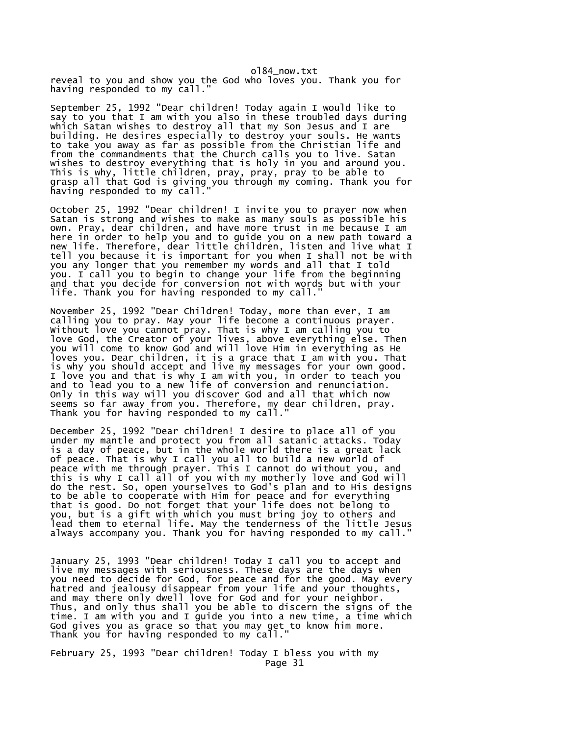ol84\_now.txt reveal to you and show you the God who loves you. Thank you for having responded to my call.

September 25, 1992 "Dear children! Today again I would like to say to you that I am with you also in these troubled days during which Satan wishes to destroy all that my Son Jesus and I are building. He desires especially to destroy your souls. He wants to take you away as far as possible from the Christian life and from the commandments that the Church calls you to live. Satan wishes to destroy everything that is holy in you and around you. This is why, little children, pray, pray, pray to be able to grasp all that God is giving you through my coming. Thank you for having responded to my call.

October 25, 1992 "Dear children! I invite you to prayer now when Satan is strong and wishes to make as many souls as possible his own. Pray, dear children, and have more trust in me because I am here in order to help you and to guide you on a new path toward a new life. Therefore, dear little children, listen and live what I tell you because it is important for you when I shall not be with you any longer that you remember my words and all that I told you. I call you to begin to change your life from the beginning and that you decide for conversion not with words but with your life. Thank you for having responded to my call."

November 25, 1992 "Dear Children! Today, more than ever, I am calling you to pray. May your life become a continuous prayer. Without love you cannot pray. That is why I am calling you to love God, the Creator of your lives, above everything else. Then you will come to know God and will love Him in everything as He loves you. Dear children, it is a grace that I am with you. That is why you should accept and live my messages for your own good. I love you and that is why I am with you, in order to teach you and to lead you to a new life of conversion and renunciation. Only in this way will you discover God and all that which now seems so far away from you. Therefore, my dear children, pray. Thank you for having responded to my call."

December 25, 1992 "Dear children! I desire to place all of you under my mantle and protect you from all satanic attacks. Today is a day of peace, but in the whole world there is a great lack of peace. That is why I call you all to build a new world of peace with me through prayer. This I cannot do without you, and this is why I call all of you with my motherly love and God will do the rest. So, open yourselves to God's plan and to His designs to be able to cooperate with Him for peace and for everything that is good. Do not forget that your life does not belong to you, but is a gift with which you must bring joy to others and lead them to eternal life. May the tenderness of the little Jesus always accompany you. Thank you for having responded to my call."

January 25, 1993 "Dear children! Today I call you to accept and live my messages with seriousness. These days are the days when you need to decide for God, for peace and for the good. May every hatred and jealousy disappear from your life and your thoughts, and may there only dwell love for God and for your neighbor. Thus, and only thus shall you be able to discern the signs of the time. I am with you and I guide you into a new time, a time which God gives you as grace so that you may get to know him more. Thank you for having responded to my call."

February 25, 1993 "Dear children! Today I bless you with my Page 31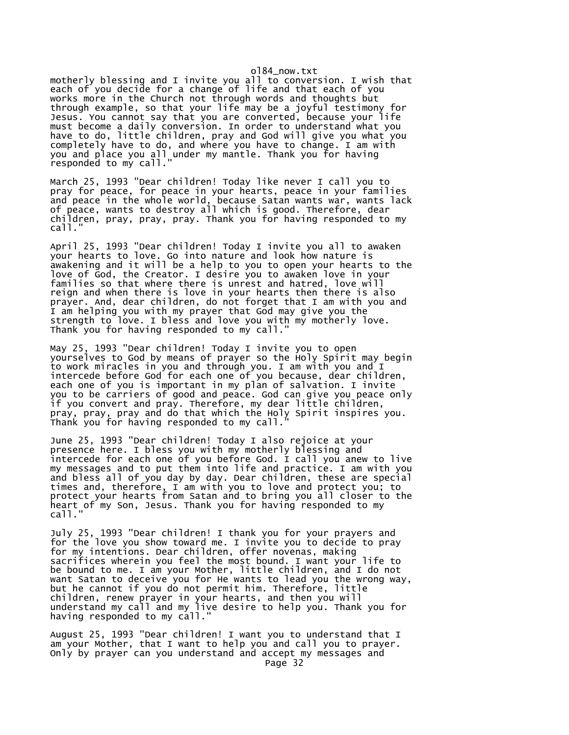motherly blessing and I invite you all to conversion. I wish that each of you decide for a change of life and that each of you works more in the Church not through words and thoughts but through example, so that your life may be a joyful testimony for Jesus. You cannot say that you are converted, because your life must become a daily conversion. In order to understand what you have to do, little children, pray and God will give you what you completely have to do, and where you have to change. I am with you and place you all under my mantle. Thank you for having responded to my call."

March 25, 1993 "Dear children! Today like never I call you to pray for peace, for peace in your hearts, peace in your families and peace in the whole world, because Satan wants war, wants lack of peace, wants to destroy all which is good. Therefore, dear children, pray, pray, pray. Thank you for having responded to my call."

April 25, 1993 "Dear children! Today I invite you all to awaken your hearts to love. Go into nature and look how nature is awakening and it will be a help to you to open your hearts to the love of God, the Creator. I desire you to awaken love in your families so that where there is unrest and hatred, love will reign and when there is love in your hearts then there is also prayer. And, dear children, do not forget that I am with you and I am helping you with my prayer that God may give you the strength to love. I bless and love you with my motherly love. Thank you for having responded to my call."

May 25, 1993 "Dear children! Today I invite you to open yourselves to God by means of prayer so the Holy Spirit may begin to work miracles in you and through you. I am with you and I intercede before God for each one of you because, dear children, each one of you is important in my plan of salvation. I invite you to be carriers of good and peace. God can give you peace only if you convert and pray. Therefore, my dear little children, pray, pray, pray and do that which the Holy Spirit inspires you. Thank you for having responded to my call."

June 25, 1993 "Dear children! Today I also rejoice at your presence here. I bless you with my motherly blessing and intercede for each one of you before God. I call you anew to live my messages and to put them into life and practice. I am with you and bless all of you day by day. Dear children, these are special times and, therefore, I am with you to love and protect you; to protect your hearts from Satan and to bring you all closer to the heart of my Son, Jesus. Thank you for having responded to my call.

July 25, 1993 "Dear children! I thank you for your prayers and for the love you show toward me. I invite you to decide to pray for my intentions. Dear children, offer novenas, making sacrifices wherein you feel the most bound. I want your life to be bound to me. I am your Mother, little children, and I do not want Satan to deceive you for He wants to lead you the wrong way, but he cannot if you do not permit him. Therefore, little children, renew prayer in your hearts, and then you will understand my call and my live desire to help you. Thank you for having responded to my call."

August 25, 1993 "Dear children! I want you to understand that I am your Mother, that I want to help you and call you to prayer. Only by prayer can you understand and accept my messages and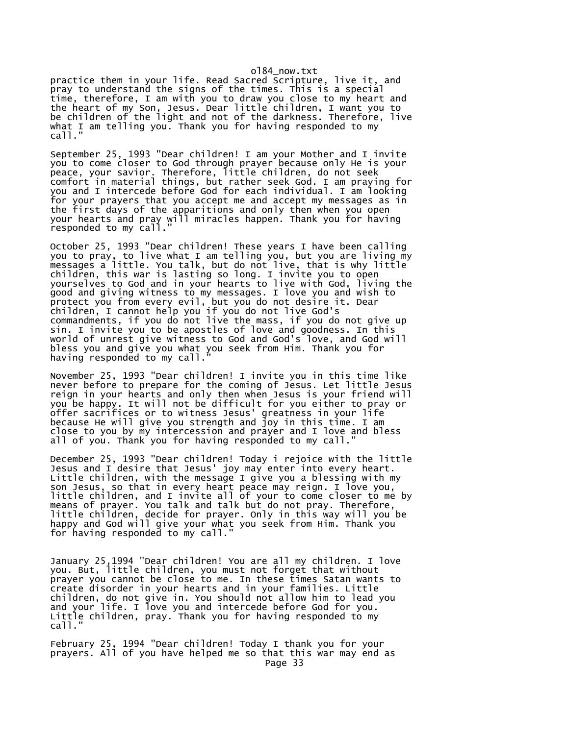practice them in your life. Read Sacred Scripture, live it, and pray to understand the signs of the times. This is a special time, therefore, I am with you to draw you close to my heart and the heart of my Son, Jesus. Dear little children, I want you to be children of the light and not of the darkness. Therefore, live what I am telling you. Thank you for having responded to my call."

September 25, 1993 "Dear children! I am your Mother and I invite you to come closer to God through prayer because only He is your peace, your savior. Therefore, little children, do not seek comfort in material things, but rather seek God. I am praying for you and I intercede before God for each individual. I am looking for your prayers that you accept me and accept my messages as in the first days of the apparitions and only then when you open your hearts and pray will miracles happen. Thank you for having responded to my call."

October 25, 1993 "Dear children! These years I have been calling you to pray, to live what I am telling you, but you are living my messages a little. You talk, but do not live, that is why little children, this war is lasting so long. I invite you to open yourselves to God and in your hearts to live with God, living the good and giving witness to my messages. I love you and wish to protect you from every evil, but you do not desire it. Dear children, I cannot help you if you do not live God's commandments, if you do not live the mass, if you do not give up sin. I invite you to be apostles of love and goodness. In this world of unrest give witness to God and God's love, and God will bless you and give you what you seek from Him. Thank you for having responded to my call."

November 25, 1993 "Dear children! I invite you in this time like never before to prepare for the coming of Jesus. Let little Jesus reign in your hearts and only then when Jesus is your friend will you be happy. It will not be difficult for you either to pray or offer sacrifices or to witness Jesus' greatness in your life because He will give you strength and joy in this time. I am close to you by my intercession and prayer and I love and bless all of you. Thank you for having responded to my call.

December 25, 1993 "Dear children! Today i rejoice with the little Jesus and I desire that Jesus' joy may enter into every heart. Little children, with the message I give you a blessing with my son Jesus, so that in every heart peace may reign. I love you, little children, and I invite all of your to come closer to me by means of prayer. You talk and talk but do not pray. Therefore, little children, decide for prayer. Only in this way will you be happy and God will give your what you seek from Him. Thank you for having responded to my call."

January 25,1994 "Dear children! You are all my children. I love you. But, little children, you must not forget that without prayer you cannot be close to me. In these times Satan wants to create disorder in your hearts and in your families. Little children, do not give in. You should not allow him to lead you and your life. I love you and intercede before God for you. Little children, pray. Thank you for having responded to my call."

February 25, 1994 "Dear children! Today I thank you for your prayers. All of you have helped me so that this war may end as Page 33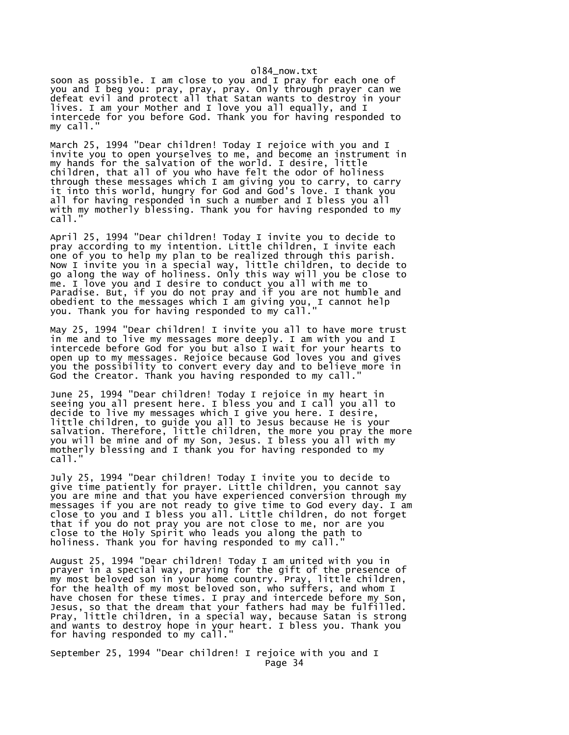soon as possible. I am close to you and I pray for each one of you and I beg you: pray, pray, pray. Only through prayer can we defeat evil and protect all that Satan wants to destroy in your lives. I am your Mother and I love you all equally, and I intercede for you before God. Thank you for having responded to my call."

March 25, 1994 "Dear children! Today I rejoice with you and I invite you to open yourselves to me, and become an instrument in my hands for the salvation of the world. I desire, little children, that all of you who have felt the odor of holiness through these messages which I am giving you to carry, to carry it into this world, hungry for God and God's love. I thank you all for having responded in such a number and I bless you all with my motherly blessing. Thank you for having responded to my call."

April 25, 1994 "Dear children! Today I invite you to decide to pray according to my intention. Little children, I invite each one of you to help my plan to be realized through this parish. Now I invite you in a special way, little children, to decide to go along the way of holiness. Only this way will you be close to me. I love you and I desire to conduct you all with me to Paradise. But, if you do not pray and if you are not humble and obedient to the messages which I am giving you, I cannot help you. Thank you for having responded to my call."

May 25, 1994 "Dear children! I invite you all to have more trust in me and to live my messages more deeply. I am with you and I intercede before God for you but also I wait for your hearts to open up to my messages. Rejoice because God loves you and gives you the possibility to convert every day and to believe more in God the Creator. Thank you having responded to my call."

June 25, 1994 "Dear children! Today I rejoice in my heart in seeing you all present here. I bless you and I call you all to decide to live my messages which I give you here. I desire, little children, to guide you all to Jesus because He is your salvation. Therefore, little children, the more you pray the more you will be mine and of my Son, Jesus. I bless you all with my motherly blessing and I thank you for having responded to my call."

July 25, 1994 "Dear children! Today I invite you to decide to give time patiently for prayer. Little children, you cannot say you are mine and that you have experienced conversion through my messages if you are not ready to give time to God every day. I am close to you and I bless you all. Little children, do not forget that if you do not pray you are not close to me, nor are you close to the Holy Spirit who leads you along the path to holiness. Thank you for having responded to my call."

August 25, 1994 "Dear children! Today I am united with you in prayer in a special way, praying for the gift of the presence of my most beloved son in your home country. Pray, little children, for the health of my most beloved son, who suffers, and whom I have chosen for these times. I pray and intercede before my Son, Jesus, so that the dream that your fathers had may be fulfilled. Pray, little children, in a special way, because Satan is strong and wants to destroy hope in your heart. I bless you. Thank you for having responded to my call."

September 25, 1994 "Dear children! I rejoice with you and I Page 34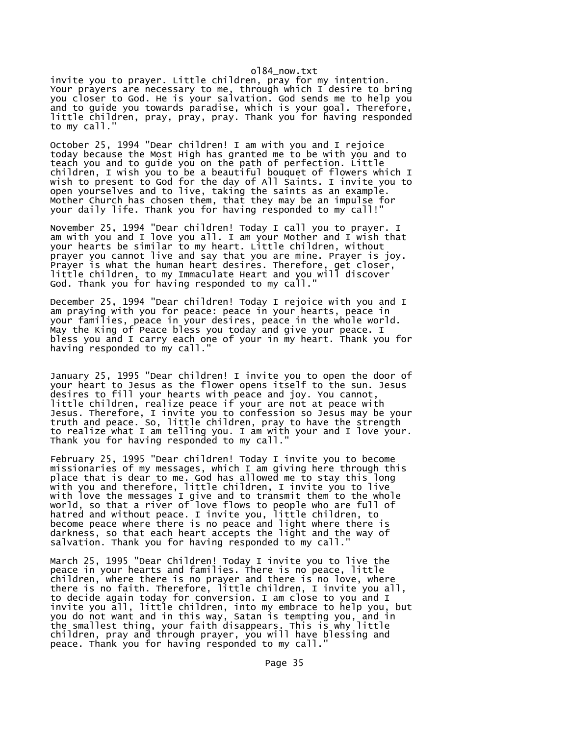invite you to prayer. Little children, pray for my intention. Your prayers are necessary to me, through which I desire to bring you closer to God. He is your salvation. God sends me to help you and to guide you towards paradise, which is your goal. Therefore, little children, pray, pray, pray. Thank you for having responded to my call."

October 25, 1994 "Dear children! I am with you and I rejoice today because the Most High has granted me to be with you and to teach you and to guide you on the path of perfection. Little children, I wish you to be a beautiful bouquet of flowers which I wish to present to God for the day of All Saints. I invite you to open yourselves and to live, taking the saints as an example. Mother Church has chosen them, that they may be an impulse for your daily life. Thank you for having responded to my call!"

November 25, 1994 "Dear children! Today I call you to prayer. I am with you and I love you all. I am your Mother and I wish that your hearts be similar to my heart. Little children, without prayer you cannot live and say that you are mine. Prayer is joy. Prayer is what the human heart desires. Therefore, get closer, little children, to my Immaculate Heart and you will discover God. Thank you for having responded to my call."

December 25, 1994 "Dear children! Today I rejoice with you and I am praying with you for peace: peace in your hearts, peace in your families, peace in your desires, peace in the whole world. May the King of Peace bless you today and give your peace. I bless you and I carry each one of your in my heart. Thank you for having responded to my call.

January 25, 1995 "Dear children! I invite you to open the door of your heart to Jesus as the flower opens itself to the sun. Jesus desires to fill your hearts with peace and joy. You cannot, little children, realize peace if your are not at peace with Jesus. Therefore, I invite you to confession so Jesus may be your truth and peace. So, little children, pray to have the strength to realize what I am telling you. I am with your and I love your. Thank you for having responded to my call."

February 25, 1995 "Dear children! Today I invite you to become missionaries of my messages, which I am giving here through this place that is dear to me. God has allowed me to stay this long with you and therefore, little children, I invite you to live with love the messages I give and to transmit them to the whole world, so that a river of love flows to people who are full of hatred and without peace. I invite you, little children, to become peace where there is no peace and light where there is darkness, so that each heart accepts the light and the way of salvation. Thank you for having responded to my call."

March 25, 1995 "Dear Children! Today I invite you to live the peace in your hearts and families. There is no peace, little children, where there is no prayer and there is no love, where there is no faith. Therefore, little children, I invite you all, to decide again today for conversion. I am close to you and I invite you all, little children, into my embrace to help you, but you do not want and in this way, Satan is tempting you, and in the smallest thing, your faith disappears. This is why little children, pray and through prayer, you will have blessing and peace. Thank you for having responded to my call."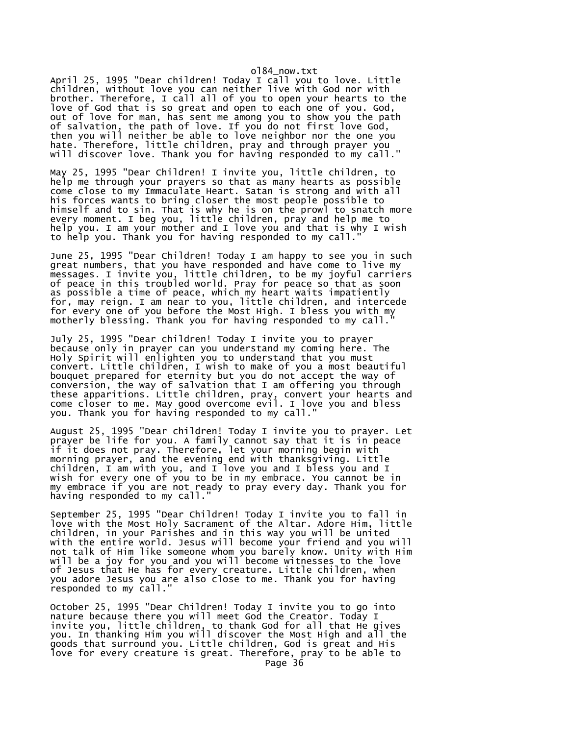April 25, 1995 "Dear children! Today I call you to love. Little children, without love you can neither live with God nor with brother. Therefore, I call all of you to open your hearts to the love of God that is so great and open to each one of you. God, out of love for man, has sent me among you to show you the path of salvation, the path of love. If you do not first love God, then you will neither be able to love neighbor nor the one you hate. Therefore, little children, pray and through prayer you will discover love. Thank you for having responded to my call."

May 25, 1995 "Dear Children! I invite you, little children, to help me through your prayers so that as many hearts as possible come close to my Immaculate Heart. Satan is strong and with all his forces wants to bring closer the most people possible to himself and to sin. That is why he is on the prowl to snatch more every moment. I beg you, little children, pray and help me to help you. I am your mother and I love you and that is why I wish to help you. Thank you for having responded to my call."

June 25, 1995 "Dear Children! Today I am happy to see you in such great numbers, that you have responded and have come to live my messages. I invite you, little children, to be my joyful carriers of peace in this troubled world. Pray for peace so that as soon as possible a time of peace, which my heart waits impatiently for, may reign. I am near to you, little children, and intercede for every one of you before the Most High. I bless you with my motherly blessing. Thank you for having responded to my call."

July 25, 1995 "Dear children! Today I invite you to prayer because only in prayer can you understand my coming here. The Holy Spirit will enlighten you to understand that you must convert. Little children, I wish to make of you a most beautiful bouquet prepared for eternity but you do not accept the way of conversion, the way of salvation that I am offering you through these apparitions. Little children, pray, convert your hearts and come closer to me. May good overcome evil. I love you and bless you. Thank you for having responded to my call."

August 25, 1995 "Dear children! Today I invite you to prayer. Let prayer be life for you. A family cannot say that it is in peace if it does not pray. Therefore, let your morning begin with morning prayer, and the evening end with thanksgiving. Little children, I am with you, and I love you and I bless you and I wish for every one of you to be in my embrace. You cannot be in my embrace if you are not ready to pray every day. Thank you for having responded to my call.

September 25, 1995 "Dear Children! Today I invite you to fall in love with the Most Holy Sacrament of the Altar. Adore Him, little children, in your Parishes and in this way you will be united with the entire world. Jesus will become your friend and you will not talk of Him like someone whom you barely know. Unity with Him will be a joy for you and you will become witnesses to the love of Jesus that He has for every creature. Little children, when you adore Jesus you are also close to me. Thank you for having responded to my call."

October 25, 1995 "Dear Children! Today I invite you to go into nature because there you will meet God the Creator. Today I invite you, little children, to thank God for all that He gives you. In thanking Him you will discover the Most High and all the goods that surround you. Little children, God is great and His love for every creature is great. Therefore, pray to be able to Page 36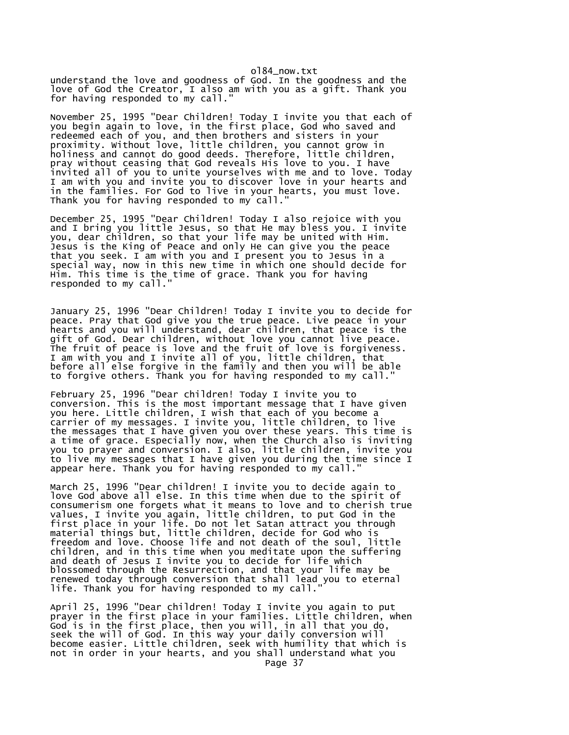ol84\_now.txt understand the love and goodness of God. In the goodness and the love of God the Creator, I also am with you as a gift. Thank you for having responded to my call."

November 25, 1995 "Dear Children! Today I invite you that each of you begin again to love, in the first place, God who saved and redeemed each of you, and then brothers and sisters in your proximity. Without love, little children, you cannot grow in holiness and cannot do good deeds. Therefore, little children, pray without ceasing that God reveals His love to you. I have invited all of you to unite yourselves with me and to love. Today I am with you and invite you to discover love in your hearts and in the families. For God to live in your hearts, you must love. Thank you for having responded to my call.

December 25, 1995 "Dear Children! Today I also rejoice with you and I bring you little Jesus, so that He may bless you. I invite you, dear children, so that your life may be united with Him. Jesus is the King of Peace and only He can give you the peace that you seek. I am with you and I present you to Jesus in a special way, now in this new time in which one should decide for Him. This time is the time of grace. Thank you for having responded to my call."

January 25, 1996 "Dear Children! Today I invite you to decide for peace. Pray that God give you the true peace. Live peace in your hearts and you will understand, dear children, that peace is the gift of God. Dear children, without love you cannot live peace. The fruit of peace is love and the fruit of love is forgiveness. I am with you and I invite all of you, little children, that before all else forgive in the family and then you will be able to forgive others. Thank you for having responded to my call."

February 25, 1996 "Dear children! Today I invite you to conversion. This is the most important message that I have given you here. Little children, I wish that each of you become a carrier of my messages. I invite you, little children, to live the messages that I have given you over these years. This time is a time of grace. Especially now, when the Church also is inviting you to prayer and conversion. I also, little children, invite you to live my messages that I have given you during the time since I appear here. Thank you for having responded to my call."

March 25, 1996 "Dear children! I invite you to decide again to love God above all else. In this time when due to the spirit of consumerism one forgets what it means to love and to cherish true values, I invite you again, little children, to put God in the first place in your life. Do not let Satan attract you through material things but, little children, decide for God who is freedom and love. Choose life and not death of the soul, little children, and in this time when you meditate upon the suffering and death of Jesus I invite you to decide for life which blossomed through the Resurrection, and that your life may be renewed today through conversion that shall lead you to eternal life. Thank you for having responded to my call."

April 25, 1996 "Dear children! Today I invite you again to put prayer in the first place in your families. Little children, when God is in the first place, then you will, in all that you do, seek the will of God. In this way your daily conversion will become easier. Little children, seek with humility that which is not in order in your hearts, and you shall understand what you Page 37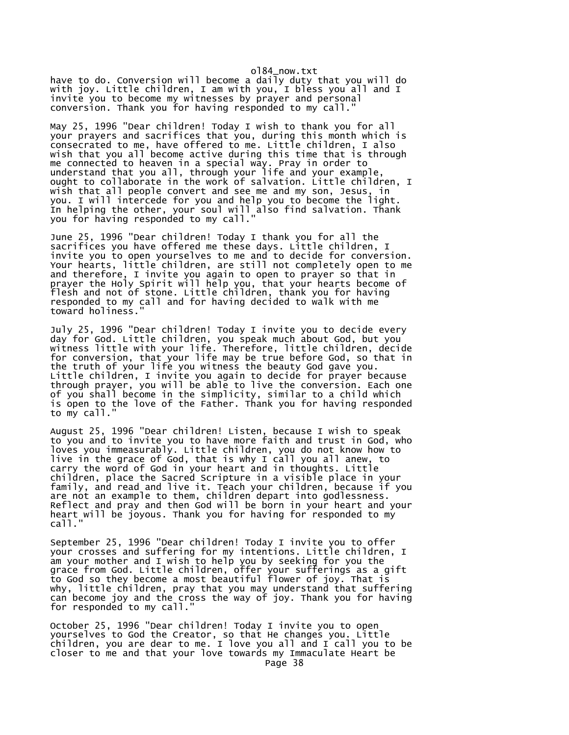ol84\_now.txt have to do. Conversion will become a daily duty that you will do with joy. Little children, I am with you, I bless you all and I invite you to become my witnesses by prayer and personal conversion. Thank you for having responded to my call."

May 25, 1996 "Dear children! Today I wish to thank you for all your prayers and sacrifices that you, during this month which is consecrated to me, have offered to me. Little children, I also wish that you all become active during this time that is through me connected to heaven in a special way. Pray in order to understand that you all, through your life and your example, ought to collaborate in the work of salvation. Little children, I wish that all people convert and see me and my son, Jesus, in you. I will intercede for you and help you to become the light. In helping the other, your soul will also find salvation. Thank you for having responded to my call."

June 25, 1996 "Dear children! Today I thank you for all the sacrifices you have offered me these days. Little children, I invite you to open yourselves to me and to decide for conversion. Your hearts, little children, are still not completely open to me and therefore, I invite you again to open to prayer so that in prayer the Holy Spirit will help you, that your hearts become of flesh and not of stone. Little children, thank you for having responded to my call and for having decided to walk with me toward holiness."

July 25, 1996 "Dear children! Today I invite you to decide every day for God. Little children, you speak much about God, but you witness little with your life. Therefore, little children, decide for conversion, that your life may be true before God, so that in the truth of your life you witness the beauty God gave you. Little children, I invite you again to decide for prayer because through prayer, you will be able to live the conversion. Each one of you shall become in the simplicity, similar to a child which is open to the love of the Father. Thank you for having responded to my call."

August 25, 1996 "Dear children! Listen, because I wish to speak to you and to invite you to have more faith and trust in God, who loves you immeasurably. Little children, you do not know how to live in the grace of God, that is why I call you all anew, to carry the word of God in your heart and in thoughts. Little children, place the Sacred Scripture in a visible place in your family, and read and live it. Teach your children, because if you are not an example to them, children depart into godlessness. Reflect and pray and then God will be born in your heart and your heart will be joyous. Thank you for having for responded to my call."

September 25, 1996 "Dear children! Today I invite you to offer your crosses and suffering for my intentions. Little children, I am your mother and I wish to help you by seeking for you the grace from God. Little children, offer your sufferings as a gift to God so they become a most beautiful flower of joy. That is why, little children, pray that you may understand that suffering can become joy and the cross the way of joy. Thank you for having for responded to my call."

October 25, 1996 "Dear children! Today I invite you to open yourselves to God the Creator, so that He changes you. Little children, you are dear to me. I love you all and I call you to be closer to me and that your love towards my Immaculate Heart be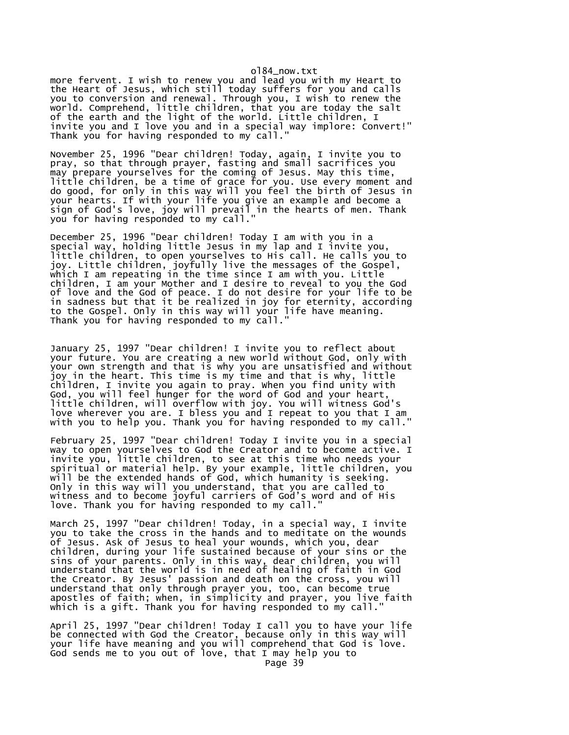more fervent. I wish to renew you and lead you with my Heart to the Heart of Jesus, which still today suffers for you and calls you to conversion and renewal. Through you, I wish to renew the world. Comprehend, little children, that you are today the salt of the earth and the light of the world. Little children, I invite you and I love you and in a special way implore: Convert!" Thank you for having responded to my call."

November 25, 1996 "Dear children! Today, again, I invite you to pray, so that through prayer, fasting and small sacrifices you may prepare yourselves for the coming of Jesus. May this time, little children, be a time of grace for you. Use every moment and do good, for only in this way will you feel the birth of Jesus in your hearts. If with your life you give an example and become a sign of God's love, joy will prevail in the hearts of men. Thank you for having responded to my call."

December 25, 1996 "Dear children! Today I am with you in a special way, holding little Jesus in my lap and I invite you, little children, to open yourselves to His call. He calls you to joy. Little children, joyfully live the messages of the Gospel, which I am repeating in the time since I am with you. Little children, I am your Mother and I desire to reveal to you the God of love and the God of peace. I do not desire for your life to be in sadness but that it be realized in joy for eternity, according to the Gospel. Only in this way will your life have meaning. Thank you for having responded to my call."

January 25, 1997 "Dear children! I invite you to reflect about your future. You are creating a new world without God, only with your own strength and that is why you are unsatisfied and without joy in the heart. This time is my time and that is why, little children, I invite you again to pray. When you find unity with God, you will feel hunger for the word of God and your heart, little children, will overflow with joy. You will witness God's love wherever you are. I bless you and I repeat to you that I am with you to help you. Thank you for having responded to my call."

February 25, 1997 "Dear children! Today I invite you in a special way to open yourselves to God the Creator and to become active. I invite you, little children, to see at this time who needs your spiritual or material help. By your example, little children, you will be the extended hands of God, which humanity is seeking. Only in this way will you understand, that you are called to witness and to become joyful carriers of God's word and of His love. Thank you for having responded to my call."

March 25, 1997 "Dear children! Today, in a special way, I invite you to take the cross in the hands and to meditate on the wounds of Jesus. Ask of Jesus to heal your wounds, which you, dear children, during your life sustained because of your sins or the sins of your parents. Only in this way, dear children, you will understand that the world is in need of healing of faith in God the Creator. By Jesus' passion and death on the cross, you will understand that only through prayer you, too, can become true apostles of faith; when, in simplicity and prayer, you live faith which is a gift. Thank you for having responded to my call."

April 25, 1997 "Dear children! Today I call you to have your life be connected with God the Creator, because only in this way will your life have meaning and you will comprehend that God is love. God sends me to you out of love, that I may help you to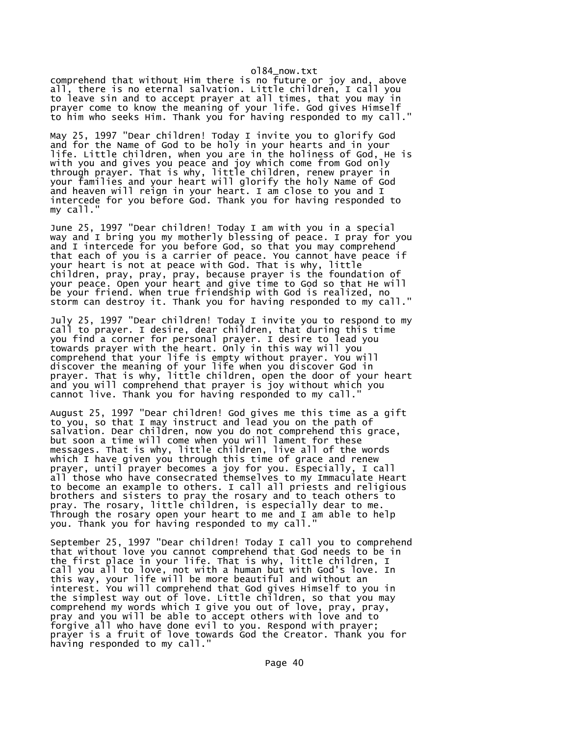comprehend that without Him there is no future or joy and, above all, there is no eternal salvation. Little children, I call you to leave sin and to accept prayer at all times, that you may in prayer come to know the meaning of your life. God gives Himself to him who seeks Him. Thank you for having responded to my call."

May 25, 1997 "Dear children! Today I invite you to glorify God and for the Name of God to be holy in your hearts and in your life. Little children, when you are in the holiness of God, He is with you and gives you peace and joy which come from God only through prayer. That is why, little children, renew prayer in your families and your heart will glorify the holy Name of God and heaven will reign in your heart. I am close to you and I intercede for you before God. Thank you for having responded to my call."

June 25, 1997 "Dear children! Today I am with you in a special way and I bring you my motherly blessing of peace. I pray for you and I intercede for you before God, so that you may comprehend that each of you is a carrier of peace. You cannot have peace if your heart is not at peace with God. That is why, little children, pray, pray, pray, because prayer is the foundation of your peace. Open your heart and give time to God so that He will be your friend. When true friendship with God is realized, no storm can destroy it. Thank you for having responded to my call."

July 25, 1997 "Dear children! Today I invite you to respond to my call to prayer. I desire, dear children, that during this time you find a corner for personal prayer. I desire to lead you towards prayer with the heart. Only in this way will you comprehend that your life is empty without prayer. You will discover the meaning of your life when you discover God in prayer. That is why, little children, open the door of your heart and you will comprehend that prayer is joy without which you cannot live. Thank you for having responded to my call."

August 25, 1997 "Dear children! God gives me this time as a gift to you, so that I may instruct and lead you on the path of salvation. Dear children, now you do not comprehend this grace, but soon a time will come when you will lament for these messages. That is why, little children, live all of the words which I have given you through this time of grace and renew prayer, until prayer becomes a joy for you. Especially, I call all those who have consecrated themselves to my Immaculate Heart to become an example to others. I call all priests and religious brothers and sisters to pray the rosary and to teach others to pray. The rosary, little children, is especially dear to me. Through the rosary open your heart to me and I am able to help you. Thank you for having responded to my call."

September 25, 1997 "Dear children! Today I call you to comprehend that without love you cannot comprehend that God needs to be in the first place in your life. That is why, little children, I call you all to love, not with a human but with God's love. In this way, your life will be more beautiful and without an interest. You will comprehend that God gives Himself to you in the simplest way out of love. Little children, so that you may comprehend my words which I give you out of love, pray, pray, pray and you will be able to accept others with love and to forgive all who have done evil to you. Respond with prayer; prayer is a fruit of love towards God the Creator. Thank you for having responded to my call."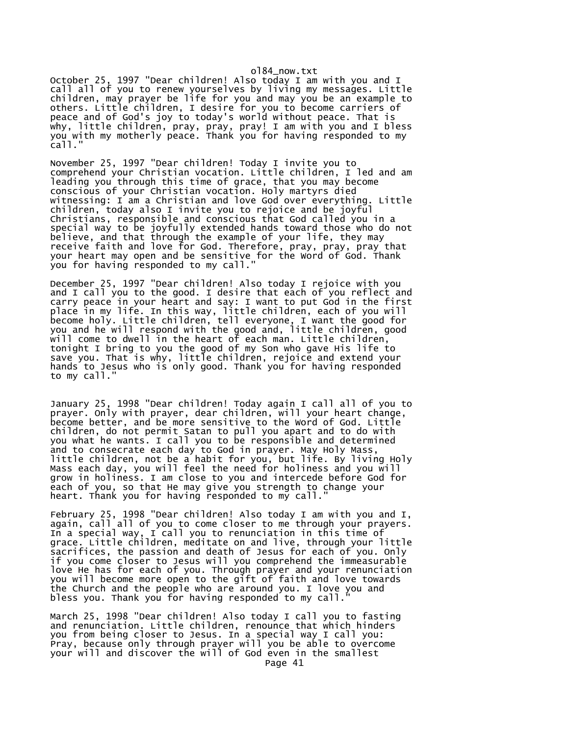October 25, 1997 "Dear children! Also today I am with you and I call all of you to renew yourselves by living my messages. Little children, may prayer be life for you and may you be an example to others. Little children, I desire for you to become carriers of peace and of God's joy to today's world without peace. That is why, little children, pray, pray, pray! I am with you and I bless you with my motherly peace. Thank you for having responded to my call."

November 25, 1997 "Dear children! Today I invite you to comprehend your Christian vocation. Little children, I led and am leading you through this time of grace, that you may become conscious of your Christian vocation. Holy martyrs died witnessing: I am a Christian and love God over everything. Little children, today also I invite you to rejoice and be joyful Christians, responsible and conscious that God called you in a special way to be joyfully extended hands toward those who do not believe, and that through the example of your life, they may receive faith and love for God. Therefore, pray, pray, pray that your heart may open and be sensitive for the Word of God. Thank you for having responded to my call.

December 25, 1997 "Dear children! Also today I rejoice with you and I call you to the good. I desire that each of you reflect and carry peace in your heart and say: I want to put God in the first place in my life. In this way, little children, each of you will become holy. Little children, tell everyone, I want the good for you and he will respond with the good and, little children, good will come to dwell in the heart of each man. Little children, tonight I bring to you the good of my Son who gave His life to save you. That is why, little children, rejoice and extend your hands to Jesus who is only good. Thank you for having responded to my call."

January 25, 1998 "Dear children! Today again I call all of you to prayer. Only with prayer, dear children, will your heart change, become better, and be more sensitive to the Word of God. Little children, do not permit Satan to pull you apart and to do with you what he wants. I call you to be responsible and determined and to consecrate each day to God in prayer. May Holy Mass, little children, not be a habit for you, but life. By living Holy Mass each day, you will feel the need for holiness and you will grow in holiness. I am close to you and intercede before God for each of you, so that He may give you strength to change your heart. Thank you for having responded to my call."

February 25, 1998 "Dear children! Also today I am with you and I, again, call all of you to come closer to me through your prayers. In a special way, I call you to renunciation in this time of grace. Little children, meditate on and live, through your little sacrifices, the passion and death of Jesus for each of you. Only if you come closer to Jesus will you comprehend the immeasurable love He has for each of you. Through prayer and your renunciation you will become more open to the gift of faith and love towards the Church and the people who are around you. I love you and bless you. Thank you for having responded to my call."

March 25, 1998 "Dear children! Also today I call you to fasting and renunciation. Little children, renounce that which hinders you from being closer to Jesus. In a special way I call you: Pray, because only through prayer will you be able to overcome your will and discover the will of God even in the smallest Page 41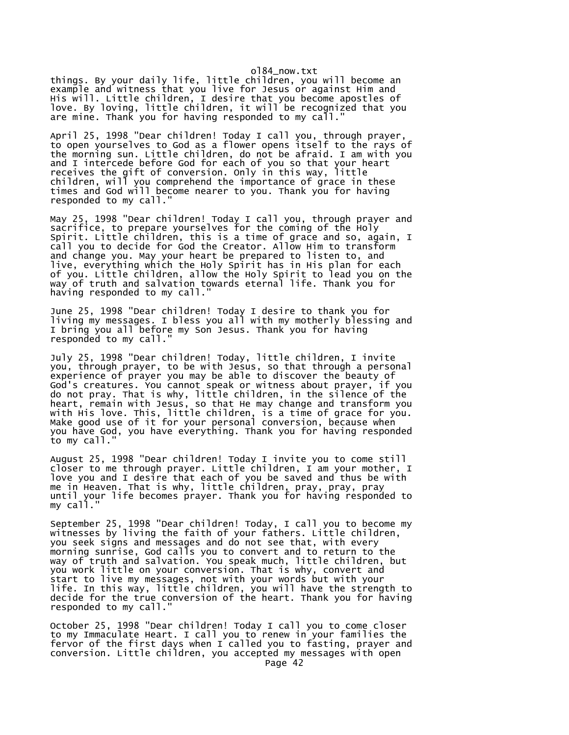things. By your daily life, little children, you will become an example and witness that you live for Jesus or against Him and His will. Little children, I desire that you become apostles of love. By loving, little children, it will be recognized that you are mine. Thank you for having responded to my call."

April 25, 1998 "Dear children! Today I call you, through prayer, to open yourselves to God as a flower opens itself to the rays of the morning sun. Little children, do not be afraid. I am with you and I intercede before God for each of you so that your heart receives the gift of conversion. Only in this way, little children, will you comprehend the importance of grace in these times and God will become nearer to you. Thank you for having responded to my call."

May 25, 1998 "Dear children! Today I call you, through prayer and sacrifice, to prepare yourselves for the coming of the Holy Spirit. Little children, this is a time of grace and so, again, I call you to decide for God the Creator. Allow Him to transform and change you. May your heart be prepared to listen to, and live, everything which the Holy Spirit has in His plan for each of you. Little children, allow the Holy Spirit to lead you on the way of truth and salvation towards eternal life. Thank you for having responded to my call."

June 25, 1998 "Dear children! Today I desire to thank you for living my messages. I bless you all with my motherly blessing and I bring you all before my Son Jesus. Thank you for having responded to my call."

July 25, 1998 "Dear children! Today, little children, I invite you, through prayer, to be with Jesus, so that through a personal experience of prayer you may be able to discover the beauty of God's creatures. You cannot speak or witness about prayer, if you do not pray. That is why, little children, in the silence of the heart, remain with Jesus, so that He may change and transform you with His love. This, little children, is a time of grace for you. Make good use of it for your personal conversion, because when you have God, you have everything. Thank you for having responded to my call."

August 25, 1998 "Dear children! Today I invite you to come still closer to me through prayer. Little children, I am your mother, I love you and I desire that each of you be saved and thus be with me in Heaven. That is why, little children, pray, pray, pray until your life becomes prayer. Thank you for having responded to my call."

September 25, 1998 "Dear children! Today, I call you to become my witnesses by living the faith of your fathers. Little children, you seek signs and messages and do not see that, with every morning sunrise, God calls you to convert and to return to the way of truth and salvation. You speak much, little children, but you work little on your conversion. That is why, convert and start to live my messages, not with your words but with your life. In this way, little children, you will have the strength to decide for the true conversion of the heart. Thank you for having responded to my call."

October 25, 1998 "Dear children! Today I call you to come closer to my Immaculate Heart. I call you to renew in your families the fervor of the first days when I called you to fasting, prayer and conversion. Little children, you accepted my messages with open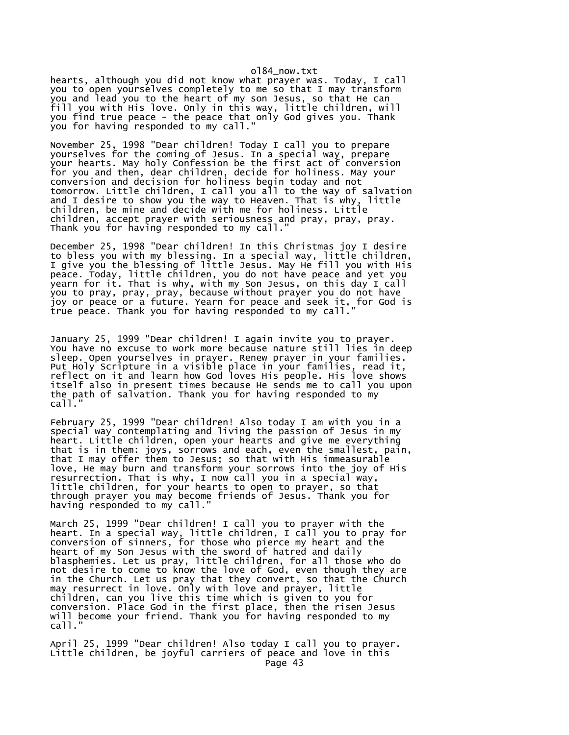hearts, although you did not know what prayer was. Today, I call you to open yourselves completely to me so that I may transform you and lead you to the heart of my son Jesus, so that He can fill you with His love. Only in this way, little children, will you find true peace - the peace that only God gives you. Thank you for having responded to my call."

November 25, 1998 "Dear children! Today I call you to prepare yourselves for the coming of Jesus. In a special way, prepare your hearts. May holy Confession be the first act of conversion for you and then, dear children, decide for holiness. May your conversion and decision for holiness begin today and not tomorrow. Little children, I call you all to the way of salvation and I desire to show you the way to Heaven. That is why, little children, be mine and decide with me for holiness. Little children, accept prayer with seriousness and pray, pray, pray. Thank you for having responded to my call."

December 25, 1998 "Dear children! In this Christmas joy I desire to bless you with my blessing. In a special way, little children, I give you the blessing of little Jesus. May He fill you with His peace. Today, little children, you do not have peace and yet you yearn for it. That is why, with my Son Jesus, on this day I call you to pray, pray, pray, because without prayer you do not have joy or peace or a future. Yearn for peace and seek it, for God is true peace. Thank you for having responded to my call."

January 25, 1999 "Dear children! I again invite you to prayer. You have no excuse to work more because nature still lies in deep sleep. Open yourselves in prayer. Renew prayer in your families. Put Holy Scripture in a visible place in your families, read it, reflect on it and learn how God loves His people. His love shows itself also in present times because He sends me to call you upon the path of salvation. Thank you for having responded to my call."

February 25, 1999 "Dear children! Also today I am with you in a special way contemplating and living the passion of Jesus in my heart. Little children, open your hearts and give me everything that is in them: joys, sorrows and each, even the smallest, pain, that I may offer them to Jesus; so that with His immeasurable love, He may burn and transform your sorrows into the joy of His resurrection. That is why, I now call you in a special way, little children, for your hearts to open to prayer, so that through prayer you may become friends of Jesus. Thank you for having responded to my call."

March 25, 1999 "Dear children! I call you to prayer with the heart. In a special way, little children, I call you to pray for conversion of sinners, for those who pierce my heart and the heart of my Son Jesus with the sword of hatred and daily blasphemies. Let us pray, little children, for all those who do not desire to come to know the love of God, even though they are in the Church. Let us pray that they convert, so that the Church may resurrect in love. Only with love and prayer, little children, can you live this time which is given to you for conversion. Place God in the first place, then the risen Jesus will become your friend. Thank you for having responded to my call."

April 25, 1999 "Dear children! Also today I call you to prayer. Little children, be joyful carriers of peace and love in this Page 43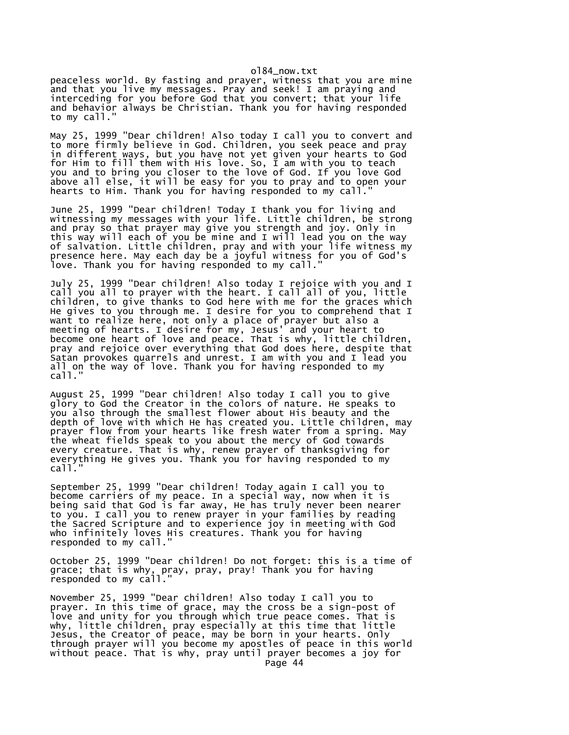peaceless world. By fasting and prayer, witness that you are mine and that you live my messages. Pray and seek! I am praying and interceding for you before God that you convert; that your life and behavior always be Christian. Thank you for having responded to my call."

May 25, 1999 "Dear children! Also today I call you to convert and to more firmly believe in God. Children, you seek peace and pray in different ways, but you have not yet given your hearts to God for Him to fill them with His love. So, I am with you to teach you and to bring you closer to the love of God. If you love God above all else, it will be easy for you to pray and to open your hearts to Him. Thank you for having responded to my call."

June 25, 1999 "Dear children! Today I thank you for living and witnessing my messages with your life. Little children, be strong and pray so that prayer may give you strength and joy. Only in this way will each of you be mine and I will lead you on the way of salvation. Little children, pray and with your life witness my presence here. May each day be a joyful witness for you of God's love. Thank you for having responded to my call.

July 25, 1999 "Dear children! Also today I rejoice with you and I call you all to prayer with the heart. I call all of you, little children, to give thanks to God here with me for the graces which He gives to you through me. I desire for you to comprehend that I want to realize here, not only a place of prayer but also a meeting of hearts. I desire for my, Jesus' and your heart to become one heart of love and peace. That is why, little children, pray and rejoice over everything that God does here, despite that Satan provokes quarrels and unrest. I am with you and I lead you all on the way of love. Thank you for having responded to my call."

August 25, 1999 "Dear children! Also today I call you to give glory to God the Creator in the colors of nature. He speaks to you also through the smallest flower about His beauty and the depth of love with which He has created you. Little children, may prayer flow from your hearts like fresh water from a spring. May the wheat fields speak to you about the mercy of God towards every creature. That is why, renew prayer of thanksgiving for everything He gives you. Thank you for having responded to my call."

September 25, 1999 "Dear children! Today again I call you to become carriers of my peace. In a special way, now when it is being said that God is far away, He has truly never been nearer to you. I call you to renew prayer in your families by reading the Sacred Scripture and to experience joy in meeting with God who infinitely loves His creatures. Thank you for having responded to my call."

October 25, 1999 "Dear children! Do not forget: this is a time of grace; that is why, pray, pray, pray! Thank you for having responded to my call."

November 25, 1999 "Dear children! Also today I call you to prayer. In this time of grace, may the cross be a sign-post of love and unity for you through which true peace comes. That is why, little children, pray especially at this time that little Jesus, the Creator of peace, may be born in your hearts. Only through prayer will you become my apostles of peace in this world without peace. That is why, pray until prayer becomes a joy for Page 44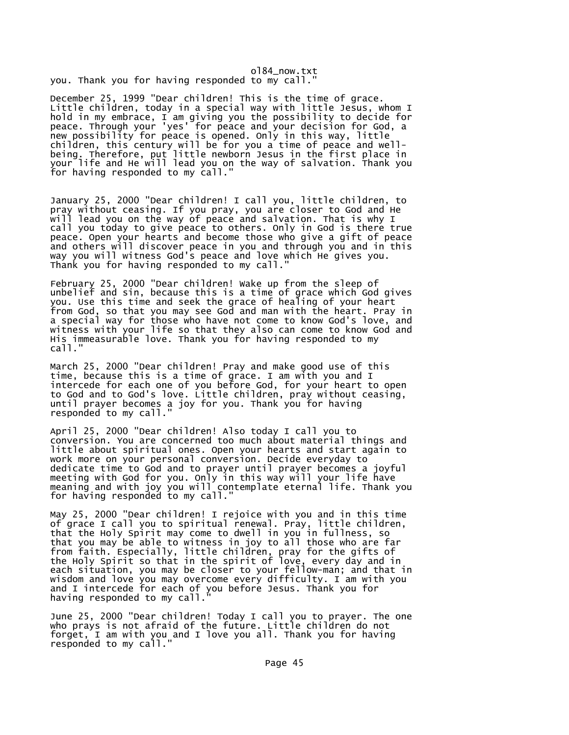ol84\_now.txt you. Thank you for having responded to my call."

December 25, 1999 "Dear children! This is the time of grace. Little children, today in a special way with little Jesus, whom I hold in my embrace, I am giving you the possibility to decide for peace. Through your 'yes' for peace and your decision for God, a new possibility for peace is opened. Only in this way, little children, this century will be for you a time of peace and wellbeing. Therefore, put little newborn Jesus in the first place in your life and He will lead you on the way of salvation. Thank you for having responded to my call."

January 25, 2000 "Dear children! I call you, little children, to pray without ceasing. If you pray, you are closer to God and He will lead you on the way of peace and salvation. That is why I call you today to give peace to others. Only in God is there true peace. Open your hearts and become those who give a gift of peace and others will discover peace in you and through you and in this way you will witness God's peace and love which He gives you. Thank you for having responded to my call.

February 25, 2000 "Dear children! Wake up from the sleep of unbelief and sin, because this is a time of grace which God gives you. Use this time and seek the grace of healing of your heart from God, so that you may see God and man with the heart. Pray in a special way for those who have not come to know God's love, and witness with your life so that they also can come to know God and His immeasurable love. Thank you for having responded to my call."

March 25, 2000 "Dear children! Pray and make good use of this time, because this is a time of grace. I am with you and I intercede for each one of you before God, for your heart to open to God and to God's love. Little children, pray without ceasing, until prayer becomes a joy for you. Thank you for having responded to my call."

April 25, 2000 "Dear children! Also today I call you to conversion. You are concerned too much about material things and little about spiritual ones. Open your hearts and start again to work more on your personal conversion. Decide everyday to dedicate time to God and to prayer until prayer becomes a joyful meeting with God for you. Only in this way will your life have meaning and with joy you will contemplate eternal life. Thank you for having responded to my call."

May 25, 2000 "Dear children! I rejoice with you and in this time of grace I call you to spiritual renewal. Pray, little children, that the Holy Spirit may come to dwell in you in fullness, so that you may be able to witness in joy to all those who are far from faith. Especially, little children, pray for the gifts of the Holy Spirit so that in the spirit of love, every day and in each situation, you may be closer to your fellow-man; and that in wisdom and love you may overcome every difficulty. I am with you and I intercede for each of you before Jesus. Thank you for having responded to my call."

June 25, 2000 "Dear children! Today I call you to prayer. The one who prays is not afraid of the future. Little children do not forget, I am with you and I love you all. Thank you for having responded to my call."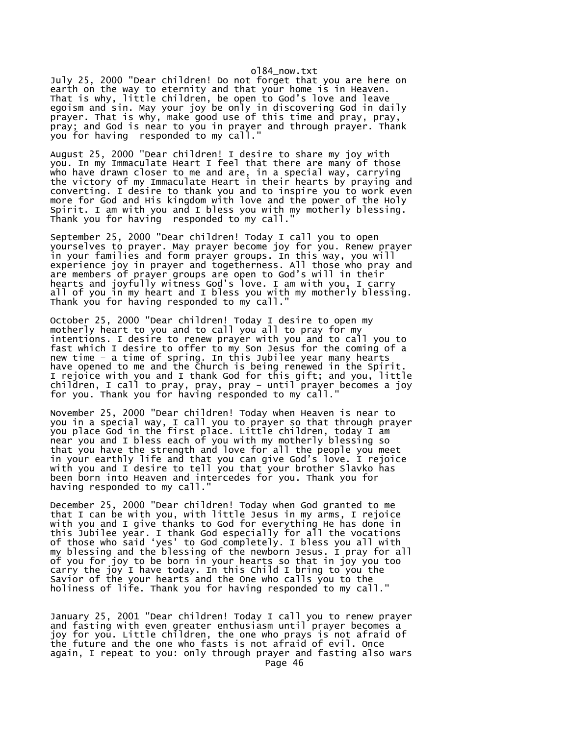July 25, 2000 "Dear children! Do not forget that you are here on earth on the way to eternity and that your home is in Heaven. That is why, little children, be open to God's love and leave egoism and sin. May your joy be only in discovering God in daily prayer. That is why, make good use of this time and pray, pray, pray; and God is near to you in prayer and through prayer. Thank you for having responded to my call."

August 25, 2000 "Dear children! I desire to share my joy with you. In my Immaculate Heart I feel that there are many of those who have drawn closer to me and are, in a special way, carrying the victory of my Immaculate Heart in their hearts by praying and converting. I desire to thank you and to inspire you to work even more for God and His kingdom with love and the power of the Holy Spirit. I am with you and I bless you with my motherly blessing. Thank you for having responded to my call."

September 25, 2000 "Dear children! Today I call you to open yourselves to prayer. May prayer become joy for you. Renew prayer in your families and form prayer groups. In this way, you will experience joy in prayer and togetherness. All those who pray and are members of prayer groups are open to God's will in their hearts and joyfully witness God's love. I am with you, I carry all of you in my heart and I bless you with my motherly blessing. Thank you for having responded to my call."

October 25, 2000 "Dear children! Today I desire to open my motherly heart to you and to call you all to pray for my intentions. I desire to renew prayer with you and to call you to fast which I desire to offer to my Son Jesus for the coming of a new time – a time of spring. In this Jubilee year many hearts have opened to me and the Church is being renewed in the Spirit. I rejoice with you and I thank God for this gift; and you, little children, I call to pray, pray, pray – until prayer becomes a joy for you. Thank you for having responded to my call."

November 25, 2000 "Dear children! Today when Heaven is near to you in a special way, I call you to prayer so that through prayer you place God in the first place. Little children, today I am near you and I bless each of you with my motherly blessing so that you have the strength and love for all the people you meet in your earthly life and that you can give God's love. I rejoice with you and I desire to tell you that your brother Slavko has been born into Heaven and intercedes for you. Thank you for having responded to my call."

December 25, 2000 "Dear children! Today when God granted to me that I can be with you, with little Jesus in my arms, I rejoice with you and I give thanks to God for everything He has done in this Jubilee year. I thank God especially for all the vocations of those who said 'yes' to God completely. I bless you all with my blessing and the blessing of the newborn Jesus. I pray for all of you for joy to be born in your hearts so that in joy you too carry the joy I have today. In this Child I bring to you the Savior of the your hearts and the One who calls you to the holiness of life. Thank you for having responded to my call."

January 25, 2001 "Dear children! Today I call you to renew prayer and fasting with even greater enthusiasm until prayer becomes a joy for you. Little children, the one who prays is not afraid of the future and the one who fasts is not afraid of evil. Once again, I repeat to you: only through prayer and fasting also wars Page 46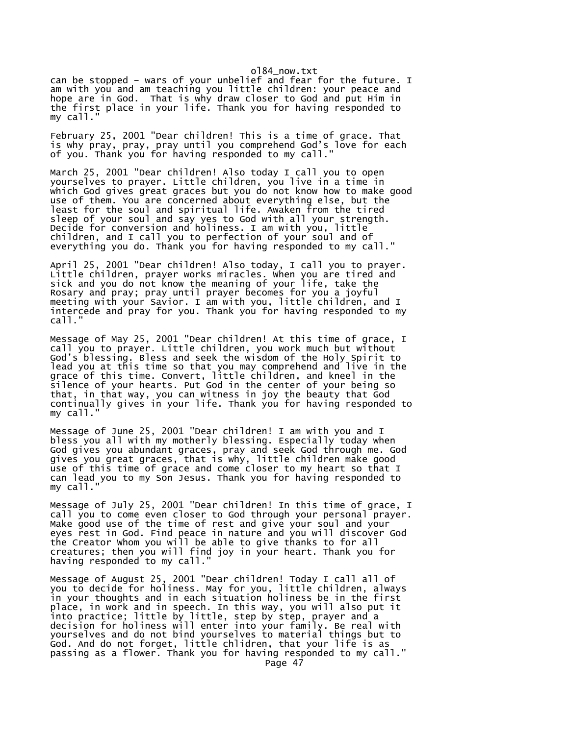can be stopped – wars of your unbelief and fear for the future. I am with you and am teaching you little children: your peace and hope are in God. That is why draw closer to God and put Him in the first place in your life. Thank you for having responded to my  $cal1$ .

February 25, 2001 "Dear children! This is a time of grace. That is why pray, pray, pray until you comprehend God's love for each of you. Thank you for having responded to my call."

March 25, 2001 "Dear children! Also today I call you to open yourselves to prayer. Little children, you live in a time in which God gives great graces but you do not know how to make good use of them. You are concerned about everything else, but the least for the soul and spiritual life. Awaken from the tired sleep of your soul and say yes to God with all your strength. Decide for conversion and holiness. I am with you, little children, and I call you to perfection of your soul and of everything you do. Thank you for having responded to my call."

April 25, 2001 "Dear children! Also today, I call you to prayer. Little children, prayer works miracles. When you are tired and sick and you do not know the meaning of your life, take the Rosary and pray; pray until prayer becomes for you a joyful meeting with your Savior. I am with you, little children, and I intercede and pray for you. Thank you for having responded to my call."

Message of May 25, 2001 "Dear children! At this time of grace, I call you to prayer. Little children, you work much but without God's blessing. Bless and seek the wisdom of the Holy Spirit to lead you at this time so that you may comprehend and live in the grace of this time. Convert, little children, and kneel in the silence of your hearts. Put God in the center of your being so that, in that way, you can witness in joy the beauty that God continually gives in your life. Thank you for having responded to my call."

Message of June 25, 2001 "Dear children! I am with you and I bless you all with my motherly blessing. Especially today when God gives you abundant graces, pray and seek God through me. God gives you great graces, that is why, little children make good use of this time of grace and come closer to my heart so that I can lead you to my Son Jesus. Thank you for having responded to my  $cal1$ .

Message of July 25, 2001 "Dear children! In this time of grace, I call you to come even closer to God through your personal prayer. Make good use of the time of rest and give your soul and your eyes rest in God. Find peace in nature and you will discover God the Creator Whom you will be able to give thanks to for all creatures; then you will find joy in your heart. Thank you for having responded to my call."

Message of August 25, 2001 "Dear children! Today I call all of you to decide for holiness. May for you, little children, always in your thoughts and in each situation holiness be in the first place, in work and in speech. In this way, you will also put it into practice; little by little, step by step, prayer and a decision for holiness will enter into your family. Be real with yourselves and do not bind yourselves to material things but to God. And do not forget, little chlidren, that your life is as passing as a flower. Thank you for having responded to my call."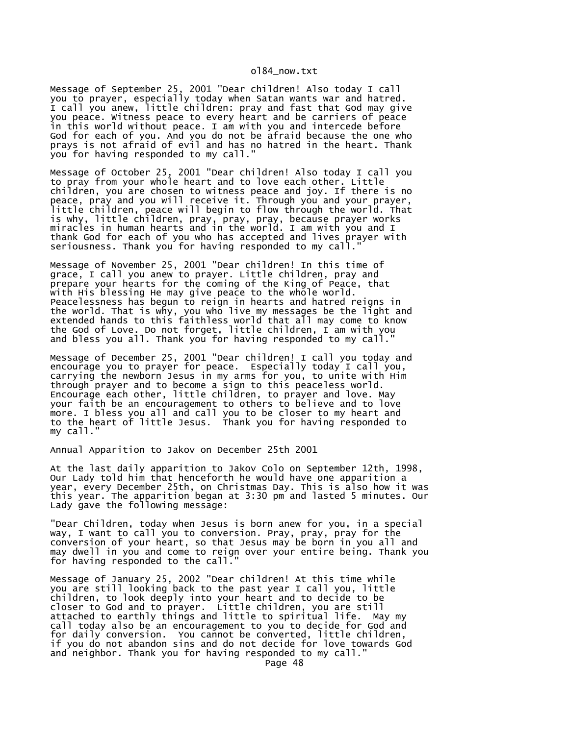Message of September 25, 2001 "Dear children! Also today I call you to prayer, especially today when Satan wants war and hatred. I call you anew, little children: pray and fast that God may give you peace. Witness peace to every heart and be carriers of peace in this world without peace. I am with you and intercede before God for each of you. And you do not be afraid because the one who prays is not afraid of evil and has no hatred in the heart. Thank you for having responded to my call."

Message of October 25, 2001 "Dear children! Also today I call you to pray from your whole heart and to love each other. Little children, you are chosen to witness peace and joy. If there is no peace, pray and you will receive it. Through you and your prayer, little children, peace will begin to flow through the world. That is why, little children, pray, pray, pray, because prayer works miracles in human hearts and in the world. I am with you and I thank God for each of you who has accepted and lives prayer with seriousness. Thank you for having responded to my call."

Message of November 25, 2001 "Dear children! In this time of grace, I call you anew to prayer. Little children, pray and prepare your hearts for the coming of the King of Peace, that with His blessing He may give peace to the whole world. Peacelessness has begun to reign in hearts and hatred reigns in the world. That is why, you who live my messages be the light and extended hands to this faithless world that all may come to know the God of Love. Do not forget, little children, I am with you and bless you all. Thank you for having responded to my call."

Message of December 25, 2001 "Dear children! I call you today and encourage you to prayer for peace. Especially today I call you, carrying the newborn Jesus in my arms for you, to unite with Him through prayer and to become a sign to this peaceless world. Encourage each other, little children, to prayer and love. May your faith be an encouragement to others to believe and to love more. I bless you all and call you to be closer to my heart and to the heart of little Jesus. Thank you for having responded to my call.

Annual Apparition to Jakov on December 25th 2001

At the last daily apparition to Jakov Colo on September 12th, 1998, Our Lady told him that henceforth he would have one apparition a year, every December 25th, on Christmas Day. This is also how it was this year. The apparition began at 3:30 pm and lasted 5 minutes. Our Lady gave the following message:

"Dear Children, today when Jesus is born anew for you, in a special way, I want to call you to conversion. Pray, pray, pray for the conversion of your heart, so that Jesus may be born in you all and may dwell in you and come to reign over your entire being. Thank you for having responded to the call.

Message of January 25, 2002 "Dear children! At this time while you are still looking back to the past year I call you, little children, to look deeply into your heart and to decide to be closer to God and to prayer. Little children, you are still attached to earthly things and little to spiritual life. May my call today also be an encouragement to you to decide for God and for daily conversion. You cannot be converted, little children, if you do not abandon sins and do not decide for love towards God and neighbor. Thank you for having responded to my call."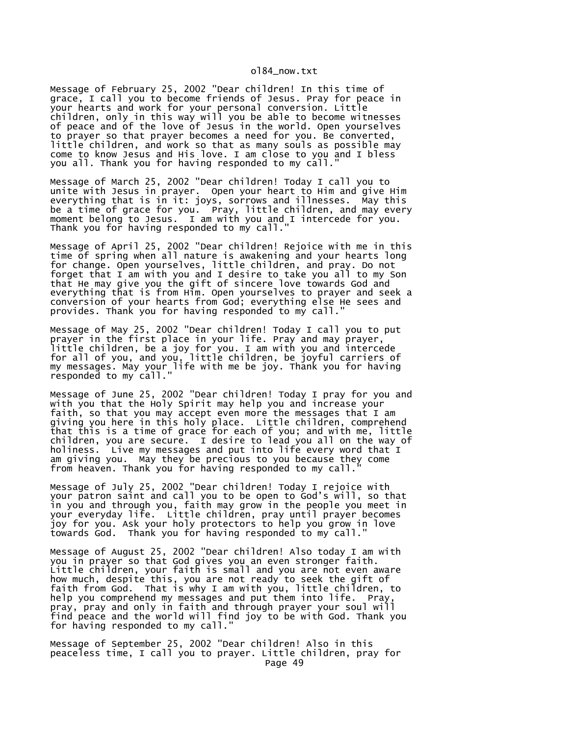Message of February 25, 2002 "Dear children! In this time of grace, I call you to become friends of Jesus. Pray for peace in your hearts and work for your personal conversion. Little children, only in this way will you be able to become witnesses of peace and of the love of Jesus in the world. Open yourselves to prayer so that prayer becomes a need for you. Be converted, little children, and work so that as many souls as possible may come to know Jesus and His love. I am close to you and I bless you all. Thank you for having responded to my call."

Message of March 25, 2002 "Dear children! Today I call you to unite with Jesus in prayer. Open your heart to Him and give Him everything that is in it: joys, sorrows and illnesses. May this be a time of grace for you. Pray, little children, and may every moment belong to Jesus. I am with you and I intercede for you. Thank you for having responded to my call."

Message of April 25, 2002 "Dear children! Rejoice with me in this time of spring when all nature is awakening and your hearts long for change. Open yourselves, little children, and pray. Do not forget that I am with you and I desire to take you all to my Son that He may give you the gift of sincere love towards God and everything that is from Him. Open yourselves to prayer and seek a conversion of your hearts from God; everything else He sees and provides. Thank you for having responded to my call."

Message of May 25, 2002 "Dear children! Today I call you to put prayer in the first place in your life. Pray and may prayer, little children, be a joy for you. I am with you and intercede for all of you, and you, little children, be joyful carriers of my messages. May your life with me be joy. Thank you for having responded to my call."

Message of June 25, 2002 "Dear children! Today I pray for you and with you that the Holy Spirit may help you and increase your faith, so that you may accept even more the messages that I am giving you here in this holy place. Little children, comprehend that this is a time of grace for each of you; and with me, little children, you are secure. I desire to lead you all on the way of holiness. Live my messages and put into life every word that I am giving you. May they be precious to you because they come from heaven. Thank you for having responded to my call.

Message of July 25, 2002 "Dear children! Today I rejoice with your patron saint and call you to be open to God's will, so that in you and through you, faith may grow in the people you meet in your everyday life. Little children, pray until prayer becomes joy for you. Ask your holy protectors to help you grow in love towards God. Thank you for having responded to my call."

Message of August 25, 2002 "Dear children! Also today I am with you in prayer so that God gives you an even stronger faith. Little children, your faith is small and you are not even aware how much, despite this, you are not ready to seek the gift of faith from God. That is why I am with you, little children, to help you comprehend my messages and put them into life. Pray, pray, pray and only in faith and through prayer your soul will find peace and the world will find joy to be with God. Thank you for having responded to my call."

Message of September 25, 2002 "Dear children! Also in this peaceless time, I call you to prayer. Little children, pray for Page 49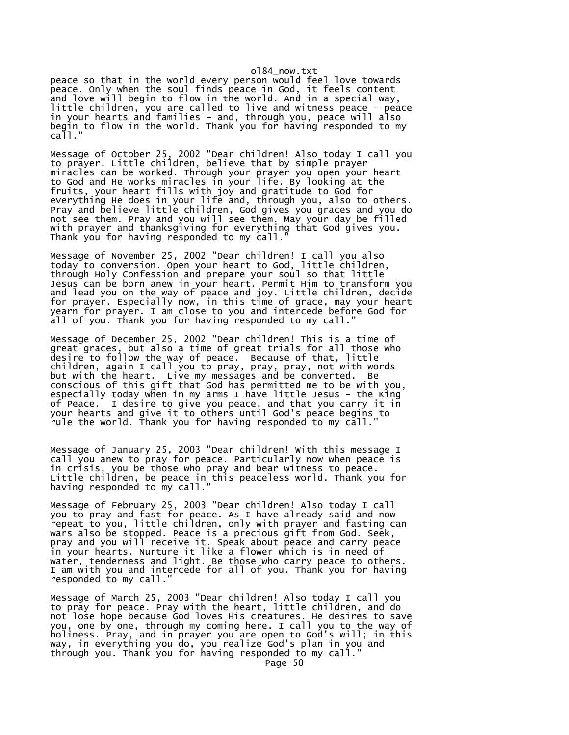peace so that in the world every person would feel love towards peace. Only when the soul finds peace in God, it feels content and love will begin to flow in the world. And in a special way, little children, you are called to live and witness peace – peace in your hearts and families – and, through you, peace will also begin to flow in the world. Thank you for having responded to my call."

Message of October 25, 2002 "Dear children! Also today I call you to prayer. Little children, believe that by simple prayer miracles can be worked. Through your prayer you open your heart to God and He works miracles in your life. By looking at the fruits, your heart fills with joy and gratitude to God for everything He does in your life and, through you, also to others. Pray and believe little children, God gives you graces and you do not see them. Pray and you will see them. May your day be filled with prayer and thanksgiving for everything that God gives you. Thank you for having responded to my call."

Message of November 25, 2002 "Dear children! I call you also today to conversion. Open your heart to God, little children, through Holy Confession and prepare your soul so that little Jesus can be born anew in your heart. Permit Him to transform you and lead you on the way of peace and joy. Little children, decide for prayer. Especially now, in this time of grace, may your heart yearn for prayer. I am close to you and intercede before God for all of you. Thank you for having responded to my call."

Message of December 25, 2002 "Dear children! This is a time of great graces, but also a time of great trials for all those who desire to follow the way of peace. Because of that, little children, again I call you to pray, pray, pray, not with words but with the heart. Live my messages and be converted. Be conscious of this gift that God has permitted me to be with you, especially today when in my arms I have little Jesus - the King of Peace. I desire to give you peace, and that you carry it in your hearts and give it to others until God's peace begins to rule the world. Thank you for having responded to my call."

Message of January 25, 2003 "Dear children! With this message I call you anew to pray for peace. Particularly now when peace is in crisis, you be those who pray and bear witness to peace. Little children, be peace in this peaceless world. Thank you for having responded to my call."

Message of February 25, 2003 "Dear children! Also today I call you to pray and fast for peace. As I have already said and now repeat to you, little children, only with prayer and fasting can wars also be stopped. Peace is a precious gift from God. Seek, pray and you will receive it. Speak about peace and carry peace in your hearts. Nurture it like a flower which is in need of water, tenderness and light. Be those who carry peace to others. I am with you and intercede for all of you. Thank you for having responded to my call."

Message of March 25, 2003 "Dear children! Also today I call you to pray for peace. Pray with the heart, little children, and do not lose hope because God loves His creatures. He desires to save you, one by one, through my coming here. I call you to the way of holiness. Pray, and in prayer you are open to God's will; in this way, in everything you do, you realize God's plan in you and through you. Thank you for having responded to my call."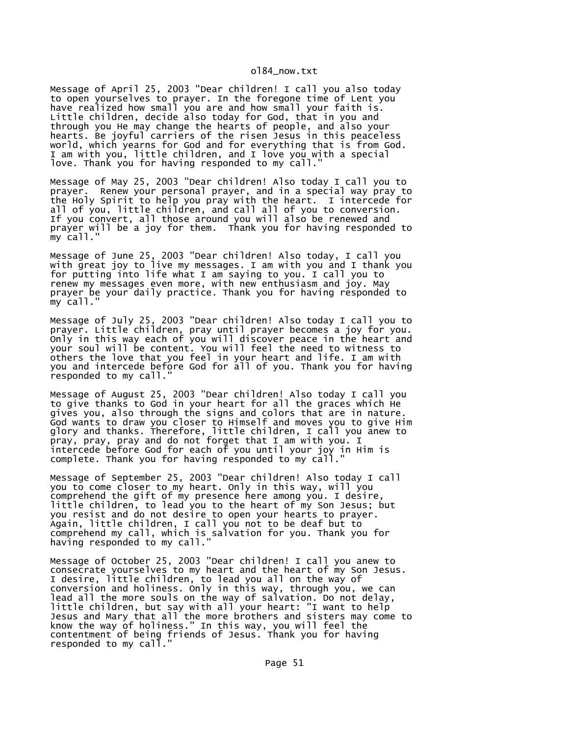Message of April 25, 2003 "Dear children! I call you also today to open yourselves to prayer. In the foregone time of Lent you have realized how small you are and how small your faith is. Little children, decide also today for God, that in you and through you He may change the hearts of people, and also your hearts. Be joyful carriers of the risen Jesus in this peaceless world, which yearns for God and for everything that is from God. I am with you, little children, and I love you with a special love. Thank you for having responded to my call.'

Message of May 25, 2003 "Dear children! Also today I call you to prayer. Renew your personal prayer, and in a special way pray to the Holy Spirit to help you pray with the heart. I intercede for all of you, little children, and call all of you to conversion. If you convert, all those around you will also be renewed and prayer will be a joy for them. Thank you for having responded to my call."

Message of June 25, 2003 "Dear children! Also today, I call you with great joy to live my messages. I am with you and I thank you for putting into life what I am saying to you. I call you to renew my messages even more, with new enthusiasm and joy. May prayer be your daily practice. Thank you for having responded to my call."

Message of July 25, 2003 "Dear children! Also today I call you to prayer. Little children, pray until prayer becomes a joy for you. Only in this way each of you will discover peace in the heart and your soul will be content. You will feel the need to witness to others the love that you feel in your heart and life. I am with you and intercede before God for all of you. Thank you for having responded to my call."

Message of August 25, 2003 "Dear children! Also today I call you to give thanks to God in your heart for all the graces which He gives you, also through the signs and colors that are in nature. God wants to draw you closer to Himself and moves you to give Him glory and thanks. Therefore, little children, I call you anew to pray, pray, pray and do not forget that I am with you. I intercede before God for each of you until your joy in Him is complete. Thank you for having responded to my call."

Message of September 25, 2003 "Dear children! Also today I call you to come closer to my heart. Only in this way, will you comprehend the gift of my presence here among you. I desire, little children, to lead you to the heart of my Son Jesus; but you resist and do not desire to open your hearts to prayer. Again, little children, I call you not to be deaf but to comprehend my call, which is salvation for you. Thank you for having responded to my call."

Message of October 25, 2003 "Dear children! I call you anew to consecrate yourselves to my heart and the heart of my Son Jesus. I desire, little children, to lead you all on the way of conversion and holiness. Only in this way, through you, we can lead all the more souls on the way of salvation. Do not delay, little children, but say with all your heart: "I want to help Jesus and Mary that all the more brothers and sisters may come to know the way of holiness." In this way, you will feel the contentment of being friends of Jesus. Thank you for having responded to my call."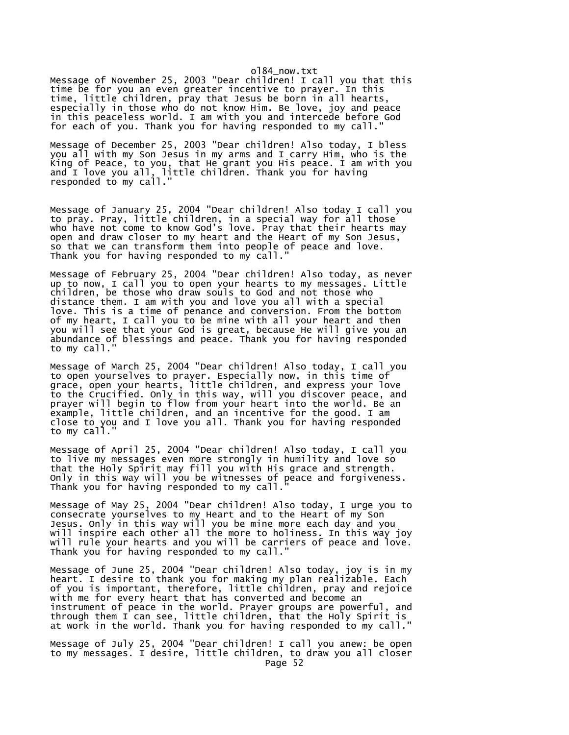Message of November 25, 2003 "Dear children! I call you that this time be for you an even greater incentive to prayer. In this time, little children, pray that Jesus be born in all hearts, especially in those who do not know Him. Be love, joy and peace in this peaceless world. I am with you and intercede before God for each of you. Thank you for having responded to my call."

Message of December 25, 2003 "Dear children! Also today, I bless you all with my Son Jesus in my arms and I carry Him, who is the King of Peace, to you, that He grant you His peace. I am with you and I love you all, little children. Thank you for having responded to my call."

Message of January 25, 2004 "Dear children! Also today I call you to pray. Pray, little children, in a special way for all those who have not come to know God's love. Pray that their hearts may open and draw closer to my heart and the Heart of my Son Jesus, so that we can transform them into people of peace and love. Thank you for having responded to my call."

Message of February 25, 2004 "Dear children! Also today, as never up to now, I call you to open your hearts to my messages. Little children, be those who draw souls to God and not those who distance them. I am with you and love you all with a special love. This is a time of penance and conversion. From the bottom of my heart, I call you to be mine with all your heart and then you will see that your God is great, because He will give you an abundance of blessings and peace. Thank you for having responded to my call."

Message of March 25, 2004 "Dear children! Also today, I call you to open yourselves to prayer. Especially now, in this time of grace, open your hearts, little children, and express your love to the Crucified. Only in this way, will you discover peace, and prayer will begin to flow from your heart into the world. Be an example, little children, and an incentive for the good. I am close to you and I love you all. Thank you for having responded to my call.

Message of April 25, 2004 "Dear children! Also today, I call you to live my messages even more strongly in humility and love so that the Holy Spirit may fill you with His grace and strength. Only in this way will you be witnesses of peace and forgiveness. Thank you for having responded to my call."

Message of May 25, 2004 "Dear children! Also today, I urge you to consecrate yourselves to my Heart and to the Heart of my Son Jesus. Only in this way will you be mine more each day and you will inspire each other all the more to holiness. In this way joy will rule your hearts and you will be carriers of peace and love. Thank you for having responded to my call."

Message of June 25, 2004 "Dear children! Also today, joy is in my heart. I desire to thank you for making my plan realizable. Each of you is important, therefore, little children, pray and rejoice with me for every heart that has converted and become an instrument of peace in the world. Prayer groups are powerful, and through them I can see, little children, that the Holy Spirit is at work in the world. Thank you for having responded to my call."

Message of July 25, 2004 "Dear children! I call you anew: be open to my messages. I desire, little children, to draw you all closer Page 52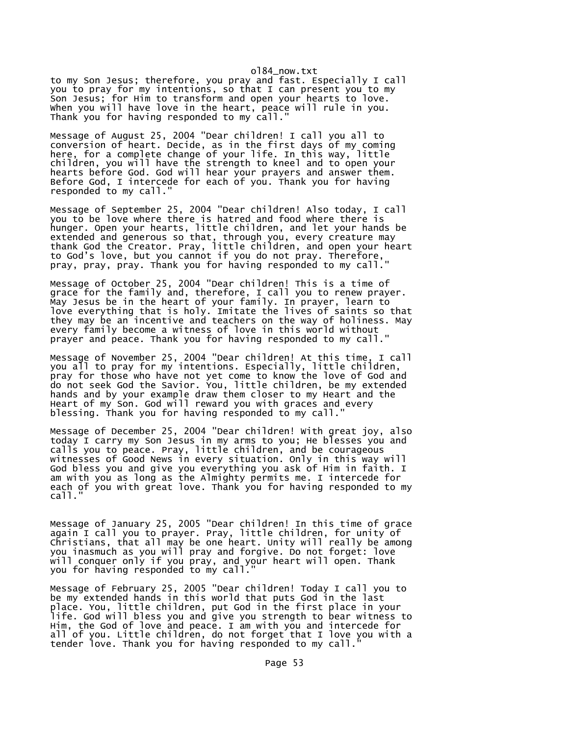to my Son Jesus; therefore, you pray and fast. Especially I call you to pray for my intentions, so that I can present you to my Son Jesus; for Him to transform and open your hearts to love. When you will have love in the heart, peace will rule in you. Thank you for having responded to my call.

Message of August 25, 2004 "Dear children! I call you all to conversion of heart. Decide, as in the first days of my coming here, for a complete change of your life. In this way, little children, you will have the strength to kneel and to open your hearts before God. God will hear your prayers and answer them. Before God, I intercede for each of you. Thank you for having responded to my call."

Message of September 25, 2004 "Dear children! Also today, I call you to be love where there is hatred and food where there is hunger. Open your hearts, little children, and let your hands be extended and generous so that, through you, every creature may thank God the Creator. Pray, little children, and open your heart to God's love, but you cannot if you do not pray. Therefore, pray, pray, pray. Thank you for having responded to my call.

Message of October 25, 2004 "Dear children! This is a time of grace for the family and, therefore, I call you to renew prayer. May Jesus be in the heart of your family. In prayer, learn to love everything that is holy. Imitate the lives of saints so that they may be an incentive and teachers on the way of holiness. May every family become a witness of love in this world without prayer and peace. Thank you for having responded to my call."

Message of November 25, 2004 "Dear children! At this time, I call you all to pray for my intentions. Especially, little children, pray for those who have not yet come to know the love of God and do not seek God the Savior. You, little children, be my extended hands and by your example draw them closer to my Heart and the Heart of my Son. God will reward you with graces and every blessing. Thank you for having responded to my call."

Message of December 25, 2004 "Dear children! With great joy, also today I carry my Son Jesus in my arms to you; He blesses you and calls you to peace. Pray, little children, and be courageous witnesses of Good News in every situation. Only in this way will God bless you and give you everything you ask of Him in faith. I am with you as long as the Almighty permits me. I intercede for each of you with great love. Thank you for having responded to my call.

Message of January 25, 2005 "Dear children! In this time of grace again I call you to prayer. Pray, little children, for unity of Christians, that all may be one heart. Unity will really be among you inasmuch as you will pray and forgive. Do not forget: love will conquer only if you pray, and your heart will open. Thank you for having responded to my call."

Message of February 25, 2005 "Dear children! Today I call you to be my extended hands in this world that puts God in the last place. You, little children, put God in the first place in your life. God will bless you and give you strength to bear witness to Him, the God of love and peace. I am with you and intercede for all of you. Little children, do not forget that I love you with a tender love. Thank you for having responded to my call."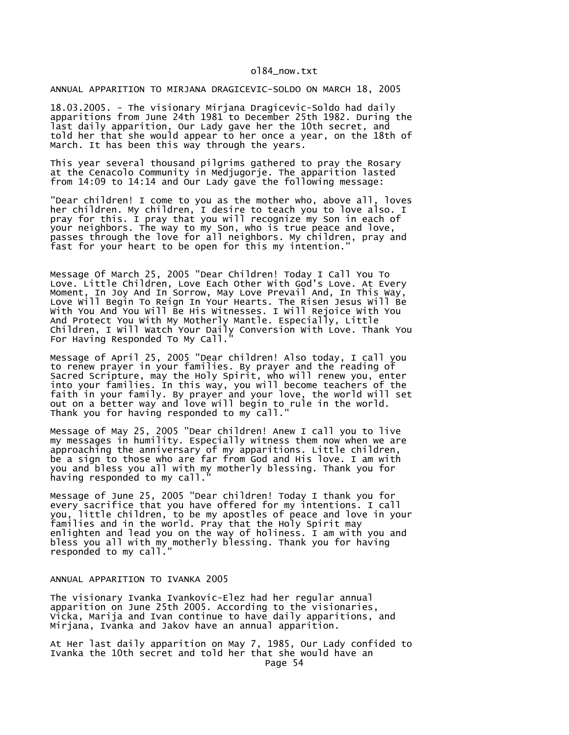## ANNUAL APPARITION TO MIRJANA DRAGICEVIC-SOLDO ON MARCH 18, 2005

18.03.2005. - The visionary Mirjana Dragicevic-Soldo had daily apparitions from June 24th 1981 to December 25th 1982. During the last daily apparition, Our Lady gave her the 10th secret, and told her that she would appear to her once a year, on the 18th of March. It has been this way through the years.

This year several thousand pilgrims gathered to pray the Rosary at the Cenacolo Community in Medjugorje. The apparition lasted from 14:09 to 14:14 and Our Lady gave the following message:

"Dear children! I come to you as the mother who, above all, loves her children. My children, I desire to teach you to love also. I pray for this. I pray that you will recognize my Son in each of your neighbors. The way to my Son, who is true peace and love, passes through the love for all neighbors. My children, pray and fast for your heart to be open for this my intention.

Message Of March 25, 2005 "Dear Children! Today I Call You To Love. Little Children, Love Each Other With God's Love. At Every Moment, In Joy And In Sorrow, May Love Prevail And, In This Way, Love Will Begin To Reign In Your Hearts. The Risen Jesus Will Be With You And You Will Be His Witnesses. I Will Rejoice With You And Protect You With My Motherly Mantle. Especially, Little Children, I Will Watch Your Daily Conversion With Love. Thank You For Having Responded To My Call."

Message of April 25, 2005 "Dear children! Also today, I call you to renew prayer in your families. By prayer and the reading of Sacred Scripture, may the Holy Spirit, who will renew you, enter into your families. In this way, you will become teachers of the faith in your family. By prayer and your love, the world will set out on a better way and love will begin to rule in the world. Thank you for having responded to my call."

Message of May 25, 2005 "Dear children! Anew I call you to live my messages in humility. Especially witness them now when we are approaching the anniversary of my apparitions. Little children, be a sign to those who are far from God and His love. I am with you and bless you all with my motherly blessing. Thank you for having responded to my call.

Message of June 25, 2005 "Dear children! Today I thank you for every sacrifice that you have offered for my intentions. I call you, little children, to be my apostles of peace and love in your families and in the world. Pray that the Holy Spirit may enlighten and lead you on the way of holiness. I am with you and bless you all with my motherly blessing. Thank you for having responded to my call."

# ANNUAL APPARITION TO IVANKA 2005

The visionary Ivanka Ivankovic-Elez had her regular annual apparition on June 25th 2005. According to the visionaries, Vicka, Marija and Ivan continue to have daily apparitions, and Mirjana, Ivanka and Jakov have an annual apparition.

At Her last daily apparition on May 7, 1985, Our Lady confided to Ivanka the 10th secret and told her that she would have an Page 54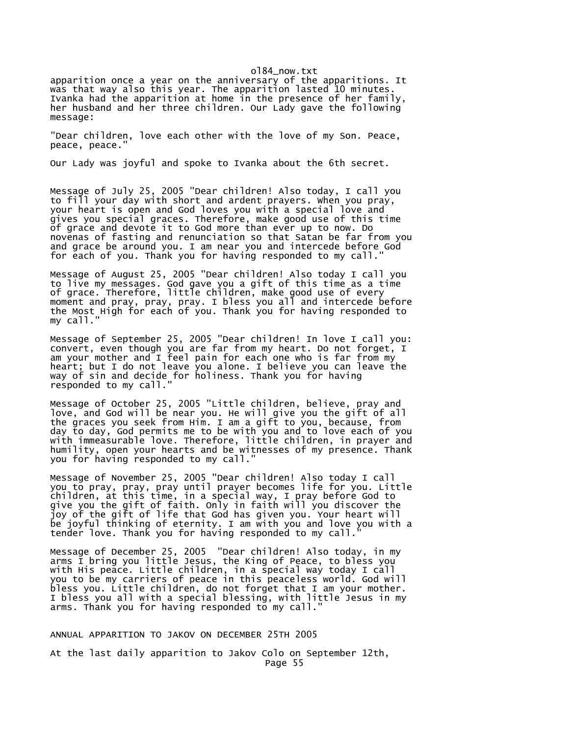apparition once a year on the anniversary of the apparitions. It was that way also this year. The apparition lasted 10 minutes. Ivanka had the apparition at home in the presence of her family, her husband and her three children. Our Lady gave the following message:

"Dear children, love each other with the love of my Son. Peace, peace, peace."

Our Lady was joyful and spoke to Ivanka about the 6th secret.

Message of July 25, 2005 "Dear children! Also today, I call you to fill your day with short and ardent prayers. When you pray, your heart is open and God loves you with a special love and gives you special graces. Therefore, make good use of this time of grace and devote it to God more than ever up to now. Do novenas of fasting and renunciation so that Satan be far from you and grace be around you. I am near you and intercede before God for each of you. Thank you for having responded to my call.

Message of August 25, 2005 "Dear children! Also today I call you to live my messages. God gave you a gift of this time as a time of grace. Therefore, little children, make good use of every moment and pray, pray, pray. I bless you all and intercede before the Most High for each of you. Thank you for having responded to my call.

Message of September 25, 2005 "Dear children! In love I call you: convert, even though you are far from my heart. Do not forget, I am your mother and I feel pain for each one who is far from my heart; but I do not leave you alone. I believe you can leave the way of sin and decide for holiness. Thank you for having responded to my call."

Message of October 25, 2005 "Little children, believe, pray and love, and God will be near you. He will give you the gift of all the graces you seek from Him. I am a gift to you, because, from day to day, God permits me to be with you and to love each of you with immeasurable love. Therefore, little children, in prayer and humility, open your hearts and be witnesses of my presence. Thank you for having responded to my call."

Message of November 25, 2005 "Dear children! Also today I call you to pray, pray, pray until prayer becomes life for you. Little children, at this time, in a special way, I pray before God to give you the gift of faith. Only in faith will you discover the joy of the gift of life that God has given you. Your heart will be joyful thinking of eternity. I am with you and love you with a tender love. Thank you for having responded to my call."

Message of December 25, 2005 "Dear children! Also today, in my arms I bring you little Jesus, the King of Peace, to bless you with His peace. Little children, in a special way today I call you to be my carriers of peace in this peaceless world. God will bless you. Little children, do not forget that I am your mother. I bless you all with a special blessing, with little Jesus in my arms. Thank you for having responded to my call."

### ANNUAL APPARITION TO JAKOV ON DECEMBER 25TH 2005

At the last daily apparition to Jakov Colo on September 12th, Page 55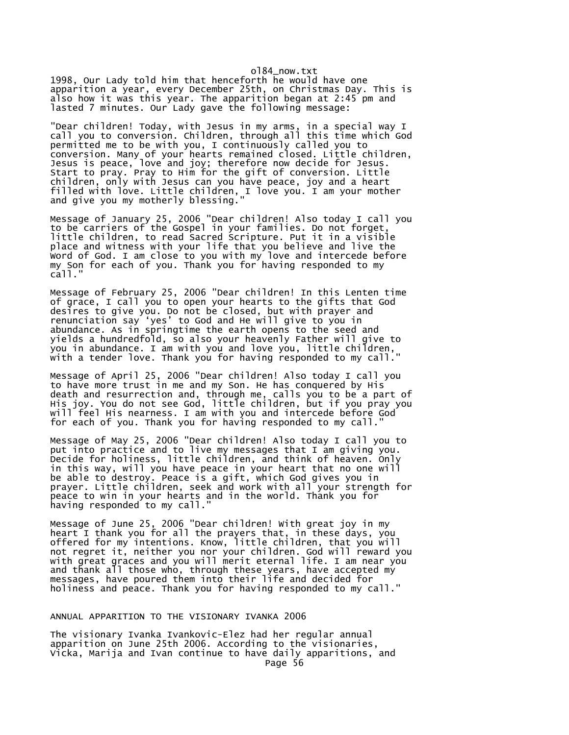ol84\_now.txt 1998, Our Lady told him that henceforth he would have one apparition a year, every December 25th, on Christmas Day. This is also how it was this year. The apparition began at 2:45 pm and lasted 7 minutes. Our Lady gave the following message:

"Dear children! Today, with Jesus in my arms, in a special way I call you to conversion. Children, through all this time which God permitted me to be with you, I continuously called you to conversion. Many of your hearts remained closed. Little children, Jesus is peace, love and joy; therefore now decide for Jesus. Start to pray. Pray to Him for the gift of conversion. Little children, only with Jesus can you have peace, joy and a heart filled with love. Little children, I love you. I am your mother and give you my motherly blessing."

Message of January 25, 2006 "Dear children! Also today I call you to be carriers of the Gospel in your families. Do not forget, little children, to read Sacred Scripture. Put it in a visible place and witness with your life that you believe and live the Word of God. I am close to you with my love and intercede before my Son for each of you. Thank you for having responded to my call."

Message of February 25, 2006 "Dear children! In this Lenten time of grace, I call you to open your hearts to the gifts that God desires to give you. Do not be closed, but with prayer and renunciation say 'yes' to God and He will give to you in abundance. As in springtime the earth opens to the seed and yields a hundredfold, so also your heavenly Father will give to you in abundance. I am with you and love you, little children, with a tender love. Thank you for having responded to my call.

Message of April 25, 2006 "Dear children! Also today I call you to have more trust in me and my Son. He has conquered by His death and resurrection and, through me, calls you to be a part of His joy. You do not see God, little children, but if you pray you will feel His nearness. I am with you and intercede before God for each of you. Thank you for having responded to my call."

Message of May 25, 2006 "Dear children! Also today I call you to put into practice and to live my messages that I am giving you. Decide for holiness, little children, and think of heaven. Only in this way, will you have peace in your heart that no one will be able to destroy. Peace is a gift, which God gives you in prayer. Little children, seek and work with all your strength for peace to win in your hearts and in the world. Thank you for having responded to my call."

Message of June 25, 2006 "Dear children! With great joy in my heart I thank you for all the prayers that, in these days, you offered for my intentions. Know, little children, that you will not regret it, neither you nor your children. God will reward you with great graces and you will merit eternal life. I am near you and thank all those who, through these years, have accepted my messages, have poured them into their life and decided for holiness and peace. Thank you for having responded to my call."

## ANNUAL APPARITION TO THE VISIONARY IVANKA 2006

The visionary Ivanka Ivankovic-Elez had her regular annual apparition on June 25th 2006. According to the visionaries, Vicka, Marija and Ivan continue to have daily apparitions, and Page 56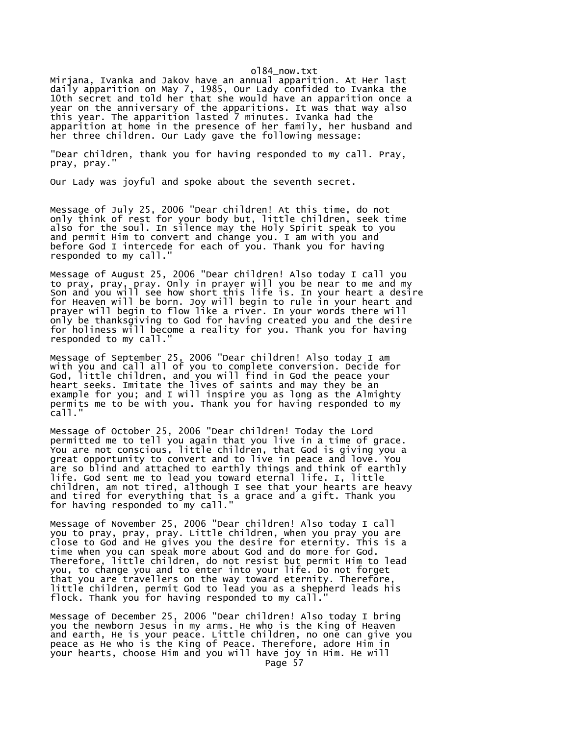Mirjana, Ivanka and Jakov have an annual apparition. At Her last daily apparition on May 7, 1985, Our Lady confided to Ivanka the 10th secret and told her that she would have an apparition once a year on the anniversary of the apparitions. It was that way also this year. The apparition lasted 7 minutes. Ivanka had the apparition at home in the presence of her family, her husband and her three children. Our Lady gave the following message:

"Dear children, thank you for having responded to my call. Pray, pray, pray."

Our Lady was joyful and spoke about the seventh secret.

Message of July 25, 2006 "Dear children! At this time, do not only think of rest for your body but, little children, seek time also for the soul. In silence may the Holy Spirit speak to you and permit Him to convert and change you. I am with you and before God I intercede for each of you. Thank you for having responded to my call."

Message of August 25, 2006 "Dear children! Also today I call you to pray, pray, pray. Only in prayer will you be near to me and my Son and you will see how short this life is. In your heart a desire for Heaven will be born. Joy will begin to rule in your heart and prayer will begin to flow like a river. In your words there will only be thanksgiving to God for having created you and the desire for holiness will become a reality for you. Thank you for having responded to my call."

Message of September 25, 2006 "Dear children! Also today I am with you and call all of you to complete conversion. Decide for God, little children, and you will find in God the peace your heart seeks. Imitate the lives of saints and may they be an example for you; and I will inspire you as long as the Almighty permits me to be with you. Thank you for having responded to my call."

Message of October 25, 2006 "Dear children! Today the Lord permitted me to tell you again that you live in a time of grace. You are not conscious, little children, that God is giving you a great opportunity to convert and to live in peace and love. You are so blind and attached to earthly things and think of earthly life. God sent me to lead you toward eternal life. I, little children, am not tired, although I see that your hearts are heavy and tired for everything that is a grace and a gift. Thank you for having responded to my call."

Message of November 25, 2006 "Dear children! Also today I call you to pray, pray, pray. Little children, when you pray you are close to God and He gives you the desire for eternity. This is a time when you can speak more about God and do more for God. Therefore, little children, do not resist but permit Him to lead you, to change you and to enter into your life. Do not forget that you are travellers on the way toward eternity. Therefore, little children, permit God to lead you as a shepherd leads his flock. Thank you for having responded to my call.

Message of December 25, 2006 "Dear children! Also today I bring you the newborn Jesus in my arms. He who is the King of Heaven and earth, He is your peace. Little children, no one can give you peace as He who is the King of Peace. Therefore, adore Him in your hearts, choose Him and you will have joy in Him. He will Page 57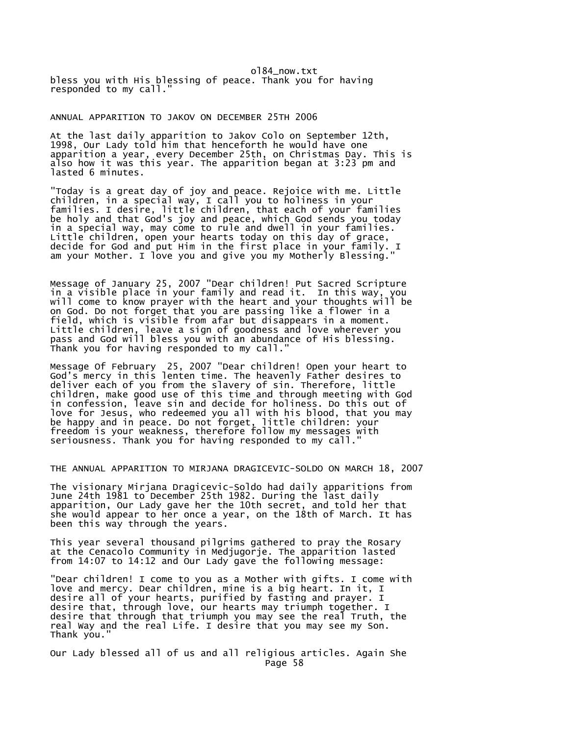ol84\_now.txt bless you with His blessing of peace. Thank you for having responded to my call."

## ANNUAL APPARITION TO JAKOV ON DECEMBER 25TH 2006

At the last daily apparition to Jakov Colo on September 12th, 1998, Our Lady told him that henceforth he would have one apparition a year, every December 25th, on Christmas Day. This is also how it was this year. The apparition began at 3:23 pm and lasted 6 minutes.

"Today is a great day of joy and peace. Rejoice with me. Little children, in a special way, I call you to holiness in your families. I desire, little children, that each of your families be holy and that God's joy and peace, which God sends you today in a special way, may come to rule and dwell in your families. Little children, open your hearts today on this day of grace, decide for God and put Him in the first place in your family. I am your Mother. I love you and give you my Motherly Blessing."

Message of January 25, 2007 "Dear children! Put Sacred Scripture in a visible place in your family and read it. In this way, you will come to know prayer with the heart and your thoughts will be on God. Do not forget that you are passing like a flower in a field, which is visible from afar but disappears in a moment. Little children, leave a sign of goodness and love wherever you pass and God will bless you with an abundance of His blessing. Thank you for having responded to my call."

Message Of February 25, 2007 "Dear children! Open your heart to God's mercy in this lenten time. The heavenly Father desires to deliver each of you from the slavery of sin. Therefore, little children, make good use of this time and through meeting with God in confession, leave sin and decide for holiness. Do this out of love for Jesus, who redeemed you all with his blood, that you may be happy and in peace. Do not forget, little children: your freedom is your weakness, therefore follow my messages with seriousness. Thank you for having responded to my call."

THE ANNUAL APPARITION TO MIRJANA DRAGICEVIC-SOLDO ON MARCH 18, 2007

The visionary Mirjana Dragicevic-Soldo had daily apparitions from June 24th 1981 to December 25th 1982. During the last daily apparition, Our Lady gave her the 10th secret, and told her that she would appear to her once a year, on the 18th of March. It has been this way through the years.

This year several thousand pilgrims gathered to pray the Rosary at the Cenacolo Community in Medjugorje. The apparition lasted from 14:07 to 14:12 and Our Lady gave the following message:

"Dear children! I come to you as a Mother with gifts. I come with love and mercy. Dear children, mine is a big heart. In it, I desire all of your hearts, purified by fasting and prayer. I desire that, through love, our hearts may triumph together. I desire that through that triumph you may see the real Truth, the real Way and the real Life. I desire that you may see my Son. Thank you."

Our Lady blessed all of us and all religious articles. Again She Page 58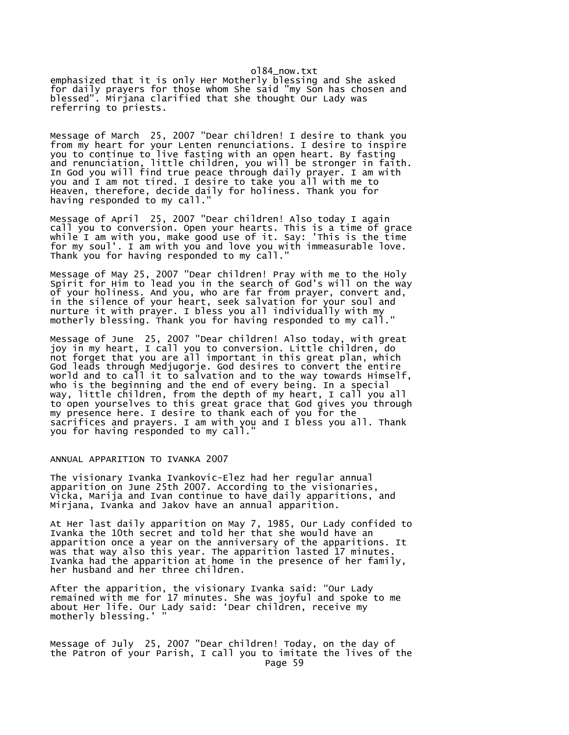ol84\_now.txt emphasized that it is only Her Motherly blessing and She asked for daily prayers for those whom She said "my Son has chosen and blessed". Mirjana clarified that she thought Our Lady was referring to priests.

Message of March 25, 2007 "Dear children! I desire to thank you from my heart for your Lenten renunciations. I desire to inspire you to continue to live fasting with an open heart. By fasting and renunciation, little children, you will be stronger in faith. In God you will find true peace through daily prayer. I am with you and I am not tired. I desire to take you all with me to Heaven, therefore, decide daily for holiness. Thank you for having responded to my call.

Message of April 25, 2007 "Dear children! Also today I again call you to conversion. Open your hearts. This is a time of grace while I am with you, make good use of it. Say: 'This is the time for my soul'. I am with you and love you with immeasurable love. Thank you for having responded to my call."

Message of May 25, 2007 "Dear children! Pray with me to the Holy Spirit for Him to lead you in the search of God's will on the way of your holiness. And you, who are far from prayer, convert and, in the silence of your heart, seek salvation for your soul and nurture it with prayer. I bless you all individually with my motherly blessing. Thank you for having responded to my call."

Message of June 25, 2007 "Dear children! Also today, with great joy in my heart, I call you to conversion. Little children, do not forget that you are all important in this great plan, which God leads through Medjugorje. God desires to convert the entire world and to call it to salvation and to the way towards Himself, who is the beginning and the end of every being. In a special way, little children, from the depth of my heart, I call you all to open yourselves to this great grace that God gives you through my presence here. I desire to thank each of you for the sacrifices and prayers. I am with you and I bless you all. Thank you for having responded to my call."

# ANNUAL APPARITION TO IVANKA 2007

The visionary Ivanka Ivankovic-Elez had her regular annual apparition on June 25th 2007. According to the visionaries, Vicka, Marija and Ivan continue to have daily apparitions, and Mirjana, Ivanka and Jakov have an annual apparition.

At Her last daily apparition on May 7, 1985, Our Lady confided to Ivanka the 10th secret and told her that she would have an apparition once a year on the anniversary of the apparitions. It was that way also this year. The apparition lasted 17 minutes. Ivanka had the apparition at home in the presence of her family, her husband and her three children.

After the apparition, the visionary Ivanka said: "Our Lady remained with me for 17 minutes. She was joyful and spoke to me about Her life. Our Lady said: 'Dear children, receive my motherly blessing.' "

Message of July 25, 2007 "Dear children! Today, on the day of the Patron of your Parish, I call you to imitate the lives of the Page 59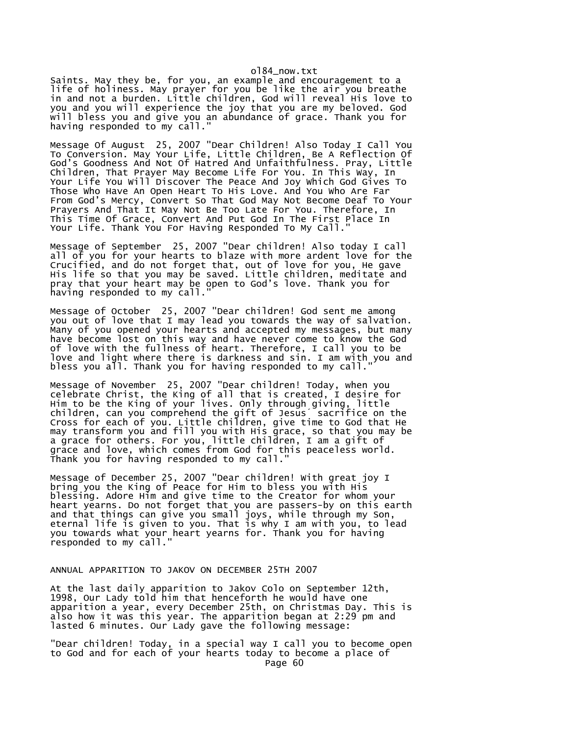Saints. May they be, for you, an example and encouragement to a life of holiness. May prayer for you be like the air you breathe in and not a burden. Little children, God will reveal His love to you and you will experience the joy that you are my beloved. God will bless you and give you an abundance of grace. Thank you for having responded to my call."

Message Of August 25, 2007 "Dear Children! Also Today I Call You To Conversion. May Your Life, Little Children, Be A Reflection Of God's Goodness And Not Of Hatred And Unfaithfulness. Pray, Little Children, That Prayer May Become Life For You. In This Way, In Your Life You Will Discover The Peace And Joy Which God Gives To Those Who Have An Open Heart To His Love. And You Who Are Far From God's Mercy, Convert So That God May Not Become Deaf To Your Prayers And That It May Not Be Too Late For You. Therefore, In This Time Of Grace, Convert And Put God In The First Place In Your Life. Thank You For Having Responded To My Call."

Message of September 25, 2007 "Dear children! Also today I call all of you for your hearts to blaze with more ardent love for the Crucified, and do not forget that, out of love for you, He gave His life so that you may be saved. Little children, meditate and pray that your heart may be open to God's love. Thank you for having responded to my call."

Message of October 25, 2007 "Dear children! God sent me among you out of love that I may lead you towards the way of salvation. Many of you opened your hearts and accepted my messages, but many have become lost on this way and have never come to know the God of love with the fullness of heart. Therefore, I call you to be love and light where there is darkness and sin. I am with you and bless you all. Thank you for having responded to my call."

Message of November 25, 2007 "Dear children! Today, when you celebrate Christ, the King of all that is created, I desire for Him to be the King of your lives. Only through giving, little children, can you comprehend the gift of Jesus´ sacrifice on the Cross for each of you. Little children, give time to God that He may transform you and fill you with His grace, so that you may be a grace for others. For you, little children, I am a gift of grace and love, which comes from God for this peaceless world. Thank you for having responded to my call."

Message of December 25, 2007 "Dear children! With great joy I bring you the King of Peace for Him to bless you with His blessing. Adore Him and give time to the Creator for whom your heart yearns. Do not forget that you are passers-by on this earth and that things can give you small joys, while through my Son, eternal life is given to you. That is why I am with you, to lead you towards what your heart yearns for. Thank you for having responded to my call."

#### ANNUAL APPARITION TO JAKOV ON DECEMBER 25TH 2007

At the last daily apparition to Jakov Colo on September 12th, 1998, Our Lady told him that henceforth he would have one apparition a year, every December 25th, on Christmas Day. This is also how it was this year. The apparition began at 2:29 pm and lasted 6 minutes. Our Lady gave the following message:

"Dear children! Today, in a special way I call you to become open to God and for each of your hearts today to become a place of Page 60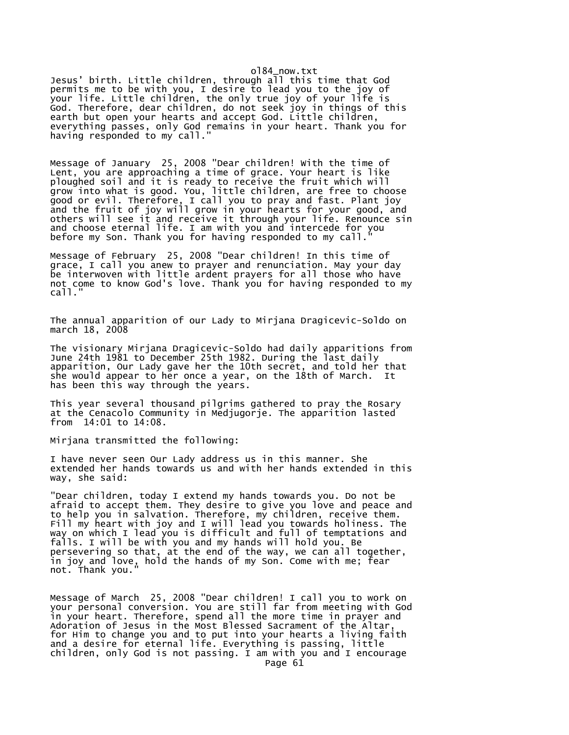Jesus' birth. Little children, through all this time that God permits me to be with you, I desire to lead you to the joy of your life. Little children, the only true joy of your life is God. Therefore, dear children, do not seek joy in things of this earth but open your hearts and accept God. Little children, everything passes, only God remains in your heart. Thank you for having responded to my call."

Message of January 25, 2008 "Dear children! With the time of Lent, you are approaching a time of grace. Your heart is like ploughed soil and it is ready to receive the fruit which will grow into what is good. You, little children, are free to choose good or evil. Therefore, I call you to pray and fast. Plant joy and the fruit of joy will grow in your hearts for your good, and others will see it and receive it through your life. Renounce sin and choose eternal life. I am with you and intercede for you before my Son. Thank you for having responded to my call."

Message of February 25, 2008 "Dear children! In this time of grace, I call you anew to prayer and renunciation. May your day be interwoven with little ardent prayers for all those who have not come to know God's love. Thank you for having responded to my call.

The annual apparition of our Lady to Mirjana Dragicevic-Soldo on march 18, 2008

The visionary Mirjana Dragicevic-Soldo had daily apparitions from June 24th 1981 to December 25th 1982. During the last daily apparition, Our Lady gave her the 10th secret, and told her that she would appear to her once a year, on the 18th of March. It has been this way through the years.

This year several thousand pilgrims gathered to pray the Rosary at the Cenacolo Community in Medjugorje. The apparition lasted from 14:01 to 14:08.

Mirjana transmitted the following:

I have never seen Our Lady address us in this manner. She extended her hands towards us and with her hands extended in this way, she said:

"Dear children, today I extend my hands towards you. Do not be afraid to accept them. They desire to give you love and peace and to help you in salvation. Therefore, my children, receive them. Fill my heart with joy and I will lead you towards holiness. The way on which I lead you is difficult and full of temptations and falls. I will be with you and my hands will hold you. Be persevering so that, at the end of the way, we can all together, in joy and love, hold the hands of my Son. Come with me; fear not. Thank you."

Message of March 25, 2008 "Dear children! I call you to work on your personal conversion. You are still far from meeting with God in your heart. Therefore, spend all the more time in prayer and Adoration of Jesus in the Most Blessed Sacrament of the Altar, for Him to change you and to put into your hearts a living faith and a desire for eternal life. Everything is passing, little children, only God is not passing. I am with you and I encourage Page 61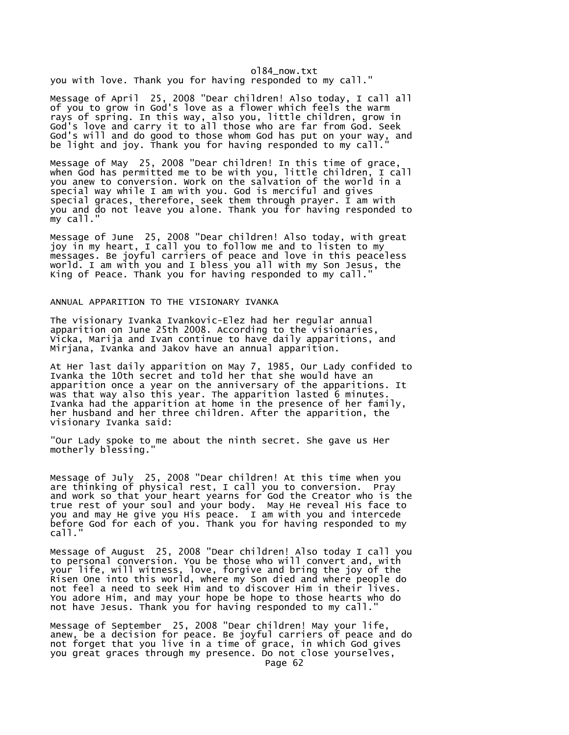## ol84\_now.txt you with love. Thank you for having responded to my call."

Message of April 25, 2008 "Dear children! Also today, I call all of you to grow in God's love as a flower which feels the warm rays of spring. In this way, also you, little children, grow in God's love and carry it to all those who are far from God. Seek God's will and do good to those whom God has put on your way, and be light and joy. Thank you for having responded to my call.

Message of May 25, 2008 "Dear children! In this time of grace, when God has permitted me to be with you, little children, I call you anew to conversion. Work on the salvation of the world in a special way while I am with you. God is merciful and gives special graces, therefore, seek them through prayer. I am with you and do not leave you alone. Thank you for having responded to my call."

Message of June 25, 2008 "Dear children! Also today, with great joy in my heart, I call you to follow me and to listen to my messages. Be joyful carriers of peace and love in this peaceless world. I am with you and I bless you all with my Son Jesus, the King of Peace. Thank you for having responded to my call.

# ANNUAL APPARITION TO THE VISIONARY IVANKA

The visionary Ivanka Ivankovic-Elez had her regular annual apparition on June 25th 2008. According to the visionaries, Vicka, Marija and Ivan continue to have daily apparitions, and Mirjana, Ivanka and Jakov have an annual apparition.

At Her last daily apparition on May 7, 1985, Our Lady confided to Ivanka the 10th secret and told her that she would have an apparition once a year on the anniversary of the apparitions. It was that way also this year. The apparition lasted 6 minutes. Ivanka had the apparition at home in the presence of her family, her husband and her three children. After the apparition, the visionary Ivanka said:

"Our Lady spoke to me about the ninth secret. She gave us Her motherly blessing."

Message of July 25, 2008 "Dear children! At this time when you are thinking of physical rest, I call you to conversion. Pray and work so that your heart yearns for God the Creator who is the true rest of your soul and your body. May He reveal His face to you and may He give you His peace. I am with you and intercede before God for each of you. Thank you for having responded to my ca11.

Message of August 25, 2008 "Dear children! Also today I call you to personal conversion. You be those who will convert and, with your life, will witness, love, forgive and bring the joy of the Risen One into this world, where my Son died and where people do not feel a need to seek Him and to discover Him in their lives. You adore Him, and may your hope be hope to those hearts who do not have Jesus. Thank you for having responded to my call."

Message of September 25, 2008 "Dear children! May your life, anew, be a decision for peace. Be joyful carriers of peace and do not forget that you live in a time of grace, in which God gives you great graces through my presence. Do not close yourselves,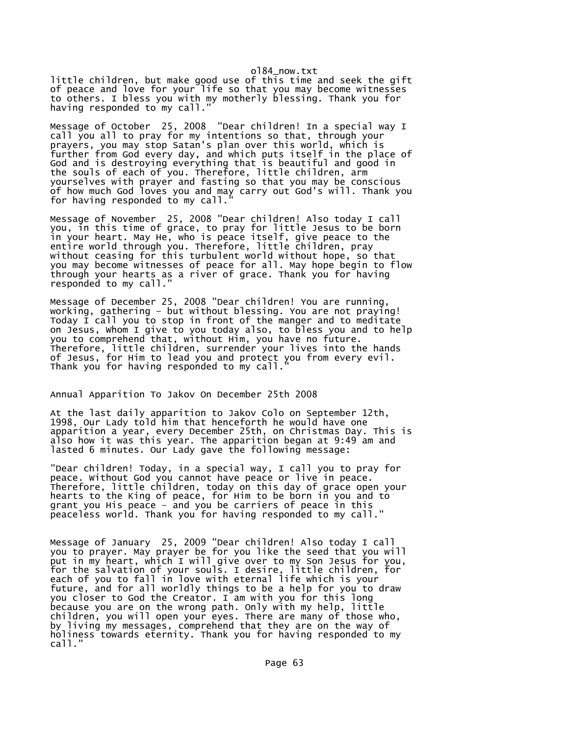ol84\_now.txt little children, but make good use of this time and seek the gift of peace and love for your life so that you may become witnesses to others. I bless you with my motherly blessing. Thank you for having responded to my call."

Message of October 25, 2008 "Dear children! In a special way I call you all to pray for my intentions so that, through your prayers, you may stop Satan's plan over this world, which is further from God every day, and which puts itself in the place of God and is destroying everything that is beautiful and good in the souls of each of you. Therefore, little children, arm yourselves with prayer and fasting so that you may be conscious of how much God loves you and may carry out God's will. Thank you for having responded to my call.

Message of November 25, 2008 "Dear children! Also today I call Messaye of November 25, 2000 Dea. Since it left lessus to be born in your heart. May He, who is peace itself, give peace to the entire world through you. Therefore, little children, pray without ceasing for this turbulent world without hope, so that you may become witnesses of peace for all. May hope begin to flow through your hearts as a river of grace. Thank you for having responded to my call.

Message of December 25, 2008 "Dear children! You are running, working, gathering – but without blessing. You are not praying! Today I call you to stop in front of the manger and to meditate on Jesus, Whom I give to you today also, to bless you and to help you to comprehend that, without Him, you have no future. Therefore, little children, surrender your lives into the hands of Jesus, for Him to lead you and protect you from every evil. Thank you for having responded to my call."

## Annual Apparition To Jakov On December 25th 2008

At the last daily apparition to Jakov Colo on September 12th, 1998, Our Lady told him that henceforth he would have one apparition a year, every December 25th, on Christmas Day. This is also how it was this year. The apparition began at 9:49 am and lasted 6 minutes. Our Lady gave the following message:

"Dear children! Today, in a special way, I call you to pray for peace. Without God you cannot have peace or live in peace. Therefore, little children, today on this day of grace open your hearts to the King of peace, for Him to be born in you and to grant you His peace – and you be carriers of peace in this peaceless world. Thank you for having responded to my call."

Message of January 25, 2009 "Dear children! Also today I call you to prayer. May prayer be for you like the seed that you will put in my heart, which I will give over to my Son Jesus for you, for the salvation of your souls. I desire, little children, for each of you to fall in love with eternal life which is your future, and for all worldly things to be a help for you to draw you closer to God the Creator. I am with you for this long because you are on the wrong path. Only with my help, little children, you will open your eyes. There are many of those who, by living my messages, comprehend that they are on the way of holiness towards eternity. Thank you for having responded to my call."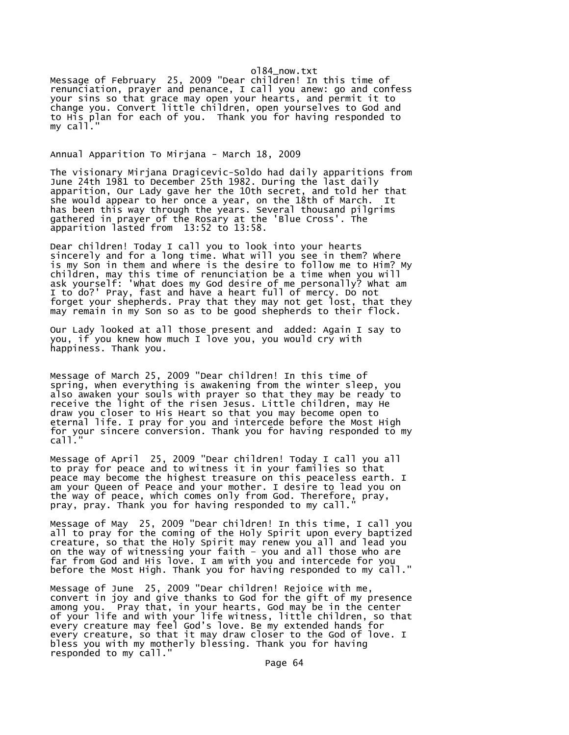Message of February 25, 2009 "Dear children! In this time of renunciation, prayer and penance, I call you anew: go and confess your sins so that grace may open your hearts, and permit it to change you. Convert little children, open yourselves to God and to His plan for each of you. Thank you for having responded to my  $cal1$ .

### Annual Apparition To Mirjana - March 18, 2009

The visionary Mirjana Dragicevic-Soldo had daily apparitions from June 24th 1981 to December 25th 1982. During the last daily apparition, Our Lady gave her the 10th secret, and told her that she would appear to her once a year, on the 18th of March. It has been this way through the years. Several thousand pilgrims gathered in prayer of the Rosary at the 'Blue Cross'. The apparition lasted from 13:52 to 13:58.

Dear children! Today I call you to look into your hearts sincerely and for a long time. What will you see in them? Where is my Son in them and where is the desire to follow me to Him? My children, may this time of renunciation be a time when you will ask yourself: 'What does my God desire of me personally? What am I to do?' Pray, fast and have a heart full of mercy. Do not forget your shepherds. Pray that they may not get lost, that they may remain in my Son so as to be good shepherds to their flock.

Our Lady looked at all those present and added: Again I say to you, if you knew how much I love you, you would cry with happiness. Thank you.

Message of March 25, 2009 "Dear children! In this time of spring, when everything is awakening from the winter sleep, you also awaken your souls with prayer so that they may be ready to receive the light of the risen Jesus. Little children, may He draw you closer to His Heart so that you may become open to eternal life. I pray for you and intercede before the Most High for your sincere conversion. Thank you for having responded to my call."

Message of April 25, 2009 "Dear children! Today I call you all to pray for peace and to witness it in your families so that peace may become the highest treasure on this peaceless earth. I am your Queen of Peace and your mother. I desire to lead you on the way of peace, which comes only from God. Therefore, pray, pray, pray. Thank you for having responded to my call."

Message of May 25, 2009 "Dear children! In this time, I call you all to pray for the coming of the Holy Spirit upon every baptized creature, so that the Holy Spirit may renew you all and lead you on the way of witnessing your faith – you and all those who are far from God and His love. I am with you and intercede for you before the Most High. Thank you for having responded to my call."

Message of June 25, 2009 "Dear children! Rejoice with me, convert in joy and give thanks to God for the gift of my presence among you. Pray that, in your hearts, God may be in the center of your life and with your life witness, little children, so that every creature may feel God's love. Be my extended hands for every creature, so that it may draw closer to the God of love. I bless you with my motherly blessing. Thank you for having responded to my call."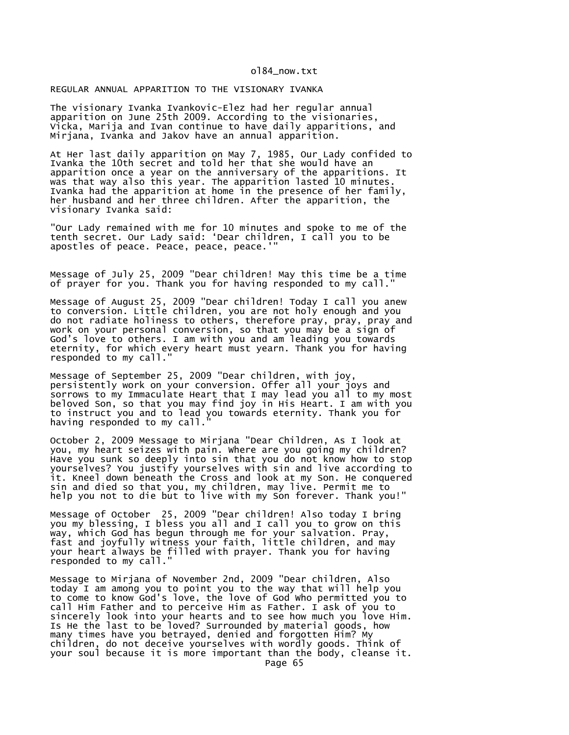#### REGULAR ANNUAL APPARITION TO THE VISIONARY IVANKA

The visionary Ivanka Ivankovic-Elez had her regular annual apparition on June 25th 2009. According to the visionaries, Vicka, Marija and Ivan continue to have daily apparitions, and Mirjana, Ivanka and Jakov have an annual apparition.

At Her last daily apparition on May 7, 1985, Our Lady confided to Ivanka the 10th secret and told her that she would have an apparition once a year on the anniversary of the apparitions. It was that way also this year. The apparition lasted 10 minutes. Ivanka had the apparition at home in the presence of her family, her husband and her three children. After the apparition, the visionary Ivanka said:

"Our Lady remained with me for 10 minutes and spoke to me of the tenth secret. Our Lady said: 'Dear children, I call you to be apostles of peace. Peace, peace, peace.'"

Message of July 25, 2009 "Dear children! May this time be a time of prayer for you. Thank you for having responded to my call."

Message of August 25, 2009 "Dear children! Today I call you anew to conversion. Little children, you are not holy enough and you do not radiate holiness to others, therefore pray, pray, pray and work on your personal conversion, so that you may be a sign of God's love to others. I am with you and am leading you towards eternity, for which every heart must yearn. Thank you for having responded to my call."

Message of September 25, 2009 "Dear children, with joy, persistently work on your conversion. Offer all your joys and sorrows to my Immaculate Heart that I may lead you all to my most beloved Son, so that you may find joy in His Heart. I am with you to instruct you and to lead you towards eternity. Thank you for having responded to my call."

October 2, 2009 Message to Mirjana "Dear Children, As I look at you, my heart seizes with pain. Where are you going my children? Have you sunk so deeply into sin that you do not know how to stop yourselves? You justify yourselves with sin and live according to it. Kneel down beneath the Cross and look at my Son. He conquered sin and died so that you, my children, may live. Permit me to help you not to die but to live with my Son forever. Thank you!"

Message of October 25, 2009 "Dear children! Also today I bring you my blessing, I bless you all and I call you to grow on this way, which God has begun through me for your salvation. Pray, fast and joyfully witness your faith, little children, and may your heart always be filled with prayer. Thank you for having responded to my call."

Message to Mirjana of November 2nd, 2009 "Dear children, Also today I am among you to point you to the way that will help you to come to know God's love, the love of God Who permitted you to call Him Father and to perceive Him as Father. I ask of you to sincerely look into your hearts and to see how much you love Him. Is He the last to be loved? Surrounded by material goods, how many times have you betrayed, denied and forgotten Him? My children, do not deceive yourselves with wordly goods. Think of your soul because it is more important than the body, cleanse it.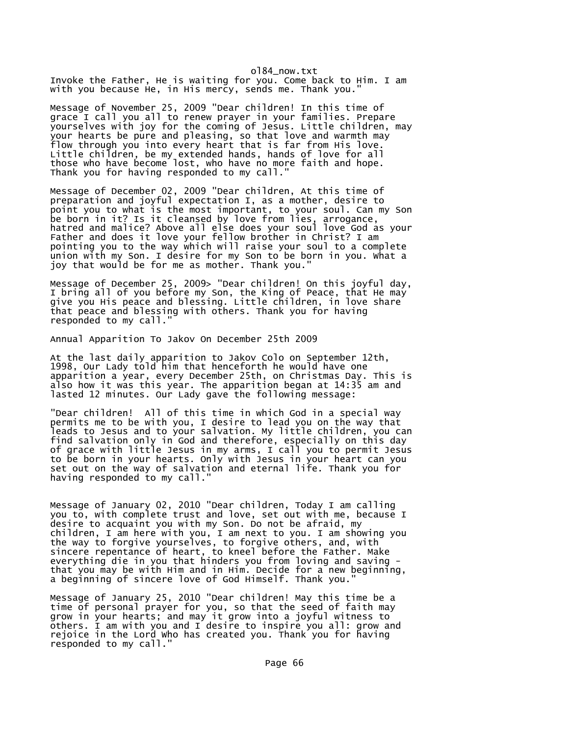ol84\_now.txt Invoke the Father, He is waiting for you. Come back to Him. I am with you because He, in His mercy, sends me. Thank you."

Message of November 25, 2009 "Dear children! In this time of grace I call you all to renew prayer in your families. Prepare yourselves with joy for the coming of Jesus. Little children, may your hearts be pure and pleasing, so that love and warmth may flow through you into every heart that is far from His love. Little children, be my extended hands, hands of love for all those who have become lost, who have no more faith and hope. Thank you for having responded to my call."

Message of December 02, 2009 "Dear children, At this time of preparation and joyful expectation I, as a mother, desire to point you to what is the most important, to your soul. Can my Son be born in it? Is it cleansed by love from lies, arrogance, hatred and malice? Above all else does your soul love God as your Father and does it love your fellow brother in Christ? I am pointing you to the way which will raise your soul to a complete union with my Son. I desire for my Son to be born in you. What a joy that would be for me as mother. Thank you.'

Message of December 25, 2009> "Dear children! On this joyful day, I bring all of you before my Son, the King of Peace, that He may give you His peace and blessing. Little children, in love share that peace and blessing with others. Thank you for having responded to my call.

Annual Apparition To Jakov On December 25th 2009

At the last daily apparition to Jakov Colo on September 12th, 1998, Our Lady told him that henceforth he would have one apparition a year, every December 25th, on Christmas Day. This is also how it was this year. The apparition began at 14:35 am and lasted 12 minutes. Our Lady gave the following message:

"Dear children! All of this time in which God in a special way permits me to be with you, I desire to lead you on the way that leads to Jesus and to your salvation. My little children, you can find salvation only in God and therefore, especially on this day of grace with little Jesus in my arms, I call you to permit Jesus to be born in your hearts. Only with Jesus in your heart can you set out on the way of salvation and eternal life. Thank you for having responded to my call."

Message of January 02, 2010 "Dear children, Today I am calling you to, with complete trust and love, set out with me, because I desire to acquaint you with my Son. Do not be afraid, my children, I am here with you, I am next to you. I am showing you the way to forgive yourselves, to forgive others, and, with sincere repentance of heart, to kneel before the Father. Make everything die in you that hinders you from loving and saving that you may be with Him and in Him. Decide for a new beginning, a beginning of sincere love of God Himself. Thank you."

Message of January 25, 2010 "Dear children! May this time be a time of personal prayer for you, so that the seed of faith may grow in your hearts; and may it grow into a joyful witness to others. I am with you and I desire to inspire you all: grow and rejoice in the Lord Who has created you. Thank you for having responded to my call."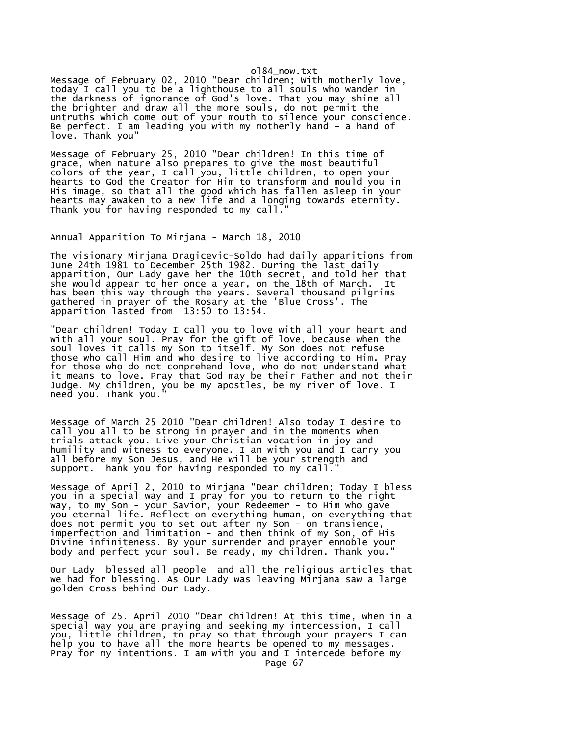Message of February 02, 2010 "Dear children; with motherly love, today I call you to be a lighthouse to all souls who wander in the darkness of ignorance of God's love. That you may shine all the brighter and draw all the more souls, do not permit the untruths which come out of your mouth to silence your conscience. Be perfect. I am leading you with my motherly hand – a hand of love. Thank you"

Message of February 25, 2010 "Dear children! In this time of grace, when nature also prepares to give the most beautiful colors of the year, I call you, little children, to open your hearts to God the Creator for Him to transform and mould you in His image, so that all the good which has fallen asleep in your hearts may awaken to a new life and a longing towards eternity. Thank you for having responded to my call.

Annual Apparition To Mirjana - March 18, 2010

The visionary Mirjana Dragicevic-Soldo had daily apparitions from June 24th 1981 to December 25th 1982. During the last daily apparition, Our Lady gave her the 10th secret, and told her that she would appear to her once a year, on the 18th of March. It has been this way through the years. Several thousand pilgrims gathered in prayer of the Rosary at the 'Blue Cross'. The apparition lasted from 13:50 to 13:54.

"Dear children! Today I call you to love with all your heart and with all your soul. Pray for the gift of love, because when the soul loves it calls my Son to itself. My Son does not refuse those who call Him and who desire to live according to Him. Pray for those who do not comprehend love, who do not understand what it means to love. Pray that God may be their Father and not their Judge. My children, you be my apostles, be my river of love. I need you. Thank you."

Message of March 25 2010 "Dear children! Also today I desire to call you all to be strong in prayer and in the moments when trials attack you. Live your Christian vocation in joy and humility and witness to everyone. I am with you and I carry you all before my Son Jesus, and He will be your strength and support. Thank you for having responded to my call.

Message of April 2, 2010 to Mirjana "Dear children; Today I bless you in a special way and I pray for you to return to the right way, to my Son - your Savior, your Redeemer – to Him who gave you eternal life. Reflect on everything human, on everything that does not permit you to set out after my Son – on transience, imperfection and limitation - and then think of my Son, of His Divine infiniteness. By your surrender and prayer ennoble your body and perfect your soul. Be ready, my children. Thank you."

Our Lady blessed all people and all the religious articles that we had for blessing. As Our Lady was leaving Mirjana saw a large golden Cross behind Our Lady.

Message of 25. April 2010 "Dear children! At this time, when in a special way you are praying and seeking my intercession, I call you, little children, to pray so that through your prayers I can help you to have all the more hearts be opened to my messages. Pray for my intentions. I am with you and I intercede before my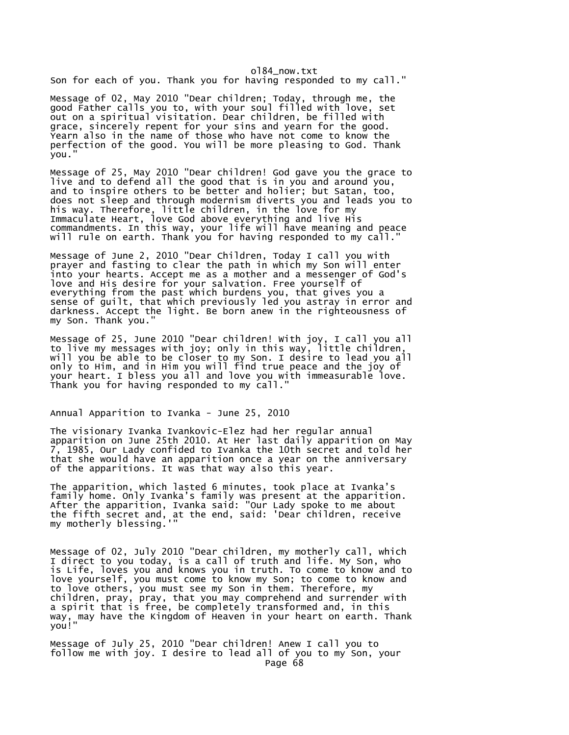ol84\_now.txt Son for each of you. Thank you for having responded to my call."

Message of 02, May 2010 "Dear children; Today, through me, the good Father calls you to, with your soul filled with love, set out on a spiritual visitation. Dear children, be filled with grace, sincerely repent for your sins and yearn for the good. Yearn also in the name of those who have not come to know the perfection of the good. You will be more pleasing to God. Thank you."

Message of 25, May 2010 "Dear children! God gave you the grace to live and to defend all the good that is in you and around you, and to inspire others to be better and holier; but Satan, too, does not sleep and through modernism diverts you and leads you to his way. Therefore, little children, in the love for my Immaculate Heart, love God above everything and live His commandments. In this way, your life will have meaning and peace will rule on earth. Thank you for having responded to my call."

Message of June 2, 2010 "Dear Children, Today I call you with prayer and fasting to clear the path in which my Son will enter into your hearts. Accept me as a mother and a messenger of God's love and His desire for your salvation. Free yourself of everything from the past which burdens you, that gives you a sense of guilt, that which previously led you astray in error and darkness. Accept the light. Be born anew in the righteousness of my Son. Thank you."

Message of 25, June 2010 "Dear children! With joy, I call you all to live my messages with joy; only in this way, little children, will you be able to be closer to my Son. I desire to lead you all only to Him, and in Him you will find true peace and the joy of your heart. I bless you all and love you with immeasurable love. Thank you for having responded to my call."

Annual Apparition to Ivanka - June 25, 2010

The visionary Ivanka Ivankovic-Elez had her regular annual apparition on June 25th 2010. At Her last daily apparition on May 7, 1985, Our Lady confided to Ivanka the 10th secret and told her that she would have an apparition once a year on the anniversary of the apparitions. It was that way also this year.

The apparition, which lasted 6 minutes, took place at Ivanka's family home. Only Ivanka's family was present at the apparition. After the apparition, Ivanka said: "Our Lady spoke to me about the fifth secret and, at the end, said: 'Dear children, receive my motherly blessing.'"

Message of 02, July 2010 "Dear children, my motherly call, which I direct to you today, is a call of truth and life. My Son, who is Life, loves you and knows you in truth. To come to know and to love yourself, you must come to know my Son; to come to know and to love others, you must see my Son in them. Therefore, my children, pray, pray, that you may comprehend and surrender with a spirit that is free, be completely transformed and, in this way, may have the Kingdom of Heaven in your heart on earth. Thank you!"

Message of July 25, 2010 "Dear children! Anew I call you to follow me with joy. I desire to lead all of you to my Son, your Page 68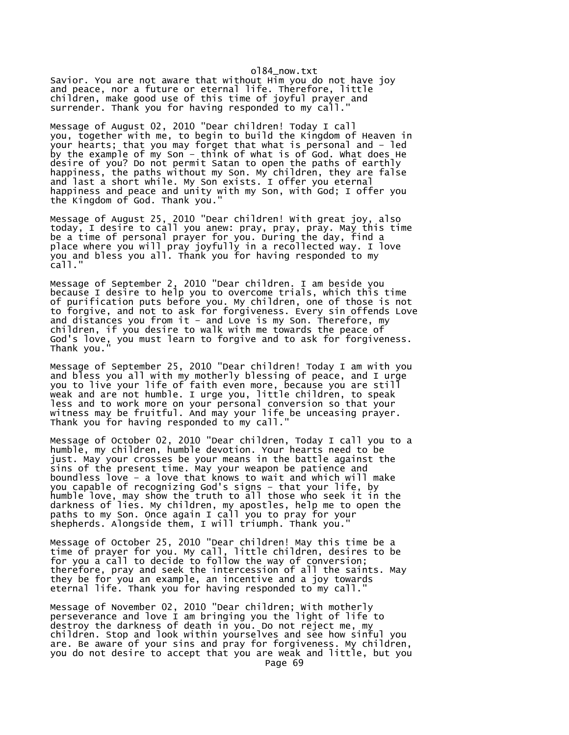ol84\_now.txt Savior. You are not aware that without Him you do not have joy and peace, nor a future or eternal life. Therefore, little children, make good use of this time of joyful prayer and surrender. Thank you for having responded to my call.

Message of August 02, 2010 "Dear children! Today I call you, together with me, to begin to build the Kingdom of Heaven in your hearts; that you may forget that what is personal and – led by the example of my Son – think of what is of God. What does He desire of you? Do not permit Satan to open the paths of earthly happiness, the paths without my Son. My children, they are false and last a short while. My Son exists. I offer you eternal happiness and peace and unity with my Son, with God; I offer you the Kingdom of God. Thank you."

Message of August 25, 2010 "Dear children! With great joy, also today, I desire to call you anew: pray, pray, pray. May this time be a time of personal prayer for you. During the day, find a place where you will pray joyfully in a recollected way. I love you and bless you all. Thank you for having responded to my  $ca11.$ 

Message of September 2, 2010 "Dear children. I am beside you because I desire to help you to overcome trials, which this time of purification puts before you. My children, one of those is not to forgive, and not to ask for forgiveness. Every sin offends Love and distances you from it – and Love is my Son. Therefore, my children, if you desire to walk with me towards the peace of God's love, you must learn to forgive and to ask for forgiveness. Thank you."

Message of September 25, 2010 "Dear children! Today I am with you and bless you all with my motherly blessing of peace, and I urge you to live your life of faith even more, because you are still weak and are not humble. I urge you, little children, to speak less and to work more on your personal conversion so that your witness may be fruitful. And may your life be unceasing prayer. Thank you for having responded to my call.

Message of October 02, 2010 "Dear children, Today I call you to a humble, my children, humble devotion. Your hearts need to be just. May your crosses be your means in the battle against the sins of the present time. May your weapon be patience and boundless love – a love that knows to wait and which will make you capable of recognizing God's signs – that your life, by humble love, may show the truth to all those who seek it in the darkness of lies. My children, my apostles, help me to open the paths to my Son. Once again I call you to pray for your shepherds. Alongside them, I will triumph. Thank you."

Message of October 25, 2010 "Dear children! May this time be a time of prayer for you. My call, little children, desires to be for you a call to decide to follow the way of conversion; therefore, pray and seek the intercession of all the saints. May they be for you an example, an incentive and a joy towards eternal life. Thank you for having responded to my call."

Message of November 02, 2010 "Dear children; With motherly perseverance and love I am bringing you the light of life to destroy the darkness of death in you. Do not reject me, my children. Stop and look within yourselves and see how sinful you are. Be aware of your sins and pray for forgiveness. My children, you do not desire to accept that you are weak and little, but you Page 69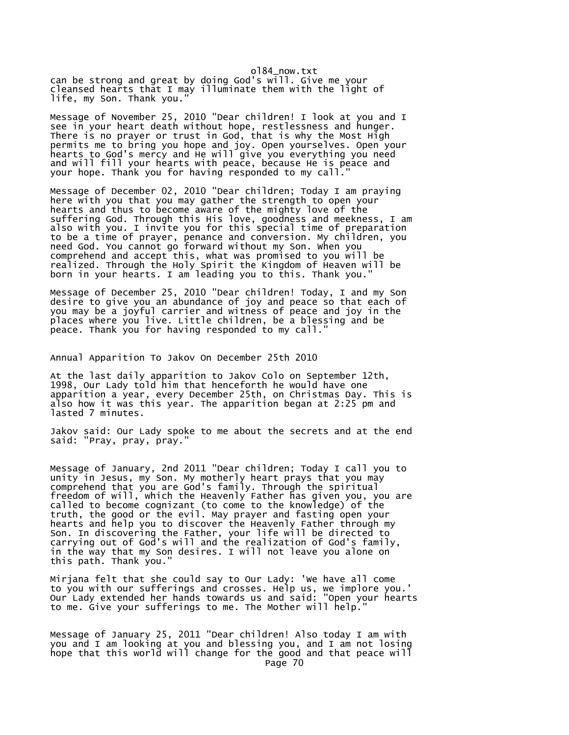ol84\_now.txt can be strong and great by doing God's will. Give me your cleansed hearts that I may illuminate them with the light of life, my Son. Thank you.

Message of November 25, 2010 "Dear children! I look at you and I see in your heart death without hope, restlessness and hunger. There is no prayer or trust in God, that is why the Most High permits me to bring you hope and joy. Open yourselves. Open your hearts to God's mercy and He will give you everything you need and will fill your hearts with peace, because He is peace and your hope. Thank you for having responded to my call."

Message of December 02, 2010 "Dear children; Today I am praying here with you that you may gather the strength to open your hearts and thus to become aware of the mighty love of the suffering God. Through this His love, goodness and meekness, I am also with you. I invite you for this special time of preparation to be a time of prayer, penance and conversion. My children, you need God. You cannot go forward without my Son. When you comprehend and accept this, what was promised to you will be realized. Through the Holy Spirit the Kingdom of Heaven will be born in your hearts. I am leading you to this. Thank you."

Message of December 25, 2010 "Dear children! Today, I and my Son desire to give you an abundance of joy and peace so that each of you may be a joyful carrier and witness of peace and joy in the places where you live. Little children, be a blessing and be peace. Thank you for having responded to my call.

Annual Apparition To Jakov On December 25th 2010

At the last daily apparition to Jakov Colo on September 12th, 1998, Our Lady told him that henceforth he would have one apparition a year, every December 25th, on Christmas Day. This is also how it was this year. The apparition began at 2:25 pm and lasted 7 minutes.

Jakov said: Our Lady spoke to me about the secrets and at the end said: "Pray, pray, pray."

Message of January, 2nd 2011 "Dear children; Today I call you to unity in Jesus, my Son. My motherly heart prays that you may comprehend that you are God's family. Through the spiritual freedom of will, which the Heavenly Father has given you, you are called to become cognizant (to come to the knowledge) of the truth, the good or the evil. May prayer and fasting open your hearts and help you to discover the Heavenly Father through my Son. In discovering the Father, your life will be directed to carrying out of God's will and the realization of God's family, in the way that my Son desires. I will not leave you alone on this path. Thank you."

Mirjana felt that she could say to Our Lady: 'We have all come to you with our sufferings and crosses. Help us, we implore you.' Our Lady extended her hands towards us and said: "Open your hearts to me. Give your sufferings to me. The Mother will help."

Message of January 25, 2011 "Dear children! Also today I am with you and I am looking at you and blessing you, and I am not losing hope that this world will change for the good and that peace will Page 70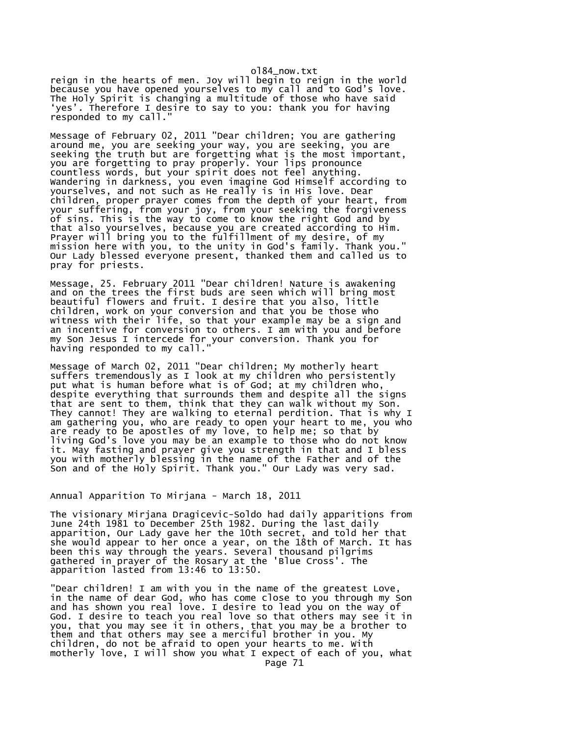ol84\_now.txt reign in the hearts of men. Joy will begin to reign in the world because you have opened yourselves to my call and to God's love. The Holy Spirit is changing a multitude of those who have said

Message of February 02, 2011 "Dear children; You are gathering around me, you are seeking your way, you are seeking, you are seeking the truth but are forgetting what is the most important, you are forgetting to pray properly. Your lips pronounce countless words, but your spirit does not feel anything. Wandering in darkness, you even imagine God Himself according to yourselves, and not such as He really is in His love. Dear children, proper prayer comes from the depth of your heart, from your suffering, from your joy, from your seeking the forgiveness of sins. This is the way to come to know the right God and by that also yourselves, because you are created according to Him. Prayer will bring you to the fulfillment of my desire, of my mission here with you, to the unity in God's family. Thank you." Our Lady blessed everyone present, thanked them and called us to pray for priests.

'yes'. Therefore I desire to say to you: thank you for having

responded to my call.

Message, 25. February 2011 "Dear children! Nature is awakening and on the trees the first buds are seen which will bring most beautiful flowers and fruit. I desire that you also, little children, work on your conversion and that you be those who witness with their life, so that your example may be a sign and an incentive for conversion to others. I am with you and before my Son Jesus I intercede for your conversion. Thank you for having responded to my call."

Message of March 02, 2011 "Dear children; My motherly heart suffers tremendously as I look at my children who persistently put what is human before what is of God; at my children who, despite everything that surrounds them and despite all the signs that are sent to them, think that they can walk without my Son. They cannot! They are walking to eternal perdition. That is why I am gathering you, who are ready to open your heart to me, you who are ready to be apostles of my love, to help me; so that by living God's love you may be an example to those who do not know it. May fasting and prayer give you strength in that and I bless you with motherly blessing in the name of the Father and of the Son and of the Holy Spirit. Thank you." Our Lady was very sad.

## Annual Apparition To Mirjana - March 18, 2011

The visionary Mirjana Dragicevic-Soldo had daily apparitions from June 24th 1981 to December 25th 1982. During the last daily apparition, Our Lady gave her the 10th secret, and told her that she would appear to her once a year, on the 18th of March. It has been this way through the years. Several thousand pilgrims gathered in prayer of the Rosary at the 'Blue Cross'. The apparition lasted from 13:46 to 13:50.

"Dear children! I am with you in the name of the greatest Love, in the name of dear God, who has come close to you through my Son and has shown you real love. I desire to lead you on the way of God. I desire to teach you real love so that others may see it in you, that you may see it in others, that you may be a brother to them and that others may see a merciful brother in you. My children, do not be afraid to open your hearts to me. With motherly love, I will show you what I expect of each of you, what Page 71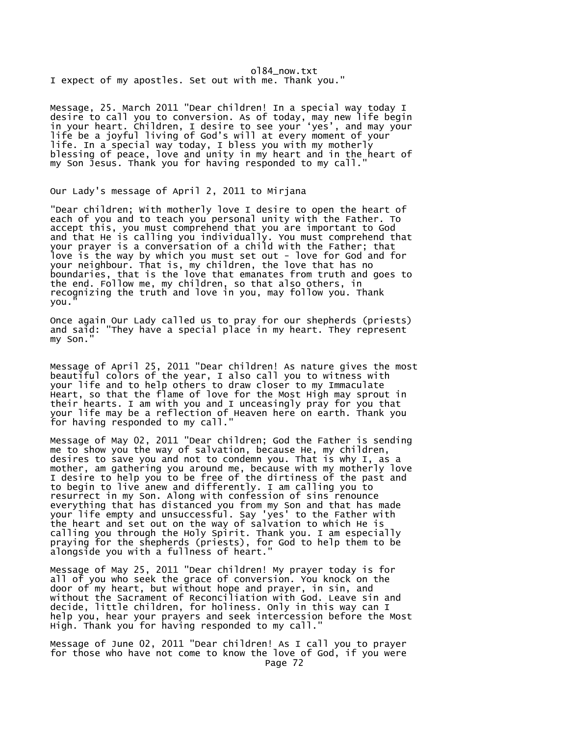ol84\_now.txt I expect of my apostles. Set out with me. Thank you."

Message, 25. March 2011 "Dear children! In a special way today I desire to call you to conversion. As of today, may new life begin in your heart. Children, I desire to see your 'yes', and may your life be a joyful living of God's will at every moment of your life. In a special way today, I bless you with my motherly blessing of peace, love and unity in my heart and in the heart of my Son Jesus. Thank you for having responded to my call."

## Our Lady's message of April 2, 2011 to Mirjana

"Dear children; With motherly love I desire to open the heart of each of you and to teach you personal unity with the Father. To accept this, you must comprehend that you are important to God and that He is calling you individually. You must comprehend that your prayer is a conversation of a child with the Father; that love is the way by which you must set out - love for God and for your neighbour. That is, my children, the love that has no boundaries, that is the love that emanates from truth and goes to the end. Follow me, my children, so that also others, in recognizing the truth and love in you, may follow you. Thank you.

Once again Our Lady called us to pray for our shepherds (priests) and said: "They have a special place in my heart. They represent my Son."

Message of April 25, 2011 "Dear children! As nature gives the most beautiful colors of the year, I also call you to witness with your life and to help others to draw closer to my Immaculate Heart, so that the flame of love for the Most High may sprout in their hearts. I am with you and I unceasingly pray for you that your life may be a reflection of Heaven here on earth. Thank you for having responded to my call."

Message of May 02, 2011 "Dear children; God the Father is sending me to show you the way of salvation, because He, my children, desires to save you and not to condemn you. That is why I, as a mother, am gathering you around me, because with my motherly love I desire to help you to be free of the dirtiness of the past and to begin to live anew and differently. I am calling you to resurrect in my Son. Along with confession of sins renounce everything that has distanced you from my Son and that has made your life empty and unsuccessful. Say 'yes' to the Father with the heart and set out on the way of salvation to which He is calling you through the Holy Spirit. Thank you. I am especially praying for the shepherds (priests), for God to help them to be alongside you with a fullness of heart."

Message of May 25, 2011 "Dear children! My prayer today is for all of you who seek the grace of conversion. You knock on the door of my heart, but without hope and prayer, in sin, and without the Sacrament of Reconciliation with God. Leave sin and decide, little children, for holiness. Only in this way can I help you, hear your prayers and seek intercession before the Most High. Thank you for having responded to my call."

Message of June 02, 2011 "Dear children! As I call you to prayer for those who have not come to know the love of God, if you were Page 72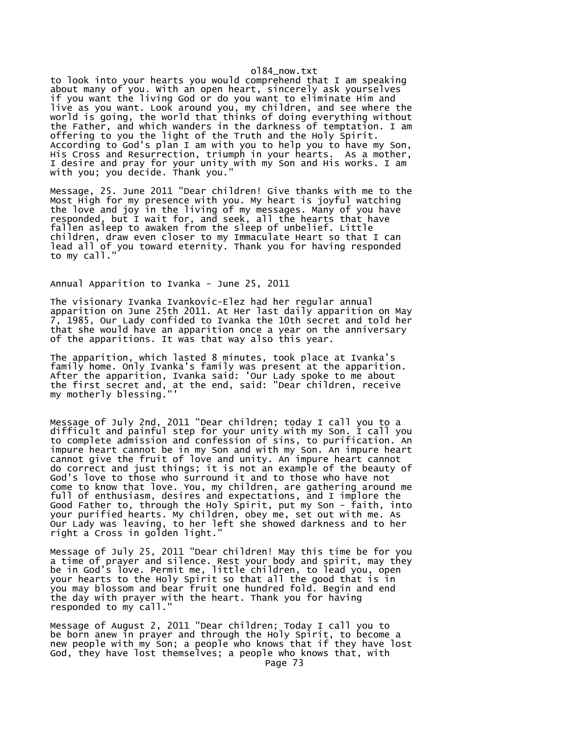to look into your hearts you would comprehend that I am speaking about many of you. With an open heart, sincerely ask yourselves if you want the living God or do you want to eliminate Him and live as you want. Look around you, my children, and see where the world is going, the world that thinks of doing everything without the Father, and which wanders in the darkness of temptation. I am offering to you the light of the Truth and the Holy Spirit. According to God's plan I am with you to help you to have my Son, His Cross and Resurrection, triumph in your hearts. As a mother, I desire and pray for your unity with my Son and His works. I am with you; you decide. Thank you."

Message, 25. June 2011 "Dear children! Give thanks with me to the Most High for my presence with you. My heart is joyful watching the love and joy in the living of my messages. Many of you have responded, but I wait for, and seek, all the hearts that have fallen asleep to awaken from the sleep of unbelief. Little children, draw even closer to my Immaculate Heart so that I can lead all of you toward eternity. Thank you for having responded to my call."

# Annual Apparition to Ivanka - June 25, 2011

The visionary Ivanka Ivankovic-Elez had her regular annual apparition on June 25th 2011. At Her last daily apparition on May 7, 1985, Our Lady confided to Ivanka the 10th secret and told her that she would have an apparition once a year on the anniversary of the apparitions. It was that way also this year.

The apparition, which lasted 8 minutes, took place at Ivanka's family home. Only Ivanka's family was present at the apparition. After the apparition, Ivanka said: 'Our Lady spoke to me about the first secret and, at the end, said: "Dear children, receive my motherly blessing."'

Message of July 2nd, 2011 "Dear children; today I call you to a difficult and painful step for your unity with my Son. I call you to complete admission and confession of sins, to purification. An impure heart cannot be in my Son and with my Son. An impure heart cannot give the fruit of love and unity. An impure heart cannot do correct and just things; it is not an example of the beauty of God's love to those who surround it and to those who have not come to know that love. You, my children, are gathering around me full of enthusiasm, desires and expectations, and I implore the Good Father to, through the Holy Spirit, put my Son - faith, into your purified hearts. My children, obey me, set out with me. As Our Lady was leaving, to her left she showed darkness and to her right a Cross in golden light."

Message of July 25, 2011 "Dear children! May this time be for you a time of prayer and silence. Rest your body and spirit, may they be in God's love. Permit me, little children, to lead you, open your hearts to the Holy Spirit so that all the good that is in you may blossom and bear fruit one hundred fold. Begin and end the day with prayer with the heart. Thank you for having responded to my call."

Message of August 2, 2011 "Dear children; Today I call you to be born anew in prayer and through the Holy Spirit, to become a new people with my Son; a people who knows that if they have lost God, they have lost themselves; a people who knows that, with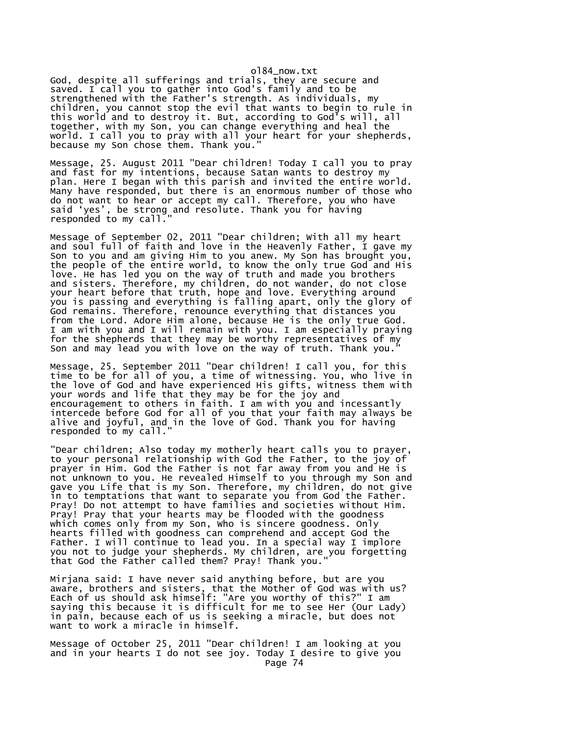God, despite all sufferings and trials, they are secure and saved. I call you to gather into God's family and to be strengthened with the Father's strength. As individuals, my children, you cannot stop the evil that wants to begin to rule in this world and to destroy it. But, according to God's will, all together, with my Son, you can change everything and heal the world. I call you to pray with all your heart for your shepherds, because my Son chose them. Thank you."

Message, 25. August 2011 "Dear children! Today I call you to pray and fast for my intentions, because Satan wants to destroy my plan. Here I began with this parish and invited the entire world. Many have responded, but there is an enormous number of those who do not want to hear or accept my call. Therefore, you who have said 'yes', be strong and resolute. Thank you for having responded to my call."

Message of September 02, 2011 "Dear children; With all my heart and soul full of faith and love in the Heavenly Father, I gave my Son to you and am giving Him to you anew. My Son has brought you, the people of the entire world, to know the only true God and His love. He has led you on the way of truth and made you brothers and sisters. Therefore, my children, do not wander, do not close your heart before that truth, hope and love. Everything around you is passing and everything is falling apart, only the glory of God remains. Therefore, renounce everything that distances you from the Lord. Adore Him alone, because He is the only true God. I am with you and I will remain with you. I am especially praying for the shepherds that they may be worthy representatives of my Son and may lead you with love on the way of truth. Thank you."

Message, 25. September 2011 "Dear children! I call you, for this time to be for all of you, a time of witnessing. You, who live in the love of God and have experienced His gifts, witness them with your words and life that they may be for the joy and encouragement to others in faith. I am with you and incessantly intercede before God for all of you that your faith may always be alive and joyful, and in the love of God. Thank you for having responded to my call."

"Dear children; Also today my motherly heart calls you to prayer, to your personal relationship with God the Father, to the joy of prayer in Him. God the Father is not far away from you and He is not unknown to you. He revealed Himself to you through my Son and gave you Life that is my Son. Therefore, my children, do not give in to temptations that want to separate you from God the Father. Pray! Do not attempt to have families and societies without Him. Pray! Pray that your hearts may be flooded with the goodness which comes only from my Son, Who is sincere goodness. Only hearts filled with goodness can comprehend and accept God the Father. I will continue to lead you. In a special way I implore you not to judge your shepherds. My children, are you forgetting that God the Father called them? Pray! Thank you."

Mirjana said: I have never said anything before, but are you aware, brothers and sisters, that the Mother of God was with us? Each of us should ask himself: "Are you worthy of this?" I am saying this because it is difficult for me to see Her (Our Lady) in pain, because each of us is seeking a miracle, but does not want to work a miracle in himself.

Message of October 25, 2011 "Dear children! I am looking at you and in your hearts I do not see joy. Today I desire to give you Page 74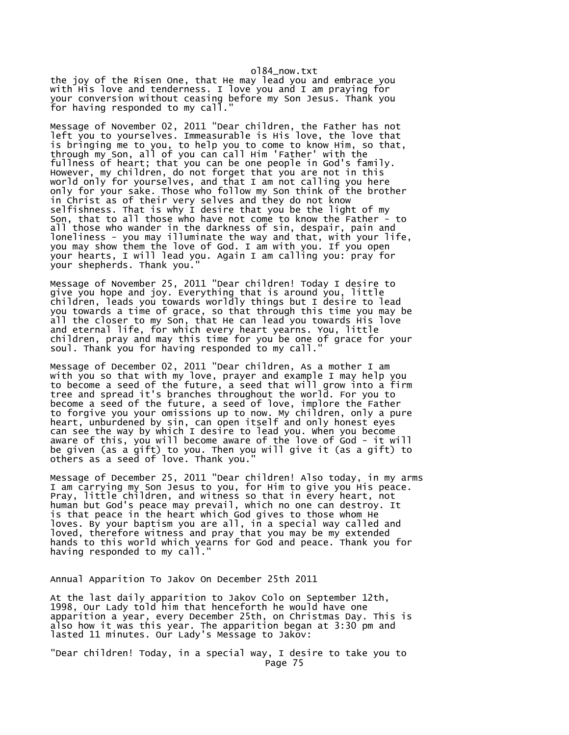the joy of the Risen One, that He may lead you and embrace you with His love and tenderness. I love you and I am praying for your conversion without ceasing before my Son Jesus. Thank you for having responded to my call."

Message of November 02, 2011 "Dear children, the Father has not left you to yourselves. Immeasurable is His love, the love that is bringing me to you, to help you to come to know Him, so that, through my Son, all of you can call Him 'Father' with the fullness of heart; that you can be one people in God's family. However, my children, do not forget that you are not in this world only for yourselves, and that I am not calling you here only for your sake. Those who follow my Son think of the brother in Christ as of their very selves and they do not know selfishness. That is why I desire that you be the light of my Son, that to all those who have not come to know the Father - to all those who wander in the darkness of sin, despair, pain and loneliness - you may illuminate the way and that, with your life, you may show them the love of God. I am with you. If you open your hearts, I will lead you. Again I am calling you: pray for your shepherds. Thank you.

Message of November 25, 2011 "Dear children! Today I desire to give you hope and joy. Everything that is around you, little children, leads you towards worldly things but I desire to lead you towards a time of grace, so that through this time you may be all the closer to my Son, that He can lead you towards His love and eternal life, for which every heart yearns. You, little children, pray and may this time for you be one of grace for your soul. Thank you for having responded to my call."

Message of December 02, 2011 "Dear children, As a mother I am with you so that with my love, prayer and example I may help you to become a seed of the future, a seed that will grow into a firm tree and spread it's branches throughout the world. For you to become a seed of the future, a seed of love, implore the Father to forgive you your omissions up to now. My children, only a pure heart, unburdened by sin, can open itself and only honest eyes can see the way by which I desire to lead you. When you become aware of this, you will become aware of the love of God - it will be given (as a gift) to you. Then you will give it (as a gift) to others as a seed of love. Thank you."

Message of December 25, 2011 "Dear children! Also today, in my arms I am carrying my Son Jesus to you, for Him to give you His peace. Pray, little children, and witness so that in every heart, not human but God's peace may prevail, which no one can destroy. It is that peace in the heart which God gives to those whom He loves. By your baptism you are all, in a special way called and loved, therefore witness and pray that you may be my extended hands to this world which yearns for God and peace. Thank you for having responded to my call."

Annual Apparition To Jakov On December 25th 2011

At the last daily apparition to Jakov Colo on September 12th, 1998, Our Lady told him that henceforth he would have one apparition a year, every December 25th, on Christmas Day. This is also how it was this year. The apparition began at 3:30 pm and lasted 11 minutes. Our Lady's Message to Jakov:

"Dear children! Today, in a special way, I desire to take you to Page 75

# ol84\_now.txt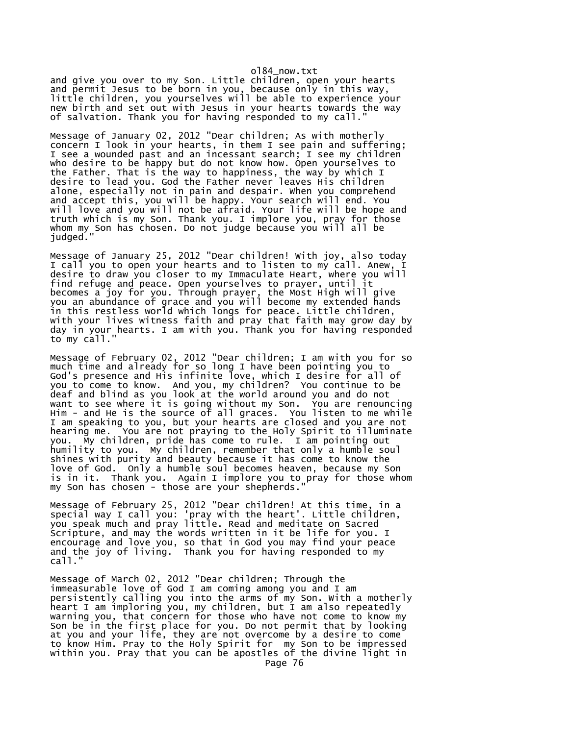ol84\_now.txt and give you over to my Son. Little children, open your hearts and permit Jesus to be born in you, because only in this way, little children, you yourselves will be able to experience your new birth and set out with Jesus in your hearts towards the way of salvation. Thank you for having responded to my call."

Message of January 02, 2012 "Dear children; As with motherly concern I look in your hearts, in them I see pain and suffering; I see a wounded past and an incessant search; I see my children who desire to be happy but do not know how. Open yourselves to the Father. That is the way to happiness, the way by which I desire to lead you. God the Father never leaves His children alone, especially not in pain and despair. When you comprehend and accept this, you will be happy. Your search will end. You will love and you will not be afraid. Your life will be hope and truth which is my Son. Thank you. I implore you, pray for those whom my Son has chosen. Do not judge because you will all be judged."

Message of January 25, 2012 "Dear children! With joy, also today I call you to open your hearts and to listen to my call. Anew, I desire to draw you closer to my Immaculate Heart, where you will find refuge and peace. Open yourselves to prayer, until it becomes a joy for you. Through prayer, the Most High will give you an abundance of grace and you will become my extended hands in this restless world which longs for peace. Little children, with your lives witness faith and pray that faith may grow day by day in your hearts. I am with you. Thank you for having responded to my call."

Message of February 02, 2012 "Dear children; I am with you for so much time and already for so long I have been pointing you to God's presence and His infinite love, which I desire for all of you to come to know. And you, my children? You continue to be deaf and blind as you look at the world around you and do not want to see where it is going without my Son. You are renouncing Him - and He is the source of all graces. You listen to me while I am speaking to you, but your hearts are closed and you are not hearing me. You are not praying to the Holy Spirit to illuminate you. My children, pride has come to rule. I am pointing out humility to you. My children, remember that only a humble soul shines with purity and beauty because it has come to know the love of God. Only a humble soul becomes heaven, because my Son is in it. Thank you. Again I implore you to pray for those whom my Son has chosen - those are your shepherds."

Message of February 25, 2012 "Dear children! At this time, in a special way I call you: 'pray with the heart'. Little children, you speak much and pray little. Read and meditate on Sacred Scripture, and may the words written in it be life for you. I encourage and love you, so that in God you may find your peace and the joy of living. Thank you for having responded to my call."

Message of March 02, 2012 "Dear children; Through the immeasurable love of God I am coming among you and I am persistently calling you into the arms of my Son. With a motherly heart I am imploring you, my children, but I am also repeatedly warning you, that concern for those who have not come to know my Son be in the first place for you. Do not permit that by looking at you and your life, they are not overcome by a desire to come to know Him. Pray to the Holy Spirit for my Son to be impressed within you. Pray that you can be apostles of the divine light in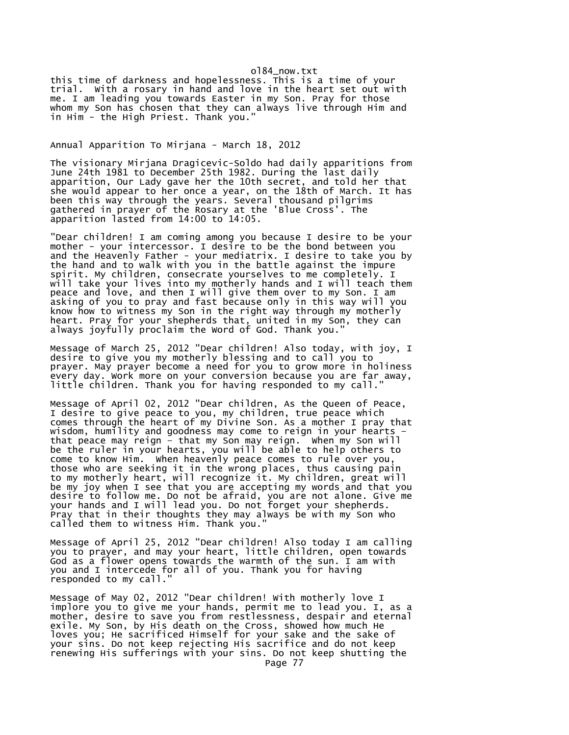this time of darkness and hopelessness. This is a time of your trial. With a rosary in hand and love in the heart set out with me. I am leading you towards Easter in my Son. Pray for those whom my Son has chosen that they can always live through Him and in Him - the High Priest. Thank you."

# Annual Apparition To Mirjana - March 18, 2012

The visionary Mirjana Dragicevic-Soldo had daily apparitions from June 24th 1981 to December 25th 1982. During the last daily apparition, Our Lady gave her the 10th secret, and told her that she would appear to her once a year, on the 18th of March. It has been this way through the years. Several thousand pilgrims gathered in prayer of the Rosary at the 'Blue Cross'. The apparition lasted from 14:00 to 14:05.

"Dear children! I am coming among you because I desire to be your mother - your intercessor. I desire to be the bond between you and the Heavenly Father - your mediatrix. I desire to take you by the hand and to walk with you in the battle against the impure spirit. My children, consecrate yourselves to me completely. I will take your lives into my motherly hands and I will teach them peace and love, and then I will give them over to my Son. I am asking of you to pray and fast because only in this way will you know how to witness my Son in the right way through my motherly heart. Pray for your shepherds that, united in my Son, they can always joyfully proclaim the Word of God. Thank you."

Message of March 25, 2012 "Dear children! Also today, with joy, I desire to give you my motherly blessing and to call you to prayer. May prayer become a need for you to grow more in holiness every day. Work more on your conversion because you are far away, little children. Thank you for having responded to my call."

Message of April 02, 2012 "Dear children, As the Queen of Peace, I desire to give peace to you, my children, true peace which comes through the heart of my Divine Son. As a mother I pray that wisdom, humility and goodness may come to reign in your hearts – that peace may reign – that my Son may reign. When my Son will be the ruler in your hearts, you will be able to help others to come to know Him. When heavenly peace comes to rule over you, those who are seeking it in the wrong places, thus causing pain to my motherly heart, will recognize it. My children, great will be my joy when I see that you are accepting my words and that you desire to follow me. Do not be afraid, you are not alone. Give me your hands and I will lead you. Do not forget your shepherds. Pray that in their thoughts they may always be with my Son who called them to witness Him. Thank you."

Message of April 25, 2012 "Dear children! Also today I am calling you to prayer, and may your heart, little children, open towards God as a flower opens towards the warmth of the sun. I am with you and I intercede for all of you. Thank you for having responded to my call."

Message of May 02, 2012 "Dear children! With motherly love I implore you to give me your hands, permit me to lead you. I, as a mother, desire to save you from restlessness, despair and eternal exile. My Son, by His death on the Cross, showed how much He loves you; He sacrificed Himself for your sake and the sake of your sins. Do not keep rejecting His sacrifice and do not keep renewing His sufferings with your sins. Do not keep shutting the Page 77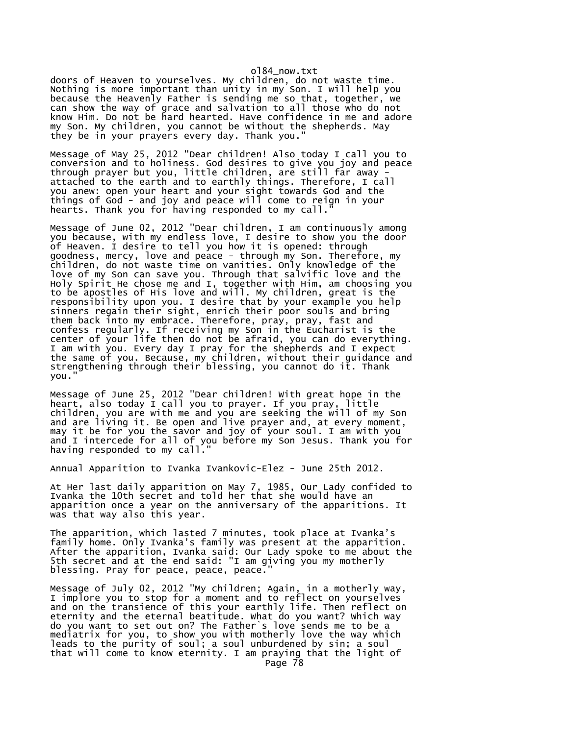doors of Heaven to yourselves. My children, do not waste time. Nothing is more important than unity in my Son. I will help you because the Heavenly Father is sending me so that, together, we can show the way of grace and salvation to all those who do not know Him. Do not be hard hearted. Have confidence in me and adore my Son. My children, you cannot be without the shepherds. May they be in your prayers every day. Thank you.

Message of May 25, 2012 "Dear children! Also today I call you to conversion and to holiness. God desires to give you joy and peace through prayer but you, little children, are still far away attached to the earth and to earthly things. Therefore, I call you anew: open your heart and your sight towards God and the things of God - and joy and peace will come to reign in your hearts. Thank you for having responded to my call.

Message of June 02, 2012 "Dear children, I am continuously among you because, with my endless love, I desire to show you the door of Heaven. I desire to tell you how it is opened: through goodness, mercy, love and peace - through my Son. Therefore, my children, do not waste time on vanities. Only knowledge of the love of my Son can save you. Through that salvific love and the Holy Spirit He chose me and I, together with Him, am choosing you to be apostles of His love and will. My children, great is the responsibility upon you. I desire that by your example you help sinners regain their sight, enrich their poor souls and bring them back into my embrace. Therefore, pray, pray, fast and confess regularly. If receiving my Son in the Eucharist is the center of your life then do not be afraid, you can do everything. I am with you. Every day I pray for the shepherds and I expect the same of you. Because, my children, without their guidance and strengthening through their blessing, you cannot do it. Thank you."

Message of June 25, 2012 "Dear children! With great hope in the heart, also today I call you to prayer. If you pray, little children, you are with me and you are seeking the will of my Son and are living it. Be open and live prayer and, at every moment, may it be for you the savor and joy of your soul. I am with you and I intercede for all of you before my Son Jesus. Thank you for having responded to my call."

Annual Apparition to Ivanka Ivankovic-Elez - June 25th 2012.

At Her last daily apparition on May 7, 1985, Our Lady confided to Ivanka the 10th secret and told her that she would have an apparition once a year on the anniversary of the apparitions. It was that way also this year.

The apparition, which lasted 7 minutes, took place at Ivanka's family home. Only Ivanka's family was present at the apparition. After the apparition, Ivanka said: Our Lady spoke to me about the 5th secret and at the end said: "I am giving you my motherly blessing. Pray for peace, peace, peace."

Message of July 02, 2012 "My children; Again, in a motherly way, I implore you to stop for a moment and to reflect on yourselves and on the transience of this your earthly life. Then reflect on eternity and the eternal beatitude. What do you want? Which way do you want to set out on? The Father`s love sends me to be a mediatrix for you, to show you with motherly love the way which leads to the purity of soul; a soul unburdened by sin; a soul that will come to know eternity. I am praying that the light of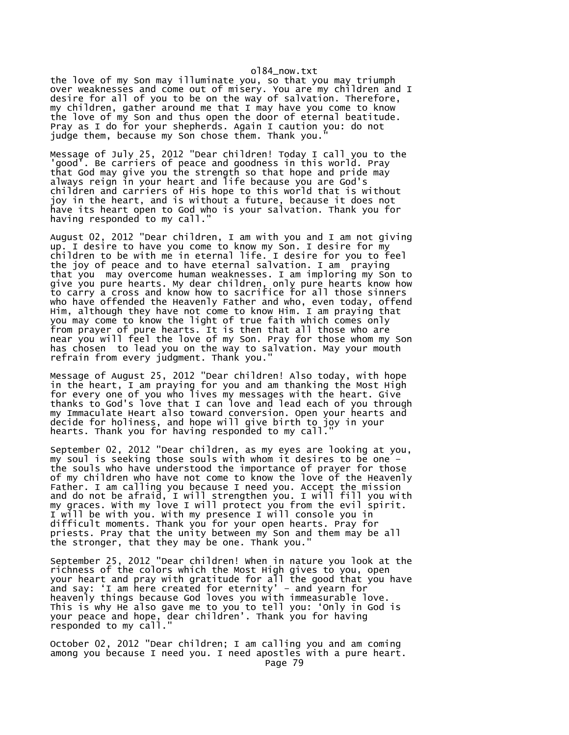the love of my Son may illuminate you, so that you may triumph over weaknesses and come out of misery. You are my children and I desire for all of you to be on the way of salvation. Therefore, my children, gather around me that I may have you come to know the love of my Son and thus open the door of eternal beatitude. Pray as I do for your shepherds. Again I caution you: do not judge them, because my Son chose them. Thank you."

Message of July 25, 2012 "Dear children! Today I call you to the 'good'. Be carriers of peace and goodness in this world. Pray that God may give you the strength so that hope and pride may always reign in your heart and life because you are God's children and carriers of His hope to this world that is without joy in the heart, and is without a future, because it does not have its heart open to God who is your salvation. Thank you for having responded to my call."

August 02, 2012 "Dear children, I am with you and I am not giving up. I desire to have you come to know my Son. I desire for my children to be with me in eternal life. I desire for you to feel the joy of peace and to have eternal salvation. I am praying that you may overcome human weaknesses. I am imploring my Son to give you pure hearts. My dear children, only pure hearts know how to carry a cross and know how to sacrifice for all those sinners who have offended the Heavenly Father and who, even today, offend Him, although they have not come to know Him. I am praying that you may come to know the light of true faith which comes only from prayer of pure hearts. It is then that all those who are near you will feel the love of my Son. Pray for those whom my Son has chosen to lead you on the way to salvation. May your mouth refrain from every judgment. Thank you.

Message of August 25, 2012 "Dear children! Also today, with hope in the heart, I am praying for you and am thanking the Most High for every one of you who lives my messages with the heart. Give thanks to God's love that I can love and lead each of you through my Immaculate Heart also toward conversion. Open your hearts and decide for holiness, and hope will give birth to joy in your hearts. Thank you for having responded to my call."

September 02, 2012 "Dear children, as my eyes are looking at you, my soul is seeking those souls with whom it desires to be one – the souls who have understood the importance of prayer for those of my children who have not come to know the love of the Heavenly Father. I am calling you because I need you. Accept the mission and do not be afraid, I will strengthen you. I will fill you with my graces. With my love I will protect you from the evil spirit. I will be with you. With my presence I will console you in difficult moments. Thank you for your open hearts. Pray for priests. Pray that the unity between my Son and them may be all the stronger, that they may be one. Thank you."

September 25, 2012 "Dear children! When in nature you look at the richness of the colors which the Most High gives to you, open your heart and pray with gratitude for all the good that you have and say: 'I am here created for eternity' – and yearn for heavenly things because God loves you with immeasurable love. This is why He also gave me to you to tell you: 'Only in God is your peace and hope, dear children'. Thank you for having responded to my call."

October 02, 2012 "Dear children; I am calling you and am coming among you because I need you. I need apostles with a pure heart. Page 79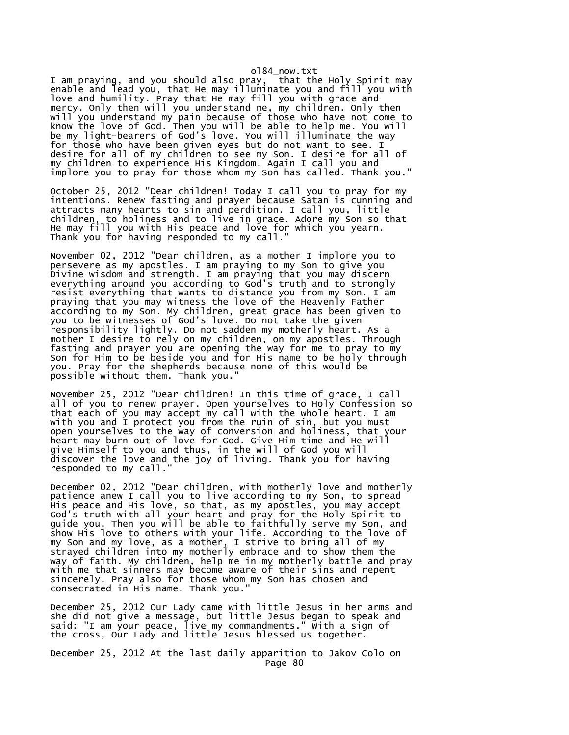I am praying, and you should also pray, that the Holy Spirit may enable and lead you, that He may illuminate you and fill you with love and humility. Pray that He may fill you with grace and mercy. Only then will you understand me, my children. Only then will you understand my pain because of those who have not come to know the love of God. Then you will be able to help me. You will be my light-bearers of God's love. You will illuminate the way for those who have been given eyes but do not want to see. I desire for all of my children to see my Son. I desire for all of my children to experience His Kingdom. Again I call you and implore you to pray for those whom my Son has called. Thank you."

October 25, 2012 "Dear children! Today I call you to pray for my intentions. Renew fasting and prayer because Satan is cunning and attracts many hearts to sin and perdition. I call you, little children, to holiness and to live in grace. Adore my Son so that He may fill you with His peace and love for which you yearn. Thank you for having responded to my call."

November 02, 2012 "Dear children, as a mother I implore you to persevere as my apostles. I am praying to my Son to give you Divine wisdom and strength. I am praying that you may discern everything around you according to God's truth and to strongly resist everything that wants to distance you from my Son. I am praying that you may witness the love of the Heavenly Father according to my Son. My children, great grace has been given to you to be witnesses of God's love. Do not take the given responsibility lightly. Do not sadden my motherly heart. As a mother I desire to rely on my children, on my apostles. Through fasting and prayer you are opening the way for me to pray to my Son for Him to be beside you and for His name to be holy through you. Pray for the shepherds because none of this would be possible without them. Thank you."

November 25, 2012 "Dear children! In this time of grace, I call all of you to renew prayer. Open yourselves to Holy Confession so that each of you may accept my call with the whole heart. I am with you and I protect you from the ruin of sin, but you must open yourselves to the way of conversion and holiness, that your heart may burn out of love for God. Give Him time and He will give Himself to you and thus, in the will of God you will discover the love and the joy of living. Thank you for having responded to my call."

December 02, 2012 "Dear children, with motherly love and motherly patience anew I call you to live according to my Son, to spread His peace and His love, so that, as my apostles, you may accept God's truth with all your heart and pray for the Holy Spirit to guide you. Then you will be able to faithfully serve my Son, and show His love to others with your life. According to the love of my Son and my love, as a mother, I strive to bring all of my strayed children into my motherly embrace and to show them the way of faith. My children, help me in my motherly battle and pray with me that sinners may become aware of their sins and repent sincerely. Pray also for those whom my Son has chosen and consecrated in His name. Thank you."

December 25, 2012 Our Lady came with little Jesus in her arms and she did not give a message, but little Jesus began to speak and said: "I am your peace, live my commandments." With a sign of the cross, Our Lady and little Jesus blessed us together.

December 25, 2012 At the last daily apparition to Jakov Colo on Page 80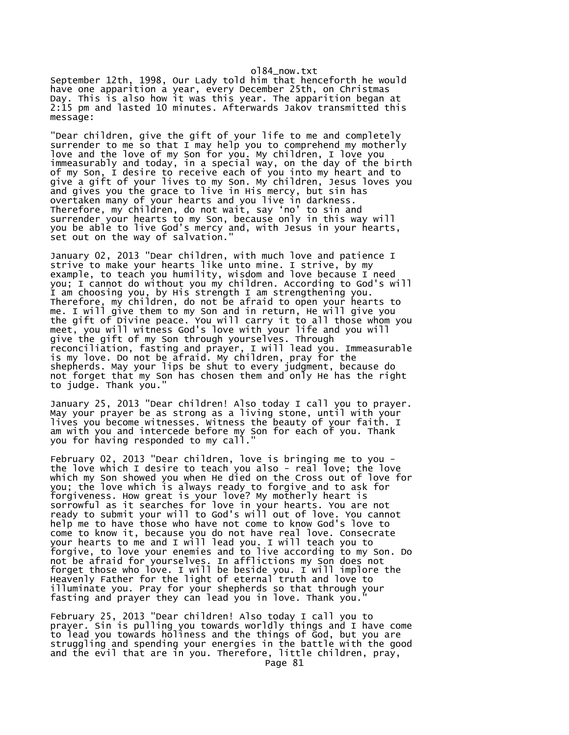September 12th, 1998, Our Lady told him that henceforth he would have one apparition a year, every December 25th, on Christmas Day. This is also how it was this year. The apparition began at 2:15 pm and lasted 10 minutes. Afterwards Jakov transmitted this message:

"Dear children, give the gift of your life to me and completely surrender to me so that I may help you to comprehend my motherly love and the love of my Son for you. My children, I love you immeasurably and today, in a special way, on the day of the birth of my Son, I desire to receive each of you into my heart and to give a gift of your lives to my Son. My children, Jesus loves you and gives you the grace to live in His mercy, but sin has overtaken many of your hearts and you live in darkness. Therefore, my children, do not wait, say 'no' to sin and surrender your hearts to my Son, because only in this way will you be able to live God's mercy and, with Jesus in your hearts, set out on the way of salvation."

January 02, 2013 "Dear children, with much love and patience I strive to make your hearts like unto mine. I strive, by my example, to teach you humility, wisdom and love because I need you; I cannot do without you my children. According to God's will I am choosing you, by His strength I am strengthening you. Therefore, my children, do not be afraid to open your hearts to me. I will give them to my Son and in return, He will give you the gift of Divine peace. You will carry it to all those whom you meet, you will witness God's love with your life and you will give the gift of my Son through yourselves. Through reconciliation, fasting and prayer, I will lead you. Immeasurable is my love. Do not be afraid. My children, pray for the shepherds. May your lips be shut to every judgment, because do not forget that my Son has chosen them and only He has the right to judge. Thank you."

January 25, 2013 "Dear children! Also today I call you to prayer. May your prayer be as strong as a living stone, until with your lives you become witnesses. Witness the beauty of your faith. I am with you and intercede before my Son for each of you. Thank you for having responded to my call."

February 02, 2013 "Dear children, love is bringing me to you the love which I desire to teach you also - real love; the love which my Son showed you when He died on the Cross out of love for you; the love which is always ready to forgive and to ask for forgiveness. How great is your love? My motherly heart is sorrowful as it searches for love in your hearts. You are not ready to submit your will to God's will out of love. You cannot help me to have those who have not come to know God's love to come to know it, because you do not have real love. Consecrate your hearts to me and I will lead you. I will teach you to forgive, to love your enemies and to live according to my Son. Do not be afraid for yourselves. In afflictions my Son does not forget those who love. I will be beside you. I will implore the Heavenly Father for the light of eternal truth and love to illuminate you. Pray for your shepherds so that through your fasting and prayer they can lead you in love. Thank you.

February 25, 2013 "Dear children! Also today I call you to prayer. Sin is pulling you towards worldly things and I have come to lead you towards holiness and the things of God, but you are struggling and spending your energies in the battle with the good and the evil that are in you. Therefore, little children, pray, Page 81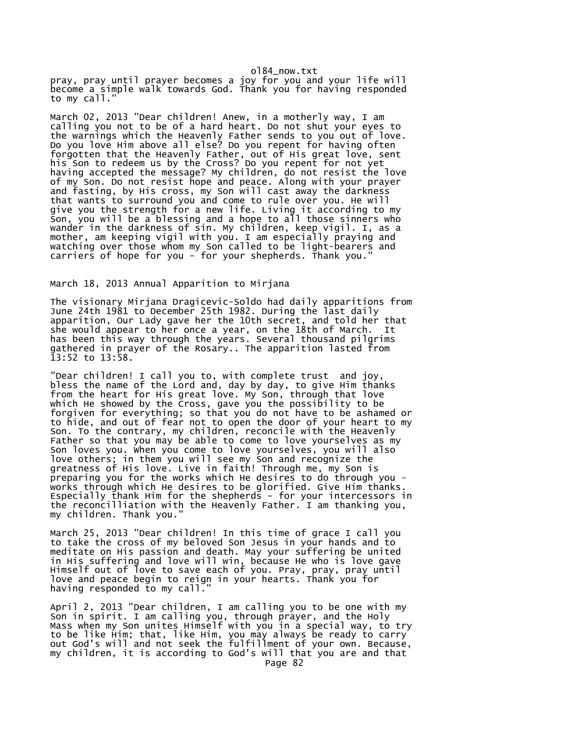ol84\_now.txt pray, pray until prayer becomes a joy for you and your life will become a simple walk towards God. Thank you for having responded to my call."

March 02, 2013 "Dear children! Anew, in a motherly way, I am calling you not to be of a hard heart. Do not shut your eyes to the warnings which the Heavenly Father sends to you out of love. Do you love Him above all else? Do you repent for having often forgotten that the Heavenly Father, out of His great love, sent his Son to redeem us by the Cross? Do you repent for not yet having accepted the message? My children, do not resist the love of my Son. Do not resist hope and peace. Along with your prayer and fasting, by His cross, my Son will cast away the darkness that wants to surround you and come to rule over you. He will give you the strength for a new life. Living it according to my Son, you will be a blessing and a hope to all those sinners who wander in the darkness of sin. My children, keep vigil. I, as a mother, am keeping vigil with you. I am especially praying and watching over those whom my Son called to be light-bearers and carriers of hope for you - for your shepherds. Thank you."

### March 18, 2013 Annual Apparition to Mirjana

The visionary Mirjana Dragicevic-Soldo had daily apparitions from June 24th 1981 to December 25th 1982. During the last daily apparition, Our Lady gave her the 10th secret, and told her that she would appear to her once a year, on the 18th of March. It has been this way through the years. Several thousand pilgrims gathered in prayer of the Rosary.. The apparition lasted from 13:52 to 13:58.

"Dear children! I call you to, with complete trust and joy, bless the name of the Lord and, day by day, to give Him thanks from the heart for His great love. My Son, through that love which He showed by the Cross, gave you the possibility to be forgiven for everything; so that you do not have to be ashamed or to hide, and out of fear not to open the door of your heart to my Son. To the contrary, my children, reconcile with the Heavenly Father so that you may be able to come to love yourselves as my Son loves you. When you come to love yourselves, you will also love others; in them you will see my Son and recognize the greatness of His love. Live in faith! Through me, my Son is preparing you for the works which He desires to do through you – works through which He desires to be glorified. Give Him thanks. Especially thank Him for the shepherds - for your intercessors in the reconcilliation with the Heavenly Father. I am thanking you, my children. Thank you.

March 25, 2013 "Dear children! In this time of grace I call you to take the cross of my beloved Son Jesus in your hands and to meditate on His passion and death. May your suffering be united in His suffering and love will win, because He who is love gave Himself out of love to save each of you. Pray, pray, pray until love and peace begin to reign in your hearts. Thank you for having responded to my call."

April 2, 2013 "Dear children, I am calling you to be one with my Son in spirit. I am calling you, through prayer, and the Holy Mass when my Son unites Himself with you in a special way, to try to be like Him; that, like Him, you may always be ready to carry out God's will and not seek the fulfillment of your own. Because, my children, it is according to God's will that you are and that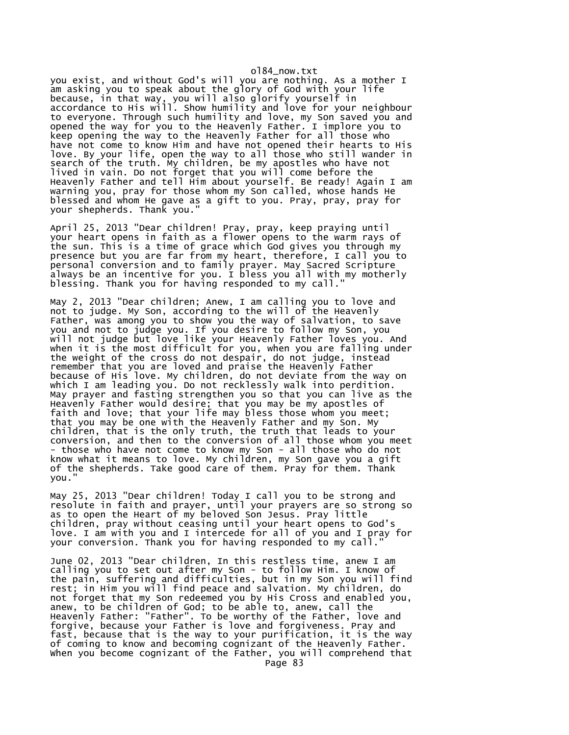ol84\_now.txt you exist, and without God's will you are nothing. As a mother I am asking you to speak about the glory of God with your life because, in that way, you will also glorify yourself in accordance to His will. Show humility and love for your neighbour to everyone. Through such humility and love, my Son saved you and opened the way for you to the Heavenly Father. I implore you to keep opening the way to the Heavenly Father for all those who have not come to know Him and have not opened their hearts to His love. By your life, open the way to all those who still wander in search of the truth. My children, be my apostles who have not lived in vain. Do not forget that you will come before the Heavenly Father and tell Him about yourself. Be ready! Again I am warning you, pray for those whom my Son called, whose hands He blessed and whom He gave as a gift to you. Pray, pray, pray for your shepherds. Thank you."

April 25, 2013 "Dear children! Pray, pray, keep praying until your heart opens in faith as a flower opens to the warm rays of the sun. This is a time of grace which God gives you through my presence but you are far from my heart, therefore, I call you to personal conversion and to family prayer. May Sacred Scripture always be an incentive for you. I bless you all with my motherly blessing. Thank you for having responded to my call."

May 2, 2013 "Dear children; Anew, I am calling you to love and not to judge. My Son, according to the will of the Heavenly Father, was among you to show you the way of salvation, to save you and not to judge you. If you desire to follow my Son, you will not judge but love like your Heavenly Father loves you. And when it is the most difficult for you, when you are falling under the weight of the cross do not despair, do not judge, instead remember that you are loved and praise the Heavenly Father because of His love. My children, do not deviate from the way on which I am leading you. Do not recklessly walk into perdition. May prayer and fasting strengthen you so that you can live as the Heavenly Father would desire; that you may be my apostles of faith and love; that your life may bless those whom you meet; that you may be one with the Heavenly Father and my Son. My children, that is the only truth, the truth that leads to your conversion, and then to the conversion of all those whom you meet - those who have not come to know my Son - all those who do not know what it means to love. My children, my Son gave you a gift of the shepherds. Take good care of them. Pray for them. Thank you."

May 25, 2013 "Dear children! Today I call you to be strong and resolute in faith and prayer, until your prayers are so strong so as to open the Heart of my beloved Son Jesus. Pray little children, pray without ceasing until your heart opens to God's love. I am with you and I intercede for all of you and I pray for your conversion. Thank you for having responded to my call."

June 02, 2013 "Dear children, In this restless time, anew I am calling you to set out after my Son - to follow Him. I know of the pain, suffering and difficulties, but in my Son you will find rest; in Him you will find peace and salvation. My children, do not forget that my Son redeemed you by His Cross and enabled you, anew, to be children of God; to be able to, anew, call the Heavenly Father: "Father". To be worthy of the Father, love and forgive, because your Father is love and forgiveness. Pray and fast, because that is the way to your purification, it is the way of coming to know and becoming cognizant of the Heavenly Father. When you become cognizant of the Father, you will comprehend that Page 83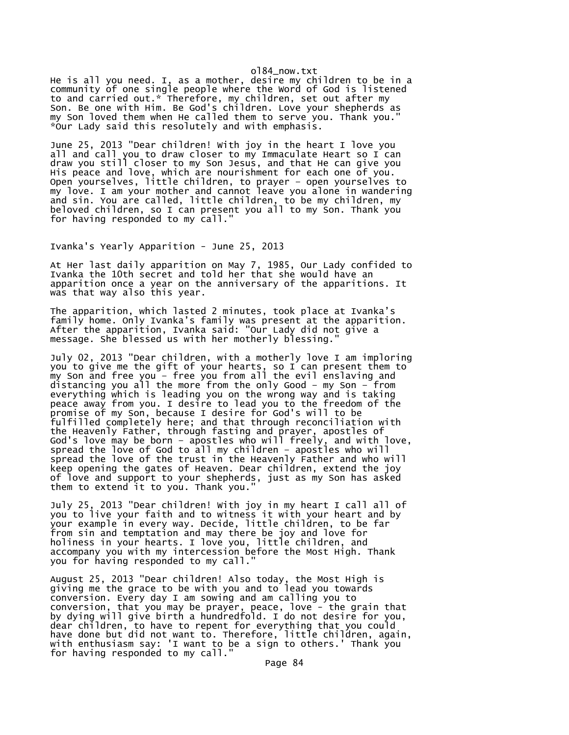He is all you need. I, as a mother, desire my children to be in a community of one single people where the Word of God is listened to and carried out.\* Therefore, my children, set out after my Son. Be one with Him. Be God's children. Love your shepherds as my Son loved them when He called them to serve you. Thank you." \*Our Lady said this resolutely and with emphasis.

June 25, 2013 "Dear children! With joy in the heart I love you all and call you to draw closer to my Immaculate Heart so I can draw you still closer to my Son Jesus, and that He can give you His peace and love, which are nourishment for each one of you. Open yourselves, little children, to prayer – open yourselves to my love. I am your mother and cannot leave you alone in wandering and sin. You are called, little children, to be my children, my beloved children, so I can present you all to my Son. Thank you for having responded to my call."

Ivanka's Yearly Apparition - June 25, 2013

At Her last daily apparition on May 7, 1985, Our Lady confided to Ivanka the 10th secret and told her that she would have an apparition once a year on the anniversary of the apparitions. It was that way also this year.

The apparition, which lasted 2 minutes, took place at Ivanka's family home. Only Ivanka's family was present at the apparition. After the apparition, Ivanka said: "Our Lady did not give a message. She blessed us with her motherly blessing."

July 02, 2013 "Dear children, with a motherly love I am imploring you to give me the gift of your hearts, so I can present them to my Son and free you – free you from all the evil enslaving and distancing you all the more from the only Good – my Son – from everything which is leading you on the wrong way and is taking peace away from you. I desire to lead you to the freedom of the promise of my Son, because I desire for God's will to be fulfilled completely here; and that through reconciliation with the Heavenly Father, through fasting and prayer, apostles of God's love may be born – apostles who will freely, and with love, spread the love of God to all my children – apostles who will spread the love of the trust in the Heavenly Father and who will keep opening the gates of Heaven. Dear children, extend the joy of love and support to your shepherds, just as my Son has asked them to extend it to you. Thank you.

July 25, 2013 "Dear children! With joy in my heart I call all of you to live your faith and to witness it with your heart and by your example in every way. Decide, little children, to be far from sin and temptation and may there be joy and love for holiness in your hearts. I love you, little children, and accompany you with my intercession before the Most High. Thank you for having responded to my call."

August 25, 2013 "Dear children! Also today, the Most High is giving me the grace to be with you and to lead you towards conversion. Every day I am sowing and am calling you to conversion, that you may be prayer, peace, love - the grain that by dying will give birth a hundredfold. I do not desire for you, dear children, to have to repent for everything that you could have done but did not want to. Therefore, little children, again, with enthusiasm say: 'I want to be a sign to others.' Thank you for having responded to my call."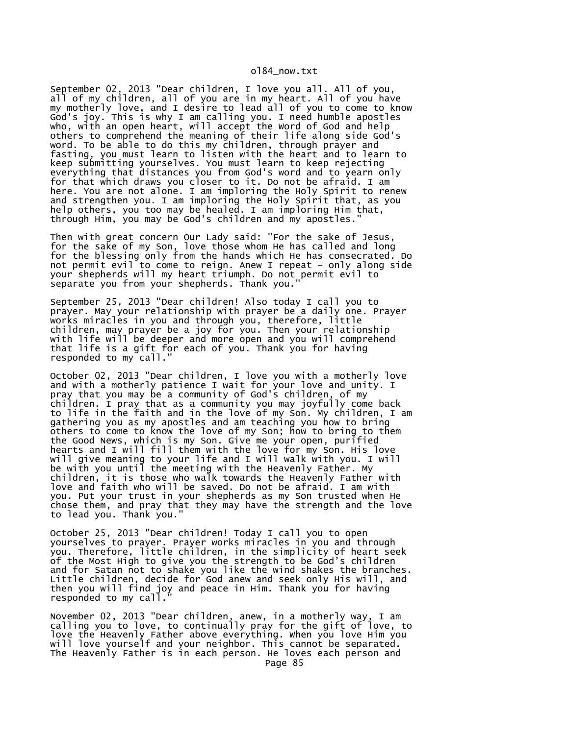September 02, 2013 "Dear children, I love you all. All of you, all of my children, all of you are in my heart. All of you have my motherly love, and I desire to lead all of you to come to know God's joy. This is why I am calling you. I need humble apostles who, with an open heart, will accept the Word of God and help others to comprehend the meaning of their life along side God's word. To be able to do this my children, through prayer and fasting, you must learn to listen with the heart and to learn to keep submitting yourselves. You must learn to keep rejecting everything that distances you from God's word and to yearn only for that which draws you closer to it. Do not be afraid. I am here. You are not alone. I am imploring the Holy Spirit to renew and strengthen you. I am imploring the Holy Spirit that, as you help others, you too may be healed. I am imploring Him that, through Him, you may be God's children and my apostles."

Then with great concern Our Lady said: "For the sake of Jesus, for the sake of my Son, love those whom He has called and long for the blessing only from the hands which He has consecrated. Do not permit evil to come to reign. Anew I repeat – only along side your shepherds will my heart triumph. Do not permit evil to separate you from your shepherds. Thank you."

September 25, 2013 "Dear children! Also today I call you to prayer. May your relationship with prayer be a daily one. Prayer works miracles in you and through you, therefore, little children, may prayer be a joy for you. Then your relationship with life will be deeper and more open and you will comprehend that life is a gift for each of you. Thank you for having responded to my call."

October 02, 2013 "Dear children, I love you with a motherly love and with a motherly patience I wait for your love and unity. I pray that you may be a community of God's children, of my children. I pray that as a community you may joyfully come back to life in the faith and in the love of my Son. My children, I am gathering you as my apostles and am teaching you how to bring others to come to know the love of my Son; how to bring to them the Good News, which is my Son. Give me your open, purified hearts and I will fill them with the love for my Son. His love will give meaning to your life and I will walk with you. I will be with you until the meeting with the Heavenly Father. My children, it is those who walk towards the Heavenly Father with love and faith who will be saved. Do not be afraid. I am with you. Put your trust in your shepherds as my Son trusted when He chose them, and pray that they may have the strength and the love to lead you. Thank you."

October 25, 2013 "Dear children! Today I call you to open yourselves to prayer. Prayer works miracles in you and through you. Therefore, little children, in the simplicity of heart seek of the Most High to give you the strength to be God's children and for Satan not to shake you like the wind shakes the branches. Little children, decide for God anew and seek only His will, and then you will find joy and peace in Him. Thank you for having responded to my call.

November 02, 2013 "Dear children, anew, in a motherly way, I am calling you to love, to continually pray for the gift of love, to love the Heavenly Father above everything. When you love Him you will love yourself and your neighbor. This cannot be separated. The Heavenly Father is in each person. He loves each person and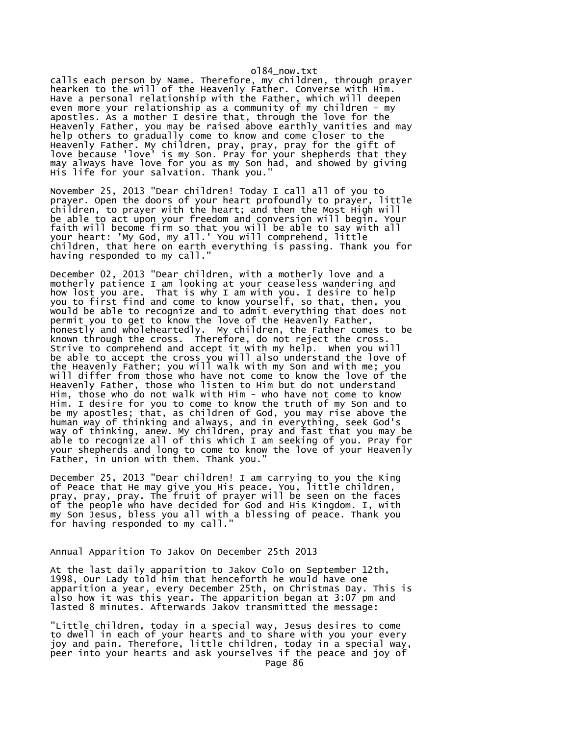calls each person by Name. Therefore, my children, through prayer hearken to the will of the Heavenly Father. Converse with Him. Have a personal relationship with the Father, which will deepen even more your relationship as a community of my children - my apostles. As a mother I desire that, through the love for the Heavenly Father, you may be raised above earthly vanities and may help others to gradually come to know and come closer to the Heavenly Father. My children, pray, pray, pray for the gift of love because 'love' is my Son. Pray for your shepherds that they may always have love for you as my Son had, and showed by giving His life for your salvation. Thank you."

November 25, 2013 "Dear children! Today I call all of you to prayer. Open the doors of your heart profoundly to prayer, little children, to prayer with the heart; and then the Most High will be able to act upon your freedom and conversion will begin. Your faith will become firm so that you will be able to say with all your heart: 'My God, my all.' You will comprehend, little children, that here on earth everything is passing. Thank you for having responded to my call.'

December 02, 2013 "Dear children, with a motherly love and a motherly patience I am looking at your ceaseless wandering and how lost you are. That is why I am with you. I desire to help you to first find and come to know yourself, so that, then, you would be able to recognize and to admit everything that does not permit you to get to know the love of the Heavenly Father, honestly and wholeheartedly. My children, the Father comes to be known through the cross. Therefore, do not reject the cross. Strive to comprehend and accept it with my help. When you will be able to accept the cross you will also understand the love of the Heavenly Father; you will walk with my Son and with me; you will differ from those who have not come to know the love of the Heavenly Father, those who listen to Him but do not understand Him, those who do not walk with Him - who have not come to know Him. I desire for you to come to know the truth of my Son and to be my apostles; that, as children of God, you may rise above the human way of thinking and always, and in everything, seek God's way of thinking, anew. My children, pray and fast that you may be able to recognize all of this which I am seeking of you. Pray for your shepherds and long to come to know the love of your Heavenly Father, in union with them. Thank you."

December 25, 2013 "Dear children! I am carrying to you the King of Peace that He may give you His peace. You, little children, pray, pray, pray. The fruit of prayer will be seen on the faces of the people who have decided for God and His Kingdom. I, with my Son Jesus, bless you all with a blessing of peace. Thank you for having responded to my call."

# Annual Apparition To Jakov On December 25th 2013

At the last daily apparition to Jakov Colo on September 12th, 1998, Our Lady told him that henceforth he would have one apparition a year, every December 25th, on Christmas Day. This is also how it was this year. The apparition began at 3:07 pm and lasted 8 minutes. Afterwards Jakov transmitted the message:

"Little children, today in a special way, Jesus desires to come to dwell in each of your hearts and to share with you your every joy and pain. Therefore, little children, today in a special way, peer into your hearts and ask yourselves if the peace and joy of Page 86